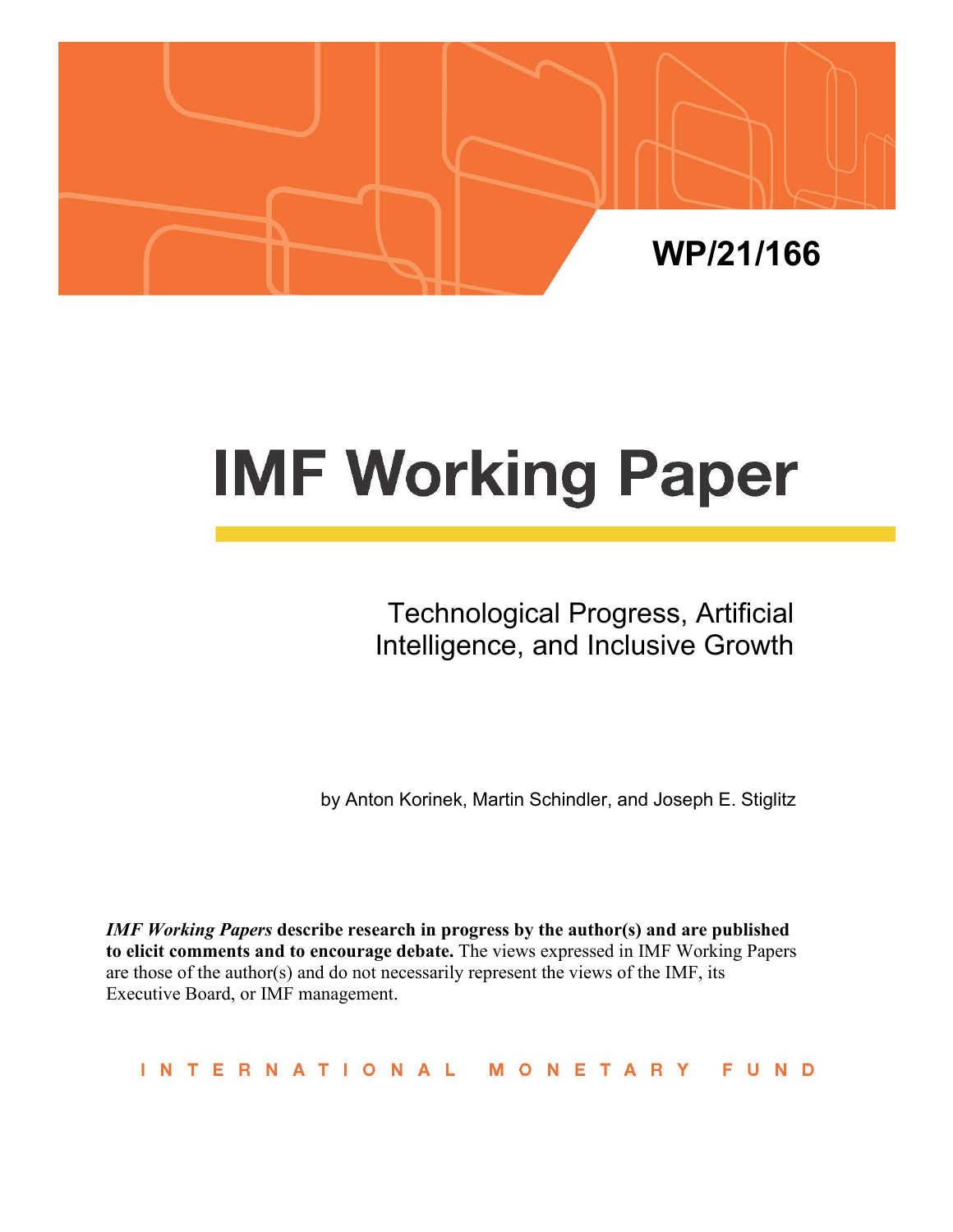

# **IMF Working Paper**

Technological Progress, Artificial Intelligence, and Inclusive Growth

by Anton Korinek, Martin Schindler, and Joseph E. Stiglitz

*IMF Working Papers* **describe research in progress by the author(s) and are published to elicit comments and to encourage debate.** The views expressed in IMF Working Papers are those of the author(s) and do not necessarily represent the views of the IMF, its Executive Board, or IMF management.

INTERNATIONAL MONETARY FUND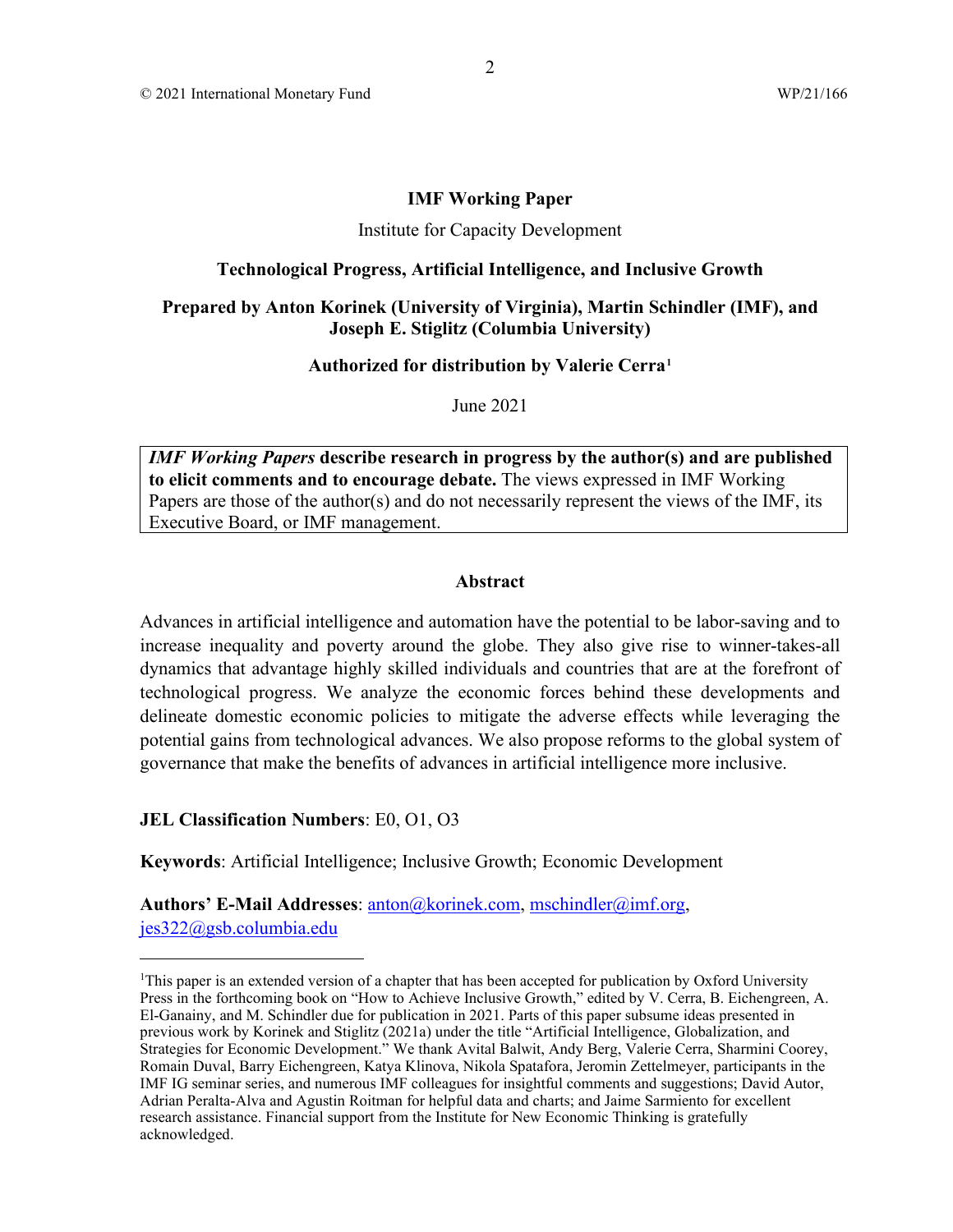#### **IMF Working Paper**

#### Institute for Capacity Development

#### **Technological Progress, Artificial Intelligence, and Inclusive Growth**

#### **Prepared by Anton Korinek (University of Virginia), Martin Schindler (IMF), and Joseph E. Stiglitz (Columbia University)**

#### **Authorized for distribution by Valerie Cerra[1](#page-1-0)**

June 2021

*IMF Working Papers* **describe research in progress by the author(s) and are published to elicit comments and to encourage debate.** The views expressed in IMF Working Papers are those of the author(s) and do not necessarily represent the views of the IMF, its Executive Board, or IMF management.

#### **Abstract**

<span id="page-1-1"></span>Advances in artificial intelligence and automation have the potential to be labor-saving and to increase inequality and poverty around the globe. They also give rise to winner-takes-all dynamics that advantage highly skilled individuals and countries that are at the forefront of technological progress. We analyze the economic forces behind these developments and delineate domestic economic policies to mitigate the adverse effects while leveraging the potential gains from technological advances. We also propose reforms to the global system of governance that make the benefits of advances in artificial intelligence more inclusive.

**JEL Classification Numbers**: E0, O1, O3

**Keywords**: Artificial Intelligence; Inclusive Growth; Economic Development

**Authors' E-Mail Addresses**: [anton@korinek.com,](mailto:anton@korinek.com) [mschindler@imf.org,](mailto:mschindler@imf.org) [jes322@gsb.columbia.edu](mailto:jes322@gsb.columbia.edu)

<span id="page-1-0"></span><sup>&</sup>lt;sup>1</sup>This paper is an extended version of a chapter that has been accepted for publication by Oxford University Press in the forthcoming book on "How to Achieve Inclusive Growth," edited by V. Cerra, B. Eichengreen, A. El-Ganainy, and M. Schindler due for publication in 2021. Parts of this paper subsume ideas presented in previous work by Korinek and Stiglitz (2021a) under the title "Artificial Intelligence, Globalization, and Strategies for Economic Development." We thank Avital Balwit, Andy Berg, Valerie Cerra, Sharmini Coorey, Romain Duval, Barry Eichengreen, Katya Klinova, Nikola Spatafora, Jeromin Zettelmeyer, participants in the IMF IG seminar series, and numerous IMF colleagues for insightful comments and suggestions; David Autor, Adrian Peralta-Alva and Agustin Roitman for helpful data and charts; and Jaime Sarmiento for excellent research assistance. Financial support from the Institute for New Economic Thinking is gratefully acknowledged.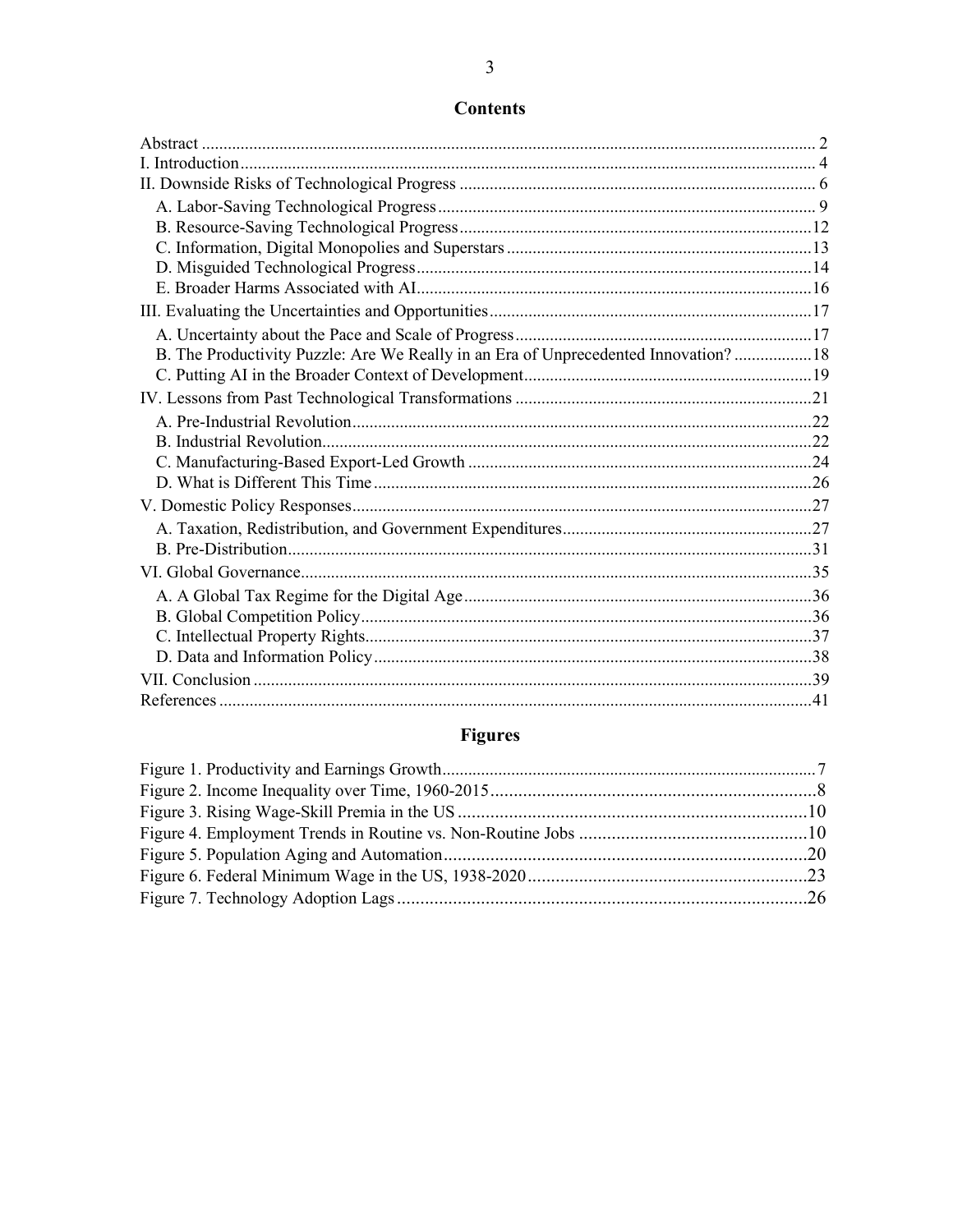| B. The Productivity Puzzle: Are We Really in an Era of Unprecedented Innovation?18 |  |
|------------------------------------------------------------------------------------|--|
|                                                                                    |  |
|                                                                                    |  |
|                                                                                    |  |
|                                                                                    |  |
|                                                                                    |  |
|                                                                                    |  |
|                                                                                    |  |
|                                                                                    |  |
|                                                                                    |  |
|                                                                                    |  |
|                                                                                    |  |
|                                                                                    |  |
|                                                                                    |  |
|                                                                                    |  |
|                                                                                    |  |
|                                                                                    |  |

## **Contents**

# Figures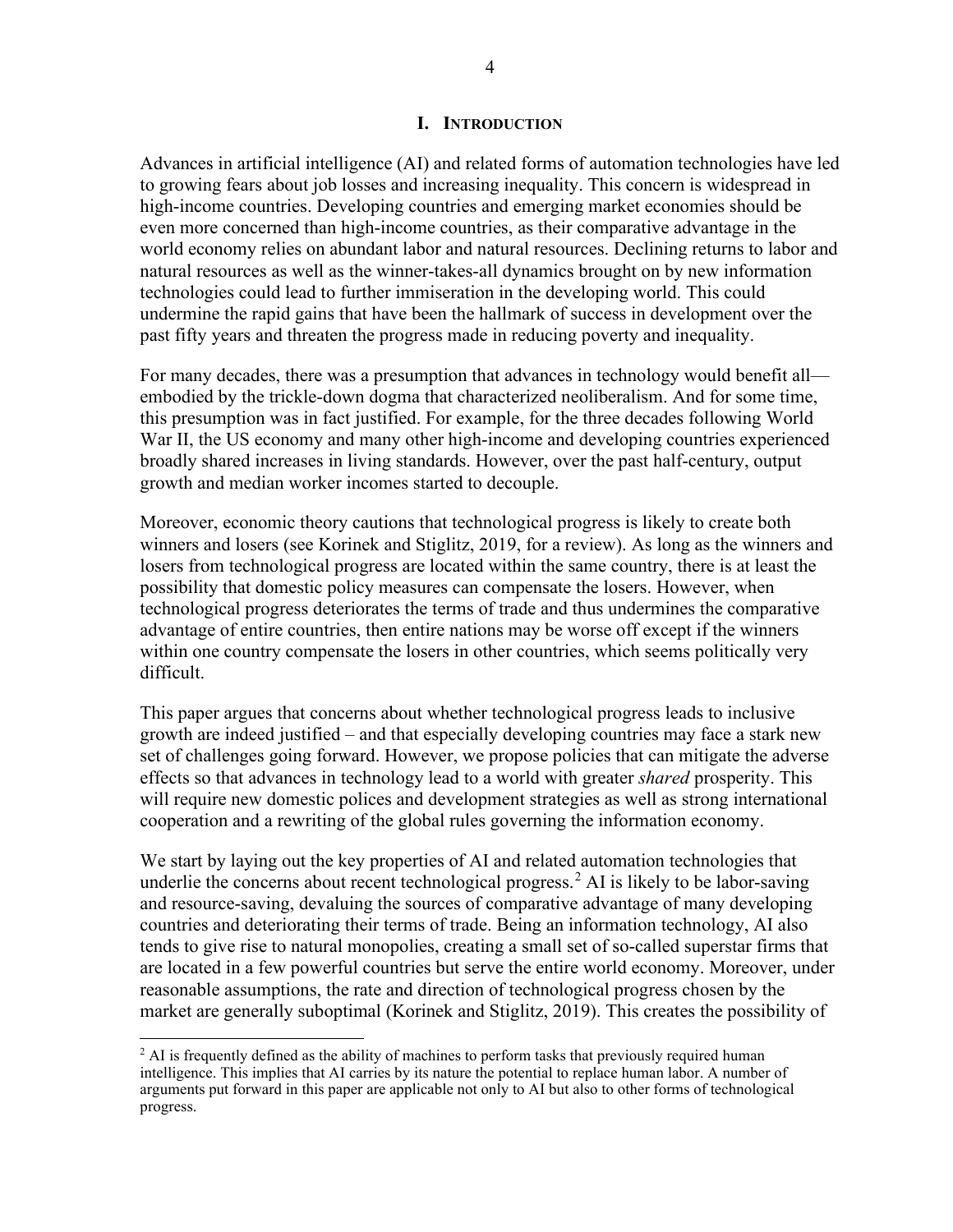#### **I. INTRODUCTION**

<span id="page-3-0"></span>Advances in artificial intelligence (AI) and related forms of automation technologies have led to growing fears about job losses and increasing inequality. This concern is widespread in high-income countries. Developing countries and emerging market economies should be even more concerned than high-income countries, as their comparative advantage in the world economy relies on abundant labor and natural resources. Declining returns to labor and natural resources as well as the winner-takes-all dynamics brought on by new information technologies could lead to further immiseration in the developing world. This could undermine the rapid gains that have been the hallmark of success in development over the past fifty years and threaten the progress made in reducing poverty and inequality.

For many decades, there was a presumption that advances in technology would benefit all embodied by the trickle-down dogma that characterized neoliberalism. And for some time, this presumption was in fact justified. For example, for the three decades following World War II, the US economy and many other high-income and developing countries experienced broadly shared increases in living standards. However, over the past half-century, output growth and median worker incomes started to decouple.

Moreover, economic theory cautions that technological progress is likely to create both winners and losers (see Korinek and Stiglitz, 2019, for a review). As long as the winners and losers from technological progress are located within the same country, there is at least the possibility that domestic policy measures can compensate the losers. However, when technological progress deteriorates the terms of trade and thus undermines the comparative advantage of entire countries, then entire nations may be worse off except if the winners within one country compensate the losers in other countries, which seems politically very difficult.

This paper argues that concerns about whether technological progress leads to inclusive growth are indeed justified – and that especially developing countries may face a stark new set of challenges going forward. However, we propose policies that can mitigate the adverse effects so that advances in technology lead to a world with greater *shared* prosperity. This will require new domestic polices and development strategies as well as strong international cooperation and a rewriting of the global rules governing the information economy.

We start by laying out the key properties of AI and related automation technologies that underlie the concerns about recent technological progress.<sup>[2](#page-3-1)</sup> AI is likely to be labor-saving and resource-saving, devaluing the sources of comparative advantage of many developing countries and deteriorating their terms of trade. Being an information technology, AI also tends to give rise to natural monopolies, creating a small set of so-called superstar firms that are located in a few powerful countries but serve the entire world economy. Moreover, under reasonable assumptions, the rate and direction of technological progress chosen by the market are generally suboptimal (Korinek and Stiglitz, 2019). This creates the possibility of

<span id="page-3-1"></span><sup>&</sup>lt;sup>2</sup> AI is frequently defined as the ability of machines to perform tasks that previously required human intelligence. This implies that AI carries by its nature the potential to replace human labor. A number of arguments put forward in this paper are applicable not only to AI but also to other forms of technological progress.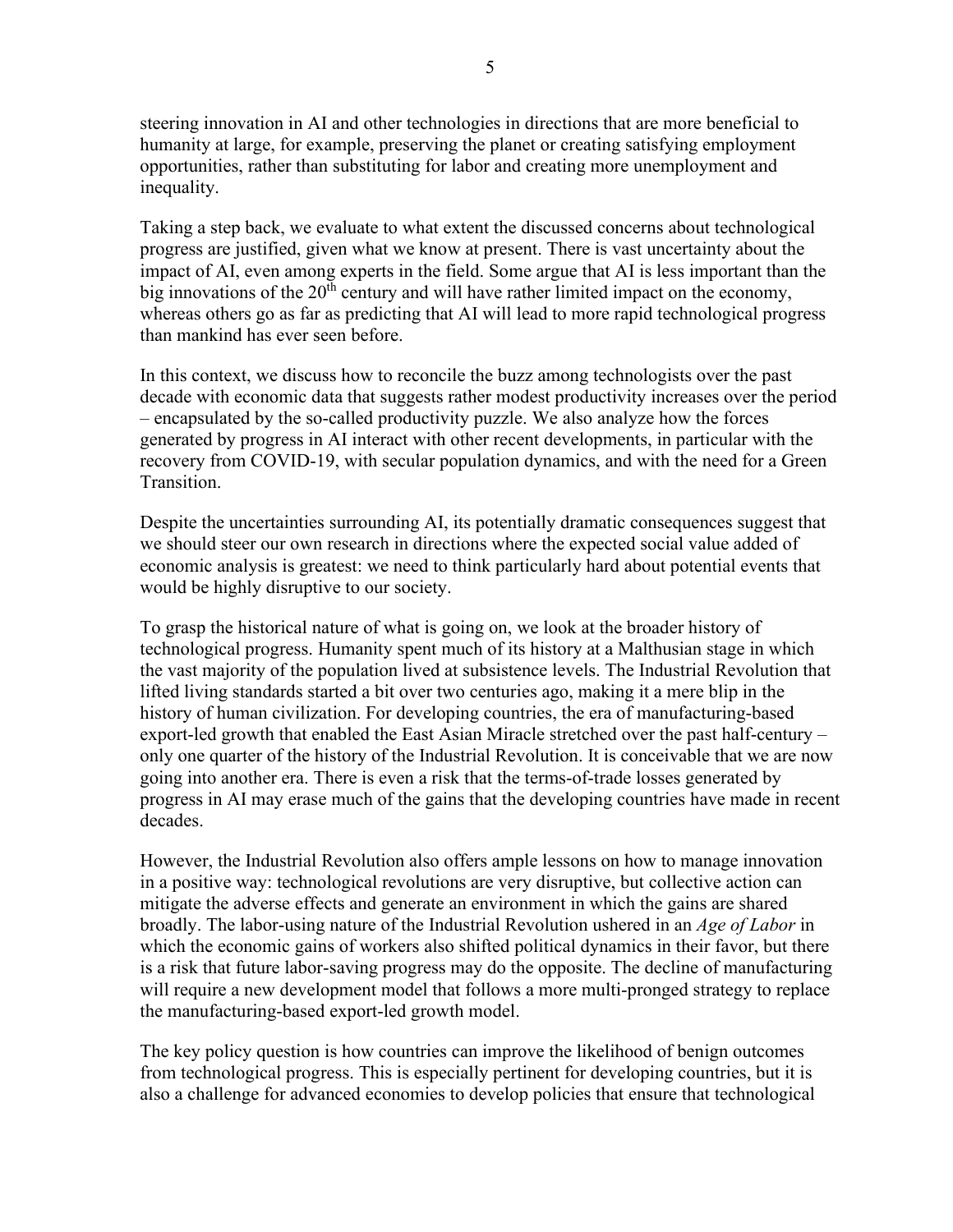steering innovation in AI and other technologies in directions that are more beneficial to humanity at large, for example, preserving the planet or creating satisfying employment opportunities, rather than substituting for labor and creating more unemployment and inequality.

Taking a step back, we evaluate to what extent the discussed concerns about technological progress are justified, given what we know at present. There is vast uncertainty about the impact of AI, even among experts in the field. Some argue that AI is less important than the big innovations of the  $20<sup>th</sup>$  century and will have rather limited impact on the economy, whereas others go as far as predicting that AI will lead to more rapid technological progress than mankind has ever seen before.

In this context, we discuss how to reconcile the buzz among technologists over the past decade with economic data that suggests rather modest productivity increases over the period – encapsulated by the so-called productivity puzzle. We also analyze how the forces generated by progress in AI interact with other recent developments, in particular with the recovery from COVID-19, with secular population dynamics, and with the need for a Green Transition.

Despite the uncertainties surrounding AI, its potentially dramatic consequences suggest that we should steer our own research in directions where the expected social value added of economic analysis is greatest: we need to think particularly hard about potential events that would be highly disruptive to our society.

To grasp the historical nature of what is going on, we look at the broader history of technological progress. Humanity spent much of its history at a Malthusian stage in which the vast majority of the population lived at subsistence levels. The Industrial Revolution that lifted living standards started a bit over two centuries ago, making it a mere blip in the history of human civilization. For developing countries, the era of manufacturing-based export-led growth that enabled the East Asian Miracle stretched over the past half-century – only one quarter of the history of the Industrial Revolution. It is conceivable that we are now going into another era. There is even a risk that the terms-of-trade losses generated by progress in AI may erase much of the gains that the developing countries have made in recent decades.

However, the Industrial Revolution also offers ample lessons on how to manage innovation in a positive way: technological revolutions are very disruptive, but collective action can mitigate the adverse effects and generate an environment in which the gains are shared broadly. The labor-using nature of the Industrial Revolution ushered in an *Age of Labor* in which the economic gains of workers also shifted political dynamics in their favor, but there is a risk that future labor-saving progress may do the opposite. The decline of manufacturing will require a new development model that follows a more multi-pronged strategy to replace the manufacturing-based export-led growth model.

The key policy question is how countries can improve the likelihood of benign outcomes from technological progress. This is especially pertinent for developing countries, but it is also a challenge for advanced economies to develop policies that ensure that technological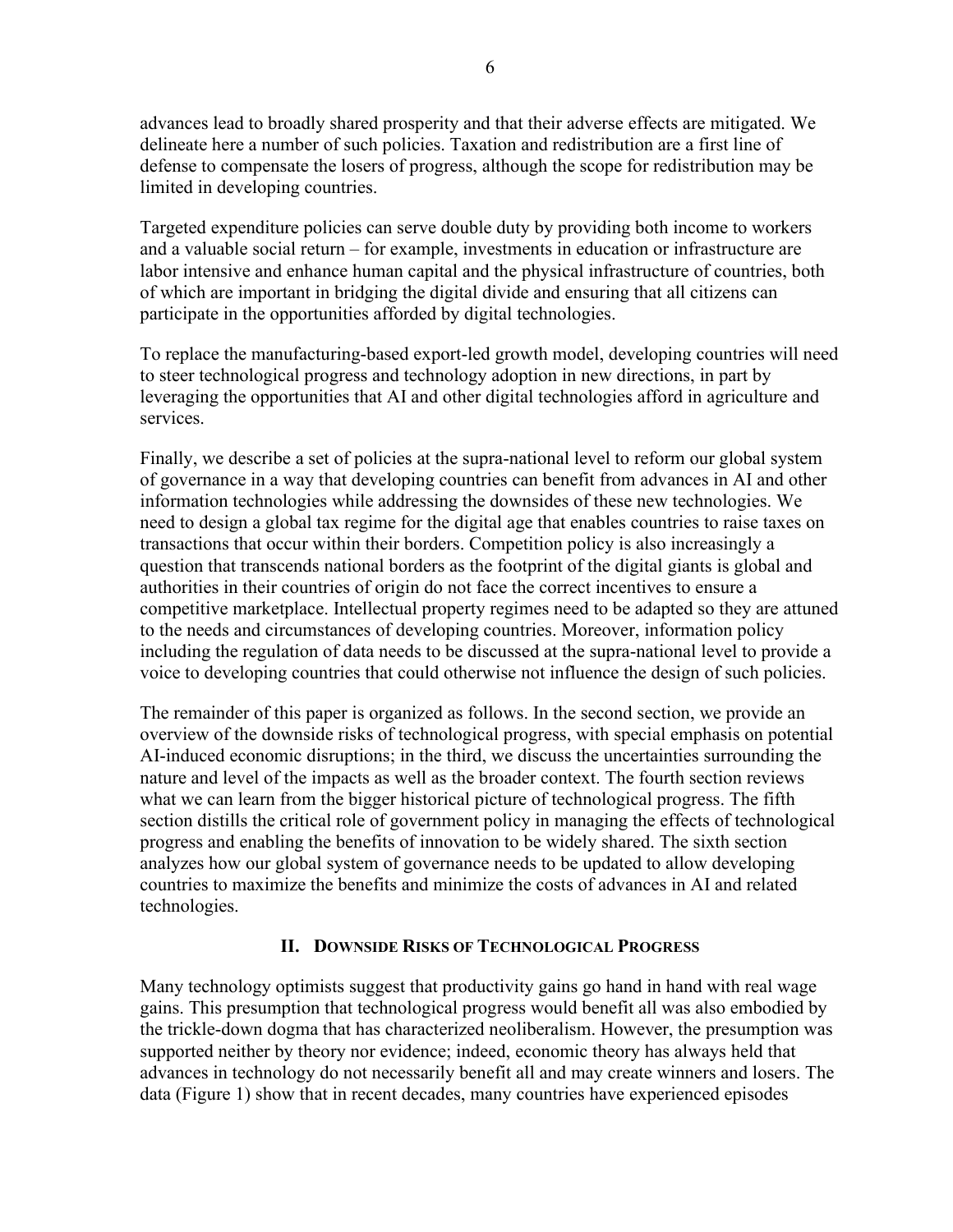advances lead to broadly shared prosperity and that their adverse effects are mitigated. We delineate here a number of such policies. Taxation and redistribution are a first line of defense to compensate the losers of progress, although the scope for redistribution may be limited in developing countries.

Targeted expenditure policies can serve double duty by providing both income to workers and a valuable social return – for example, investments in education or infrastructure are labor intensive and enhance human capital and the physical infrastructure of countries, both of which are important in bridging the digital divide and ensuring that all citizens can participate in the opportunities afforded by digital technologies.

To replace the manufacturing-based export-led growth model, developing countries will need to steer technological progress and technology adoption in new directions, in part by leveraging the opportunities that AI and other digital technologies afford in agriculture and services.

Finally, we describe a set of policies at the supra-national level to reform our global system of governance in a way that developing countries can benefit from advances in AI and other information technologies while addressing the downsides of these new technologies. We need to design a global tax regime for the digital age that enables countries to raise taxes on transactions that occur within their borders. Competition policy is also increasingly a question that transcends national borders as the footprint of the digital giants is global and authorities in their countries of origin do not face the correct incentives to ensure a competitive marketplace. Intellectual property regimes need to be adapted so they are attuned to the needs and circumstances of developing countries. Moreover, information policy including the regulation of data needs to be discussed at the supra-national level to provide a voice to developing countries that could otherwise not influence the design of such policies.

The remainder of this paper is organized as follows. In the second section, we provide an overview of the downside risks of technological progress, with special emphasis on potential AI-induced economic disruptions; in the third, we discuss the uncertainties surrounding the nature and level of the impacts as well as the broader context. The fourth section reviews what we can learn from the bigger historical picture of technological progress. The fifth section distills the critical role of government policy in managing the effects of technological progress and enabling the benefits of innovation to be widely shared. The sixth section analyzes how our global system of governance needs to be updated to allow developing countries to maximize the benefits and minimize the costs of advances in AI and related technologies.

## **II. DOWNSIDE RISKS OF TECHNOLOGICAL PROGRESS**

<span id="page-5-0"></span>Many technology optimists suggest that productivity gains go hand in hand with real wage gains. This presumption that technological progress would benefit all was also embodied by the trickle-down dogma that has characterized neoliberalism. However, the presumption was supported neither by theory nor evidence; indeed, economic theory has always held that advances in technology do not necessarily benefit all and may create winners and losers. The data (Figure 1) show that in recent decades, many countries have experienced episodes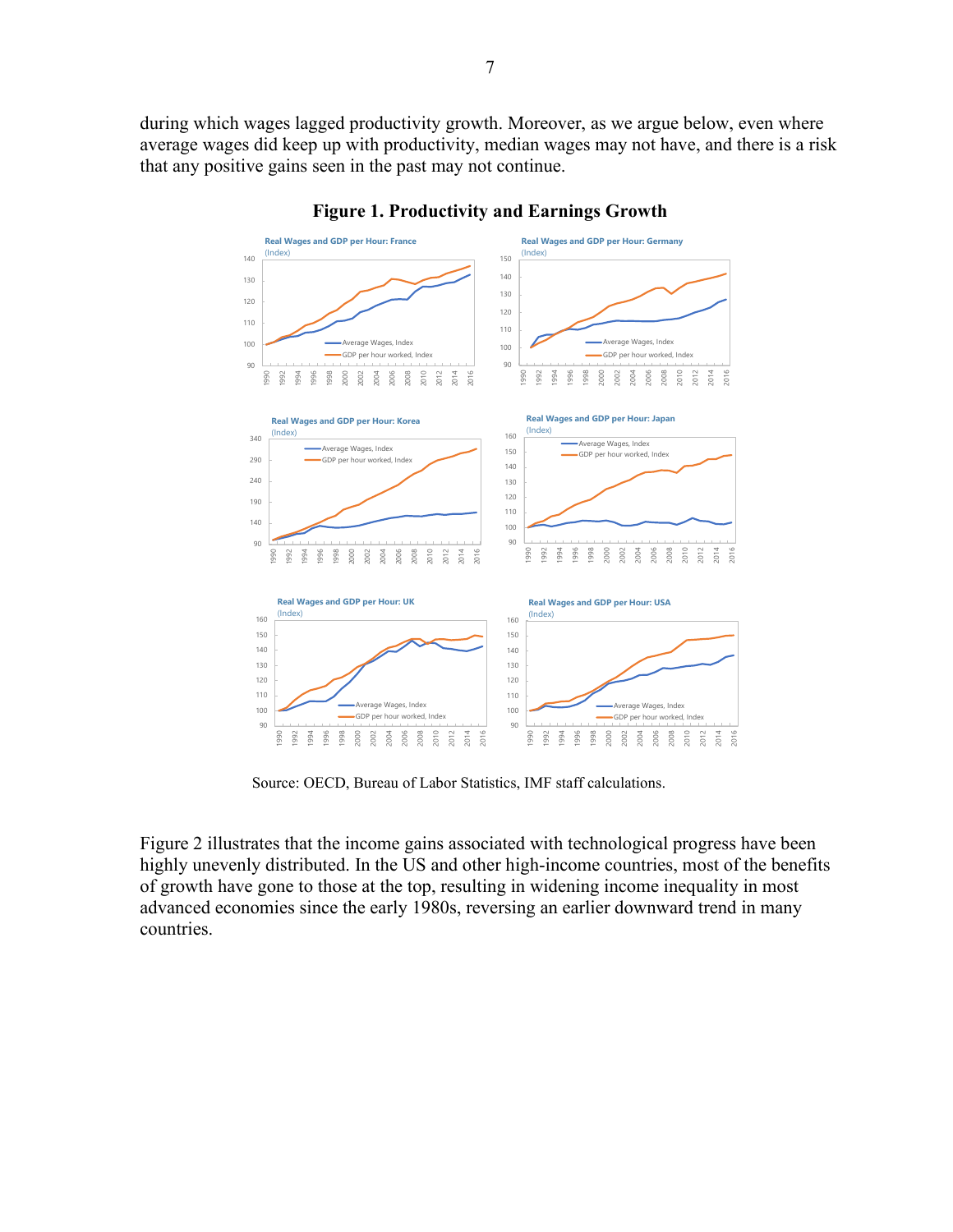during which wages lagged productivity growth. Moreover, as we argue below, even where average wages did keep up with productivity, median wages may not have, and there is a risk that any positive gains seen in the past may not continue.



#### **Figure 1. Productivity and Earnings Growth**

Source: OECD, Bureau of Labor Statistics, IMF staff calculations.

Figure 2 illustrates that the income gains associated with technological progress have been highly unevenly distributed. In the US and other high-income countries, most of the benefits of growth have gone to those at the top, resulting in widening income inequality in most advanced economies since the early 1980s, reversing an earlier downward trend in many countries.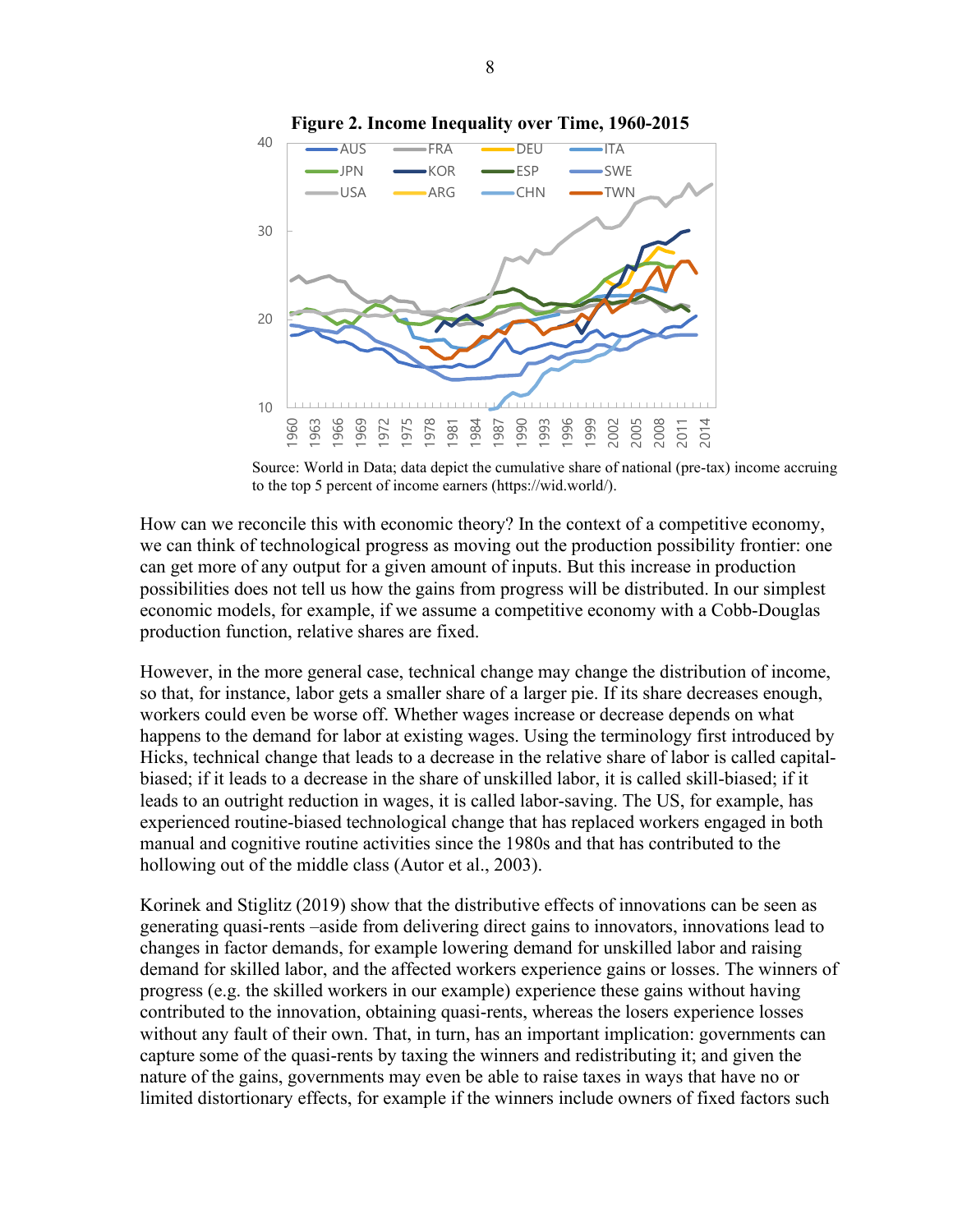

Source: World in Data; data depict the cumulative share of national (pre-tax) income accruing to the top 5 percent of income earners (https://wid.world/).

How can we reconcile this with economic theory? In the context of a competitive economy, we can think of technological progress as moving out the production possibility frontier: one can get more of any output for a given amount of inputs. But this increase in production possibilities does not tell us how the gains from progress will be distributed. In our simplest economic models, for example, if we assume a competitive economy with a Cobb-Douglas production function, relative shares are fixed.

However, in the more general case, technical change may change the distribution of income, so that, for instance, labor gets a smaller share of a larger pie. If its share decreases enough, workers could even be worse off. Whether wages increase or decrease depends on what happens to the demand for labor at existing wages. Using the terminology first introduced by Hicks, technical change that leads to a decrease in the relative share of labor is called capitalbiased; if it leads to a decrease in the share of unskilled labor, it is called skill-biased; if it leads to an outright reduction in wages, it is called labor-saving. The US, for example, has experienced routine-biased technological change that has replaced workers engaged in both manual and cognitive routine activities since the 1980s and that has contributed to the hollowing out of the middle class (Autor et al., 2003).

Korinek and Stiglitz (2019) show that the distributive effects of innovations can be seen as generating quasi-rents –aside from delivering direct gains to innovators, innovations lead to changes in factor demands, for example lowering demand for unskilled labor and raising demand for skilled labor, and the affected workers experience gains or losses. The winners of progress (e.g. the skilled workers in our example) experience these gains without having contributed to the innovation, obtaining quasi-rents, whereas the losers experience losses without any fault of their own. That, in turn, has an important implication: governments can capture some of the quasi-rents by taxing the winners and redistributing it; and given the nature of the gains, governments may even be able to raise taxes in ways that have no or limited distortionary effects, for example if the winners include owners of fixed factors such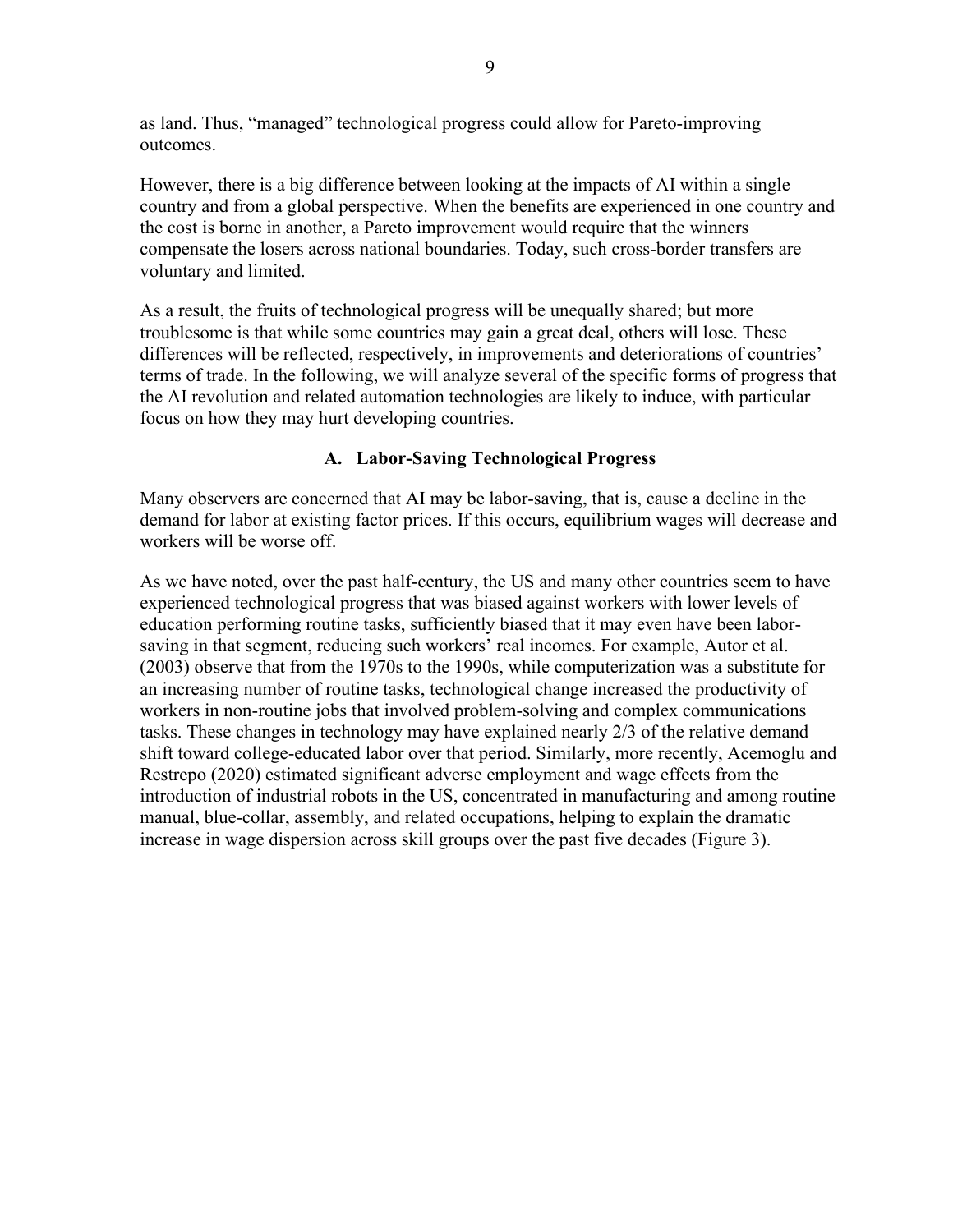as land. Thus, "managed" technological progress could allow for Pareto-improving outcomes.

However, there is a big difference between looking at the impacts of AI within a single country and from a global perspective. When the benefits are experienced in one country and the cost is borne in another, a Pareto improvement would require that the winners compensate the losers across national boundaries. Today, such cross-border transfers are voluntary and limited.

As a result, the fruits of technological progress will be unequally shared; but more troublesome is that while some countries may gain a great deal, others will lose. These differences will be reflected, respectively, in improvements and deteriorations of countries' terms of trade. In the following, we will analyze several of the specific forms of progress that the AI revolution and related automation technologies are likely to induce, with particular focus on how they may hurt developing countries.

## **A. Labor-Saving Technological Progress**

<span id="page-8-0"></span>Many observers are concerned that AI may be labor-saving, that is, cause a decline in the demand for labor at existing factor prices. If this occurs, equilibrium wages will decrease and workers will be worse off.

As we have noted, over the past half-century, the US and many other countries seem to have experienced technological progress that was biased against workers with lower levels of education performing routine tasks, sufficiently biased that it may even have been laborsaving in that segment, reducing such workers' real incomes. For example, Autor et al. (2003) observe that from the 1970s to the 1990s, while computerization was a substitute for an increasing number of routine tasks, technological change increased the productivity of workers in non-routine jobs that involved problem-solving and complex communications tasks. These changes in technology may have explained nearly 2/3 of the relative demand shift toward college-educated labor over that period. Similarly, more recently, Acemoglu and Restrepo (2020) estimated significant adverse employment and wage effects from the introduction of industrial robots in the US, concentrated in manufacturing and among routine manual, blue-collar, assembly, and related occupations, helping to explain the dramatic increase in wage dispersion across skill groups over the past five decades (Figure 3).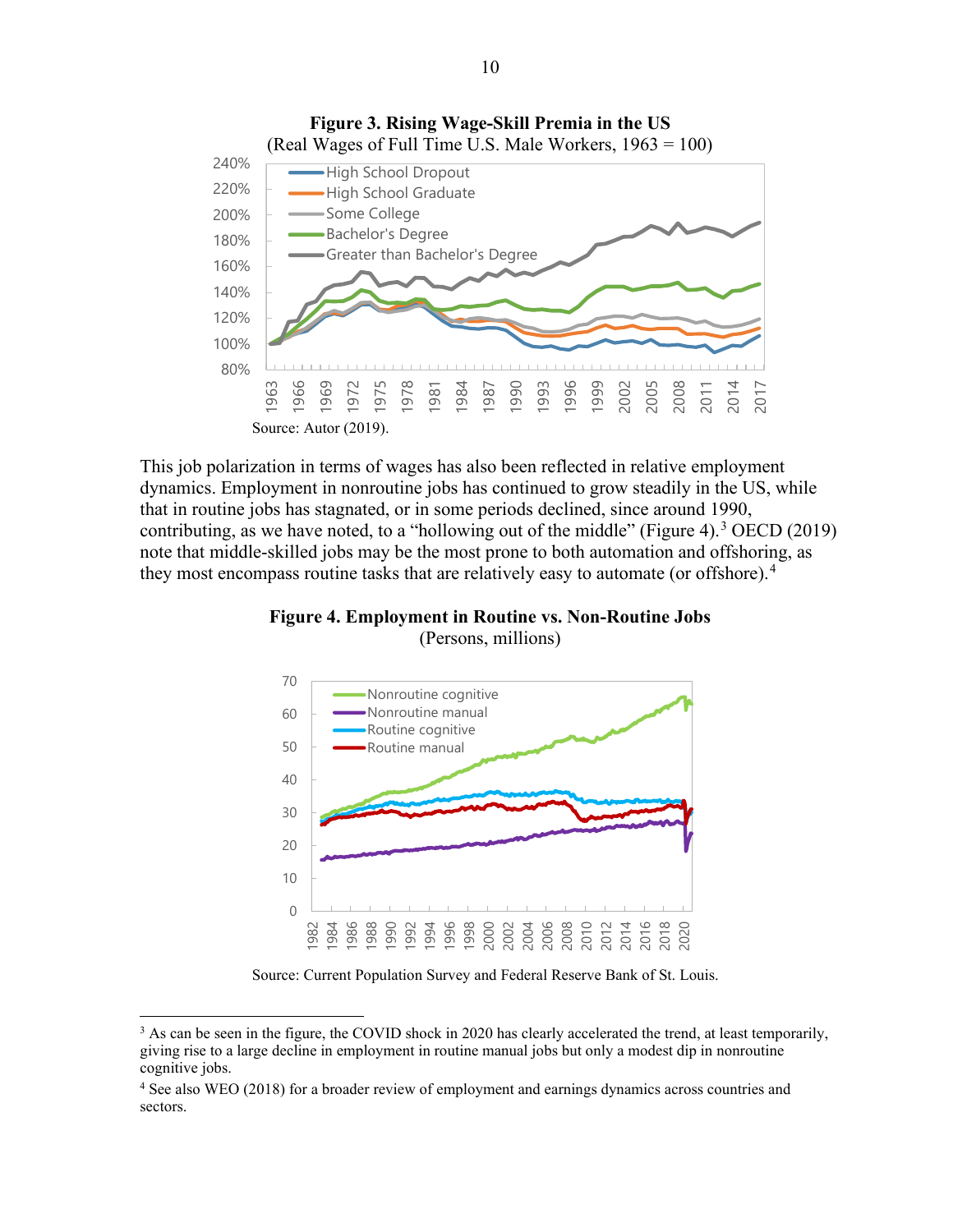

This job polarization in terms of wages has also been reflected in relative employment dynamics. Employment in nonroutine jobs has continued to grow steadily in the US, while that in routine jobs has stagnated, or in some periods declined, since around 1990, contributing, as we have noted, to a "hollowing out of the middle" (Figure 4).<sup>[3](#page-9-0)</sup> OECD (2019) note that middle-skilled jobs may be the most prone to both automation and offshoring, as they most encompass routine tasks that are relatively easy to automate (or offshore).<sup>[4](#page-9-1)</sup>





Source: Current Population Survey and Federal Reserve Bank of St. Louis.

<span id="page-9-0"></span><sup>&</sup>lt;sup>3</sup> As can be seen in the figure, the COVID shock in 2020 has clearly accelerated the trend, at least temporarily, giving rise to a large decline in employment in routine manual jobs but only a modest dip in nonroutine cognitive jobs.

<span id="page-9-1"></span><sup>&</sup>lt;sup>4</sup> See also WEO (2018) for a broader review of employment and earnings dynamics across countries and sectors.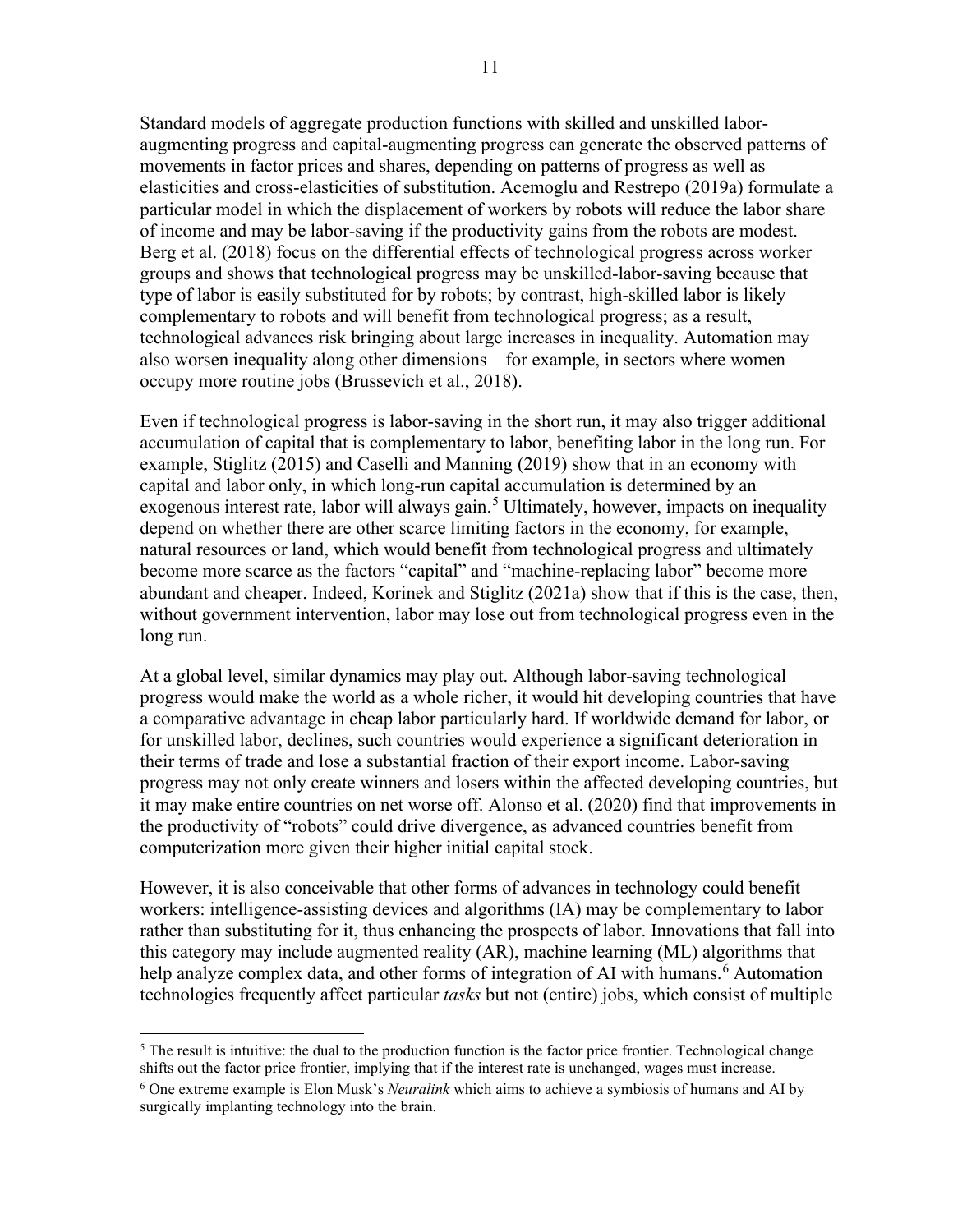Standard models of aggregate production functions with skilled and unskilled laboraugmenting progress and capital-augmenting progress can generate the observed patterns of movements in factor prices and shares, depending on patterns of progress as well as elasticities and cross-elasticities of substitution. Acemoglu and Restrepo (2019a) formulate a particular model in which the displacement of workers by robots will reduce the labor share of income and may be labor-saving if the productivity gains from the robots are modest. Berg et al. (2018) focus on the differential effects of technological progress across worker groups and shows that technological progress may be unskilled-labor-saving because that type of labor is easily substituted for by robots; by contrast, high-skilled labor is likely complementary to robots and will benefit from technological progress; as a result, technological advances risk bringing about large increases in inequality. Automation may also worsen inequality along other dimensions—for example, in sectors where women occupy more routine jobs (Brussevich et al., 2018).

Even if technological progress is labor-saving in the short run, it may also trigger additional accumulation of capital that is complementary to labor, benefiting labor in the long run. For example, Stiglitz (2015) and Caselli and Manning (2019) show that in an economy with capital and labor only, in which long-run capital accumulation is determined by an exogenous interest rate, labor will always gain.<sup>[5](#page-10-0)</sup> Ultimately, however, impacts on inequality depend on whether there are other scarce limiting factors in the economy, for example, natural resources or land, which would benefit from technological progress and ultimately become more scarce as the factors "capital" and "machine-replacing labor" become more abundant and cheaper. Indeed, Korinek and Stiglitz (2021a) show that if this is the case, then, without government intervention, labor may lose out from technological progress even in the long run.

At a global level, similar dynamics may play out. Although labor-saving technological progress would make the world as a whole richer, it would hit developing countries that have a comparative advantage in cheap labor particularly hard. If worldwide demand for labor, or for unskilled labor, declines, such countries would experience a significant deterioration in their terms of trade and lose a substantial fraction of their export income. Labor-saving progress may not only create winners and losers within the affected developing countries, but it may make entire countries on net worse off. Alonso et al. (2020) find that improvements in the productivity of "robots" could drive divergence, as advanced countries benefit from computerization more given their higher initial capital stock.

However, it is also conceivable that other forms of advances in technology could benefit workers: intelligence-assisting devices and algorithms (IA) may be complementary to labor rather than substituting for it, thus enhancing the prospects of labor. Innovations that fall into this category may include augmented reality (AR), machine learning (ML) algorithms that help analyze complex data, and other forms of integration of AI with humans.<sup>[6](#page-10-1)</sup> Automation technologies frequently affect particular *tasks* but not (entire) jobs, which consist of multiple

<span id="page-10-0"></span> $<sup>5</sup>$  The result is intuitive: the dual to the production function is the factor price frontier. Technological change</sup> shifts out the factor price frontier, implying that if the interest rate is unchanged, wages must increase.

<span id="page-10-1"></span><sup>6</sup> One extreme example is Elon Musk's *Neuralink* which aims to achieve a symbiosis of humans and AI by surgically implanting technology into the brain.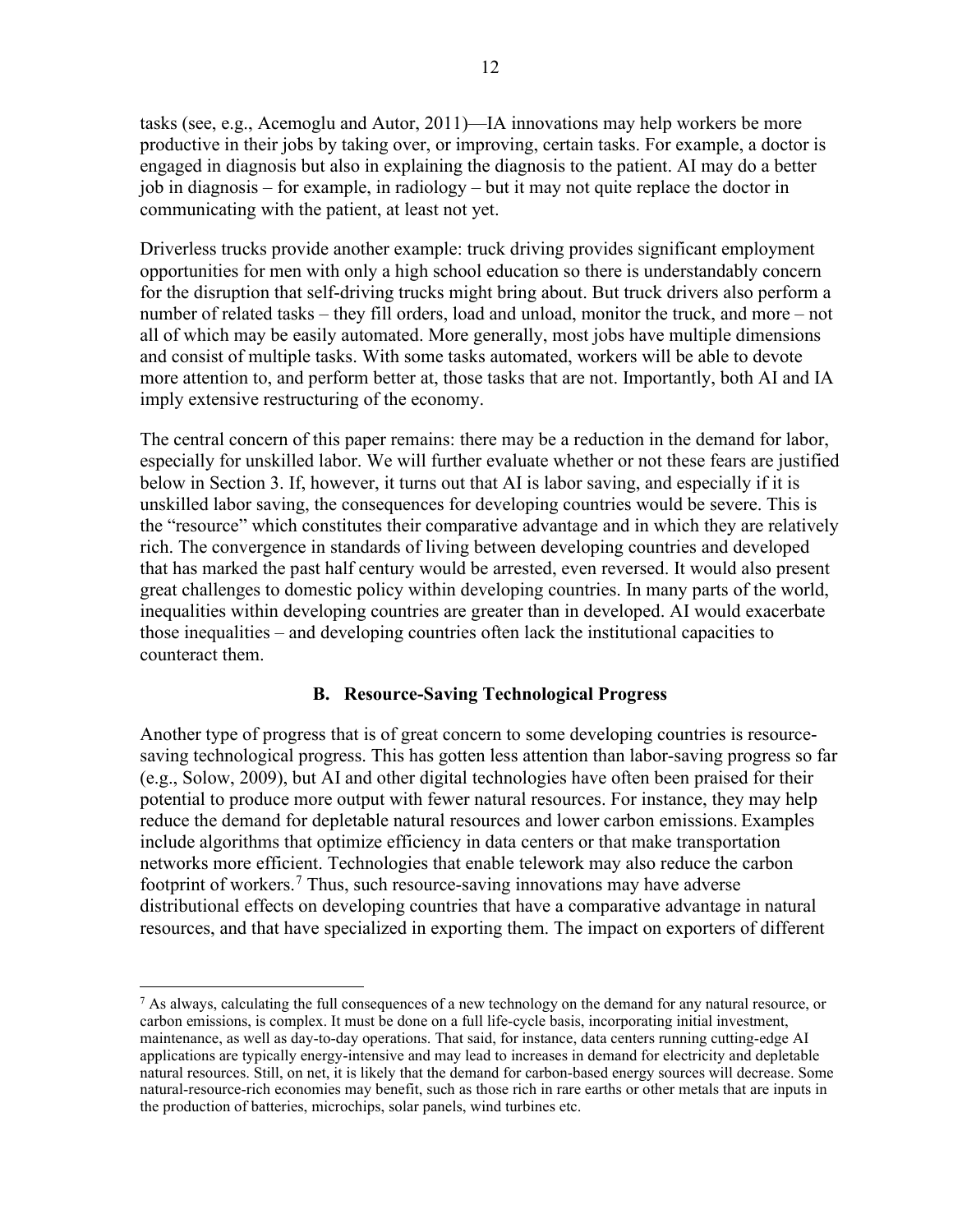tasks (see, e.g., Acemoglu and Autor, 2011)—IA innovations may help workers be more productive in their jobs by taking over, or improving, certain tasks. For example, a doctor is engaged in diagnosis but also in explaining the diagnosis to the patient. AI may do a better job in diagnosis – for example, in radiology – but it may not quite replace the doctor in communicating with the patient, at least not yet.

Driverless trucks provide another example: truck driving provides significant employment opportunities for men with only a high school education so there is understandably concern for the disruption that self-driving trucks might bring about. But truck drivers also perform a number of related tasks – they fill orders, load and unload, monitor the truck, and more – not all of which may be easily automated. More generally, most jobs have multiple dimensions and consist of multiple tasks. With some tasks automated, workers will be able to devote more attention to, and perform better at, those tasks that are not. Importantly, both AI and IA imply extensive restructuring of the economy.

The central concern of this paper remains: there may be a reduction in the demand for labor, especially for unskilled labor. We will further evaluate whether or not these fears are justified below in Section 3. If, however, it turns out that AI is labor saving, and especially if it is unskilled labor saving, the consequences for developing countries would be severe. This is the "resource" which constitutes their comparative advantage and in which they are relatively rich. The convergence in standards of living between developing countries and developed that has marked the past half century would be arrested, even reversed. It would also present great challenges to domestic policy within developing countries. In many parts of the world, inequalities within developing countries are greater than in developed. AI would exacerbate those inequalities – and developing countries often lack the institutional capacities to counteract them.

#### **B. Resource-Saving Technological Progress**

<span id="page-11-0"></span>Another type of progress that is of great concern to some developing countries is resourcesaving technological progress. This has gotten less attention than labor-saving progress so far (e.g., Solow, 2009), but AI and other digital technologies have often been praised for their potential to produce more output with fewer natural resources. For instance, they may help reduce the demand for depletable natural resources and lower carbon emissions. Examples include algorithms that optimize efficiency in data centers or that make transportation networks more efficient. Technologies that enable telework may also reduce the carbon footprint of workers.<sup>[7](#page-11-1)</sup> Thus, such resource-saving innovations may have adverse distributional effects on developing countries that have a comparative advantage in natural resources, and that have specialized in exporting them. The impact on exporters of different

<span id="page-11-1"></span> $^7$  As always, calculating the full consequences of a new technology on the demand for any natural resource, or carbon emissions, is complex. It must be done on a full life-cycle basis, incorporating initial investment, maintenance, as well as day-to-day operations. That said, for instance, data centers running cutting-edge AI applications are typically energy-intensive and may lead to increases in demand for electricity and depletable natural resources. Still, on net, it is likely that the demand for carbon-based energy sources will decrease. Some natural-resource-rich economies may benefit, such as those rich in rare earths or other metals that are inputs in the production of batteries, microchips, solar panels, wind turbines etc.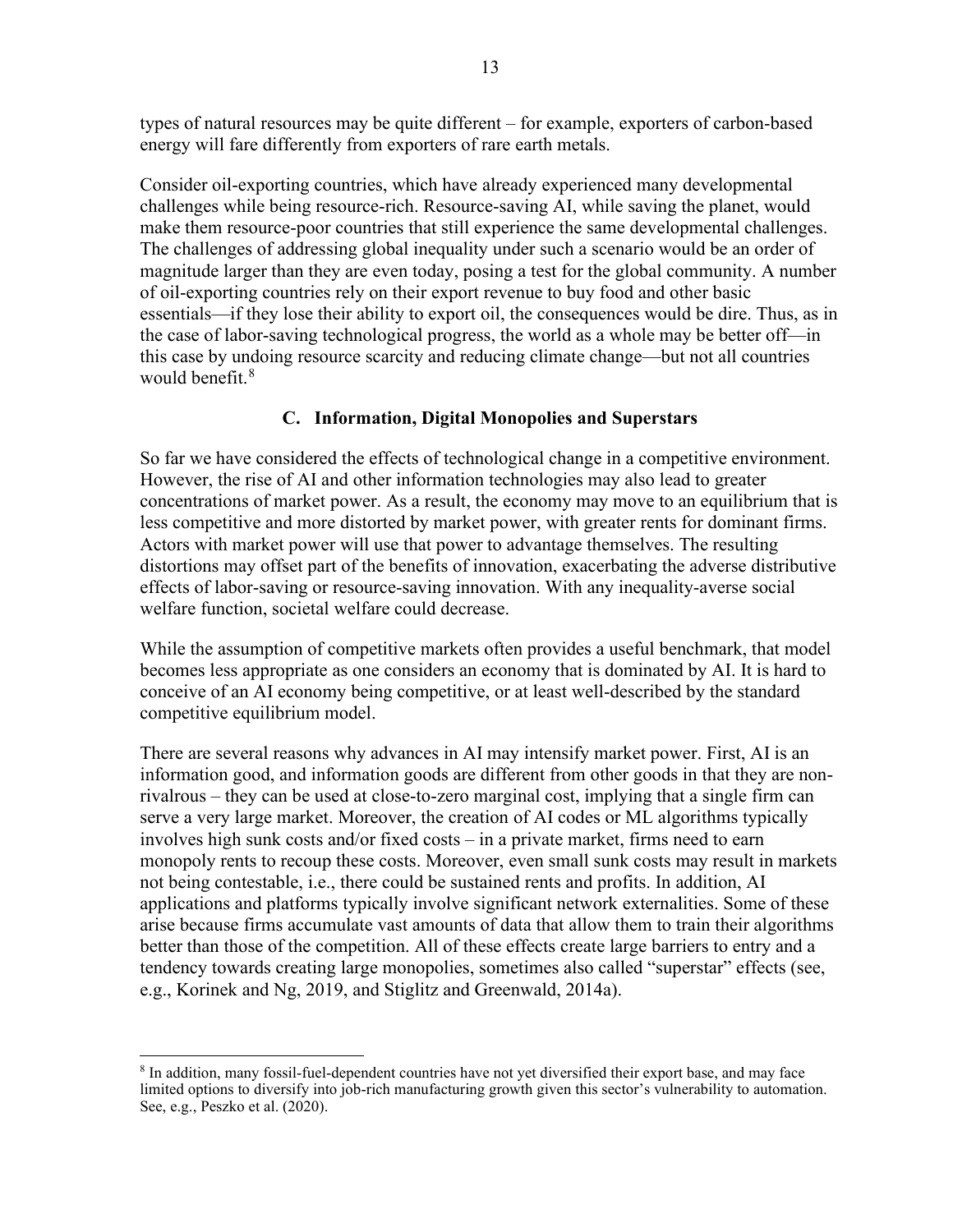types of natural resources may be quite different – for example, exporters of carbon-based energy will fare differently from exporters of rare earth metals.

Consider oil-exporting countries, which have already experienced many developmental challenges while being resource-rich. Resource-saving AI, while saving the planet, would make them resource-poor countries that still experience the same developmental challenges. The challenges of addressing global inequality under such a scenario would be an order of magnitude larger than they are even today, posing a test for the global community. A number of oil-exporting countries rely on their export revenue to buy food and other basic essentials—if they lose their ability to export oil, the consequences would be dire. Thus, as in the case of labor-saving technological progress, the world as a whole may be better off—in this case by undoing resource scarcity and reducing climate change—but not all countries would benefit.<sup>[8](#page-12-1)</sup>

## **C. Information, Digital Monopolies and Superstars**

<span id="page-12-0"></span>So far we have considered the effects of technological change in a competitive environment. However, the rise of AI and other information technologies may also lead to greater concentrations of market power. As a result, the economy may move to an equilibrium that is less competitive and more distorted by market power, with greater rents for dominant firms. Actors with market power will use that power to advantage themselves. The resulting distortions may offset part of the benefits of innovation, exacerbating the adverse distributive effects of labor-saving or resource-saving innovation. With any inequality-averse social welfare function, societal welfare could decrease.

While the assumption of competitive markets often provides a useful benchmark, that model becomes less appropriate as one considers an economy that is dominated by AI. It is hard to conceive of an AI economy being competitive, or at least well-described by the standard competitive equilibrium model.

There are several reasons why advances in AI may intensify market power. First, AI is an information good, and information goods are different from other goods in that they are nonrivalrous – they can be used at close-to-zero marginal cost, implying that a single firm can serve a very large market. Moreover, the creation of AI codes or ML algorithms typically involves high sunk costs and/or fixed costs – in a private market, firms need to earn monopoly rents to recoup these costs. Moreover, even small sunk costs may result in markets not being contestable, i.e., there could be sustained rents and profits. In addition, AI applications and platforms typically involve significant network externalities. Some of these arise because firms accumulate vast amounts of data that allow them to train their algorithms better than those of the competition. All of these effects create large barriers to entry and a tendency towards creating large monopolies, sometimes also called "superstar" effects (see, e.g., Korinek and Ng, 2019, and Stiglitz and Greenwald, 2014a).

<span id="page-12-1"></span><sup>&</sup>lt;sup>8</sup> In addition, many fossil-fuel-dependent countries have not yet diversified their export base, and may face limited options to diversify into job-rich manufacturing growth given this sector's vulnerability to automation. See, e.g., Peszko et al. (2020).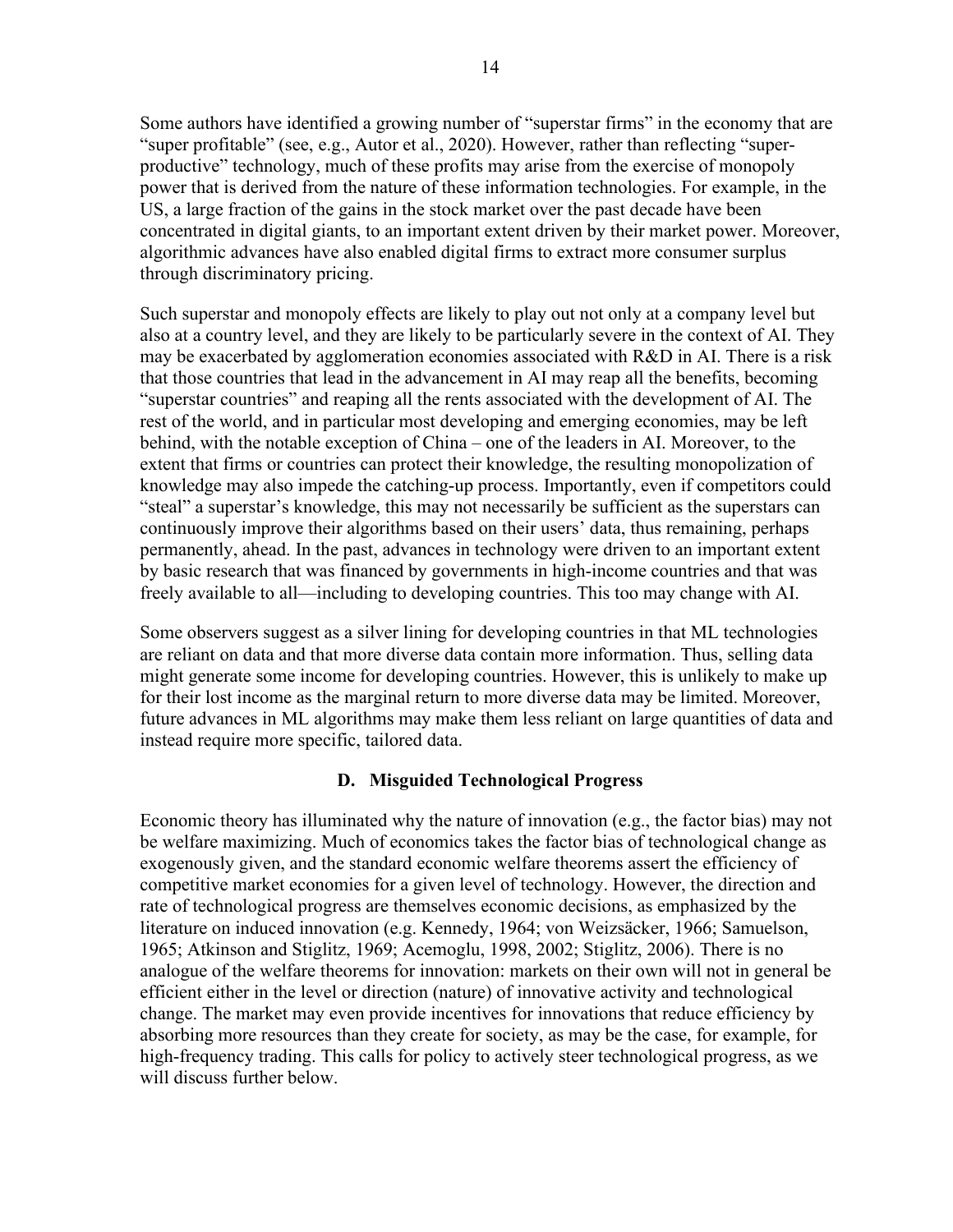Some authors have identified a growing number of "superstar firms" in the economy that are "super profitable" (see, e.g., Autor et al., 2020). However, rather than reflecting "superproductive" technology, much of these profits may arise from the exercise of monopoly power that is derived from the nature of these information technologies. For example, in the US, a large fraction of the gains in the stock market over the past decade have been concentrated in digital giants, to an important extent driven by their market power. Moreover, algorithmic advances have also enabled digital firms to extract more consumer surplus through discriminatory pricing.

Such superstar and monopoly effects are likely to play out not only at a company level but also at a country level, and they are likely to be particularly severe in the context of AI. They may be exacerbated by agglomeration economies associated with R&D in AI. There is a risk that those countries that lead in the advancement in AI may reap all the benefits, becoming "superstar countries" and reaping all the rents associated with the development of AI. The rest of the world, and in particular most developing and emerging economies, may be left behind, with the notable exception of China – one of the leaders in AI. Moreover, to the extent that firms or countries can protect their knowledge, the resulting monopolization of knowledge may also impede the catching-up process. Importantly, even if competitors could "steal" a superstar's knowledge, this may not necessarily be sufficient as the superstars can continuously improve their algorithms based on their users' data, thus remaining, perhaps permanently, ahead. In the past, advances in technology were driven to an important extent by basic research that was financed by governments in high-income countries and that was freely available to all—including to developing countries. This too may change with AI.

Some observers suggest as a silver lining for developing countries in that ML technologies are reliant on data and that more diverse data contain more information. Thus, selling data might generate some income for developing countries. However, this is unlikely to make up for their lost income as the marginal return to more diverse data may be limited. Moreover, future advances in ML algorithms may make them less reliant on large quantities of data and instead require more specific, tailored data.

#### **D. Misguided Technological Progress**

<span id="page-13-0"></span>Economic theory has illuminated why the nature of innovation (e.g., the factor bias) may not be welfare maximizing. Much of economics takes the factor bias of technological change as exogenously given, and the standard economic welfare theorems assert the efficiency of competitive market economies for a given level of technology. However, the direction and rate of technological progress are themselves economic decisions, as emphasized by the literature on induced innovation (e.g. Kennedy, 1964; von Weizsäcker, 1966; Samuelson, 1965; Atkinson and Stiglitz, 1969; Acemoglu, 1998, 2002; Stiglitz, 2006). There is no analogue of the welfare theorems for innovation: markets on their own will not in general be efficient either in the level or direction (nature) of innovative activity and technological change. The market may even provide incentives for innovations that reduce efficiency by absorbing more resources than they create for society, as may be the case, for example, for high-frequency trading. This calls for policy to actively steer technological progress, as we will discuss further below.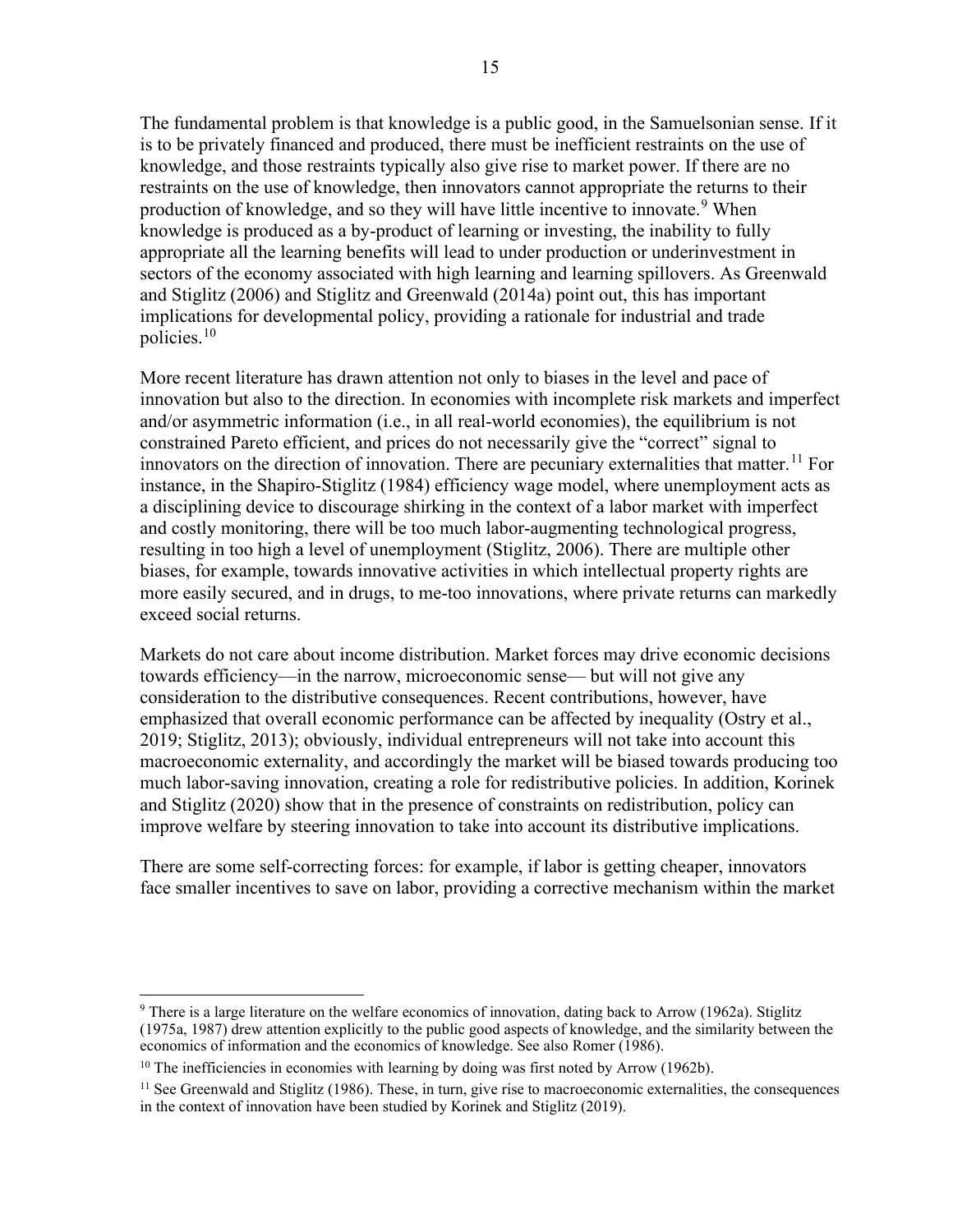The fundamental problem is that knowledge is a public good, in the Samuelsonian sense. If it is to be privately financed and produced, there must be inefficient restraints on the use of knowledge, and those restraints typically also give rise to market power. If there are no restraints on the use of knowledge, then innovators cannot appropriate the returns to their production of knowledge, and so they will have little incentive to innovate.<sup>[9](#page-14-0)</sup> When knowledge is produced as a by-product of learning or investing, the inability to fully appropriate all the learning benefits will lead to under production or underinvestment in sectors of the economy associated with high learning and learning spillovers. As Greenwald and Stiglitz (2006) and Stiglitz and Greenwald (2014a) point out, this has important implications for developmental policy, providing a rationale for industrial and trade policies. $10$ 

More recent literature has drawn attention not only to biases in the level and pace of innovation but also to the direction. In economies with incomplete risk markets and imperfect and/or asymmetric information (i.e., in all real-world economies), the equilibrium is not constrained Pareto efficient, and prices do not necessarily give the "correct" signal to innovators on the direction of innovation. There are pecuniary externalities that matter.<sup>[11](#page-14-2)</sup> For instance, in the Shapiro-Stiglitz (1984) efficiency wage model, where unemployment acts as a disciplining device to discourage shirking in the context of a labor market with imperfect and costly monitoring, there will be too much labor-augmenting technological progress, resulting in too high a level of unemployment (Stiglitz, 2006). There are multiple other biases, for example, towards innovative activities in which intellectual property rights are more easily secured, and in drugs, to me-too innovations, where private returns can markedly exceed social returns.

Markets do not care about income distribution. Market forces may drive economic decisions towards efficiency—in the narrow, microeconomic sense— but will not give any consideration to the distributive consequences. Recent contributions, however, have emphasized that overall economic performance can be affected by inequality (Ostry et al., 2019; Stiglitz, 2013); obviously, individual entrepreneurs will not take into account this macroeconomic externality, and accordingly the market will be biased towards producing too much labor-saving innovation, creating a role for redistributive policies. In addition, Korinek and Stiglitz (2020) show that in the presence of constraints on redistribution, policy can improve welfare by steering innovation to take into account its distributive implications.

There are some self-correcting forces: for example, if labor is getting cheaper, innovators face smaller incentives to save on labor, providing a corrective mechanism within the market

<span id="page-14-0"></span><sup>&</sup>lt;sup>9</sup> There is a large literature on the welfare economics of innovation, dating back to Arrow (1962a). Stiglitz (1975a, 1987) drew attention explicitly to the public good aspects of knowledge, and the similarity between the economics of information and the economics of knowledge. See also Romer (1986).

<span id="page-14-1"></span> $10$  The inefficiencies in economies with learning by doing was first noted by Arrow (1962b).

<span id="page-14-2"></span> $<sup>11</sup>$  See Greenwald and Stiglitz (1986). These, in turn, give rise to macroeconomic externalities, the consequences</sup> in the context of innovation have been studied by Korinek and Stiglitz (2019).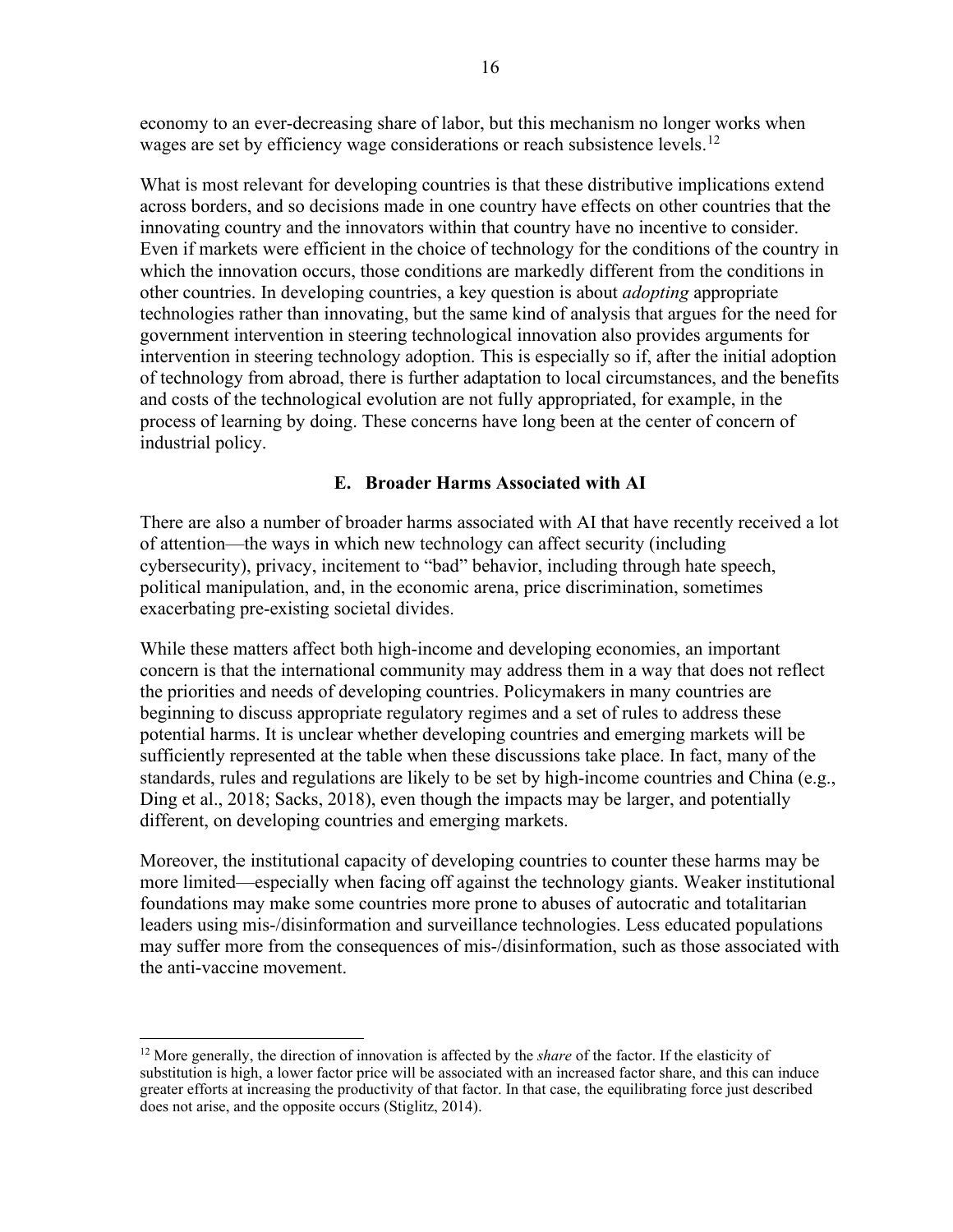economy to an ever-decreasing share of labor, but this mechanism no longer works when wages are set by efficiency wage considerations or reach subsistence levels.<sup>12</sup>

What is most relevant for developing countries is that these distributive implications extend across borders, and so decisions made in one country have effects on other countries that the innovating country and the innovators within that country have no incentive to consider. Even if markets were efficient in the choice of technology for the conditions of the country in which the innovation occurs, those conditions are markedly different from the conditions in other countries. In developing countries, a key question is about *adopting* appropriate technologies rather than innovating, but the same kind of analysis that argues for the need for government intervention in steering technological innovation also provides arguments for intervention in steering technology adoption. This is especially so if, after the initial adoption of technology from abroad, there is further adaptation to local circumstances, and the benefits and costs of the technological evolution are not fully appropriated, for example, in the process of learning by doing. These concerns have long been at the center of concern of industrial policy.

## **E. Broader Harms Associated with AI**

<span id="page-15-0"></span>There are also a number of broader harms associated with AI that have recently received a lot of attention—the ways in which new technology can affect security (including cybersecurity), privacy, incitement to "bad" behavior, including through hate speech, political manipulation, and, in the economic arena, price discrimination, sometimes exacerbating pre-existing societal divides.

While these matters affect both high-income and developing economies, an important concern is that the international community may address them in a way that does not reflect the priorities and needs of developing countries. Policymakers in many countries are beginning to discuss appropriate regulatory regimes and a set of rules to address these potential harms. It is unclear whether developing countries and emerging markets will be sufficiently represented at the table when these discussions take place. In fact, many of the standards, rules and regulations are likely to be set by high-income countries and China (e.g., Ding et al., 2018; Sacks, 2018), even though the impacts may be larger, and potentially different, on developing countries and emerging markets.

Moreover, the institutional capacity of developing countries to counter these harms may be more limited—especially when facing off against the technology giants. Weaker institutional foundations may make some countries more prone to abuses of autocratic and totalitarian leaders using mis-/disinformation and surveillance technologies. Less educated populations may suffer more from the consequences of mis-/disinformation, such as those associated with the anti-vaccine movement.

<span id="page-15-1"></span><sup>12</sup> More generally, the direction of innovation is affected by the *share* of the factor. If the elasticity of substitution is high, a lower factor price will be associated with an increased factor share, and this can induce greater efforts at increasing the productivity of that factor. In that case, the equilibrating force just described does not arise, and the opposite occurs (Stiglitz, 2014).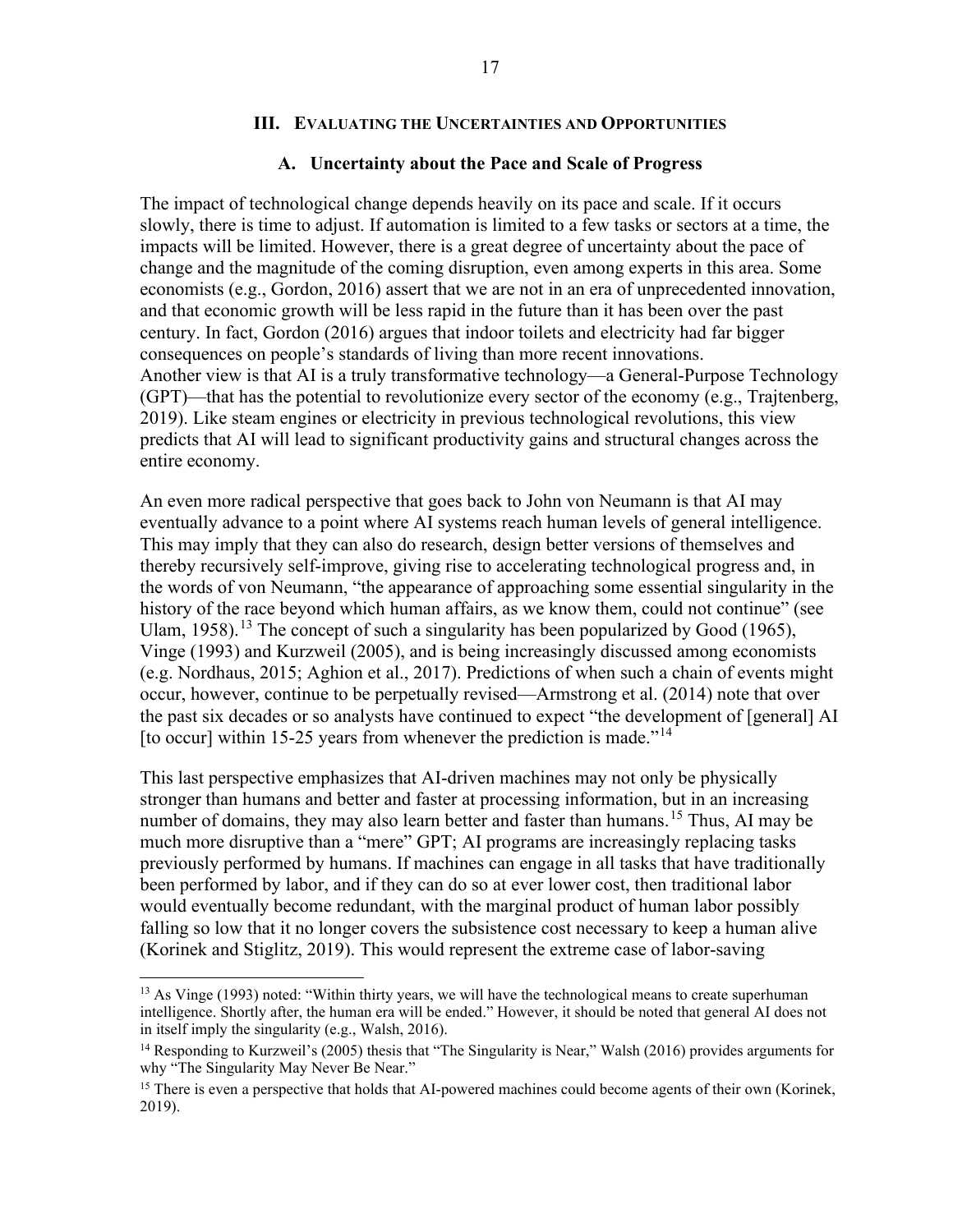#### **III. EVALUATING THE UNCERTAINTIES AND OPPORTUNITIES**

#### **A. Uncertainty about the Pace and Scale of Progress**

<span id="page-16-1"></span><span id="page-16-0"></span>The impact of technological change depends heavily on its pace and scale. If it occurs slowly, there is time to adjust. If automation is limited to a few tasks or sectors at a time, the impacts will be limited. However, there is a great degree of uncertainty about the pace of change and the magnitude of the coming disruption, even among experts in this area. Some economists (e.g., Gordon, 2016) assert that we are not in an era of unprecedented innovation, and that economic growth will be less rapid in the future than it has been over the past century. In fact, Gordon (2016) argues that indoor toilets and electricity had far bigger consequences on people's standards of living than more recent innovations. Another view is that AI is a truly transformative technology—a General-Purpose Technology (GPT)—that has the potential to revolutionize every sector of the economy (e.g., Trajtenberg, 2019). Like steam engines or electricity in previous technological revolutions, this view predicts that AI will lead to significant productivity gains and structural changes across the entire economy.

An even more radical perspective that goes back to John von Neumann is that AI may eventually advance to a point where AI systems reach human levels of general intelligence. This may imply that they can also do research, design better versions of themselves and thereby recursively self-improve, giving rise to accelerating technological progress and, in the words of von Neumann, "the appearance of approaching some essential singularity in the history of the race beyond which human affairs, as we know them, could not continue" (see Ulam, 1958).<sup>[13](#page-16-2)</sup> The concept of such a singularity has been popularized by Good (1965), Vinge (1993) and Kurzweil (2005), and is being increasingly discussed among economists (e.g. Nordhaus, 2015; Aghion et al., 2017). Predictions of when such a chain of events might occur, however, continue to be perpetually revised—Armstrong et al. (2014) note that over the past six decades or so analysts have continued to expect "the development of [general] AI [to occur] within 15-25 years from whenever the prediction is made."<sup>[14](#page-16-3)</sup>

This last perspective emphasizes that AI-driven machines may not only be physically stronger than humans and better and faster at processing information, but in an increasing number of domains, they may also learn better and faster than humans.<sup>[15](#page-16-4)</sup> Thus, AI may be much more disruptive than a "mere" GPT; AI programs are increasingly replacing tasks previously performed by humans. If machines can engage in all tasks that have traditionally been performed by labor, and if they can do so at ever lower cost, then traditional labor would eventually become redundant, with the marginal product of human labor possibly falling so low that it no longer covers the subsistence cost necessary to keep a human alive (Korinek and Stiglitz, 2019). This would represent the extreme case of labor-saving

<span id="page-16-2"></span><sup>&</sup>lt;sup>13</sup> As Vinge (1993) noted: "Within thirty years, we will have the technological means to create superhuman intelligence. Shortly after, the human era will be ended." However, it should be noted that general AI does not in itself imply the singularity (e.g., Walsh, 2016).

<span id="page-16-3"></span><sup>&</sup>lt;sup>14</sup> Responding to Kurzweil's (2005) thesis that "The Singularity is Near," Walsh (2016) provides arguments for why "The Singularity May Never Be Near."

<span id="page-16-4"></span><sup>&</sup>lt;sup>15</sup> There is even a perspective that holds that AI-powered machines could become agents of their own (Korinek, 2019).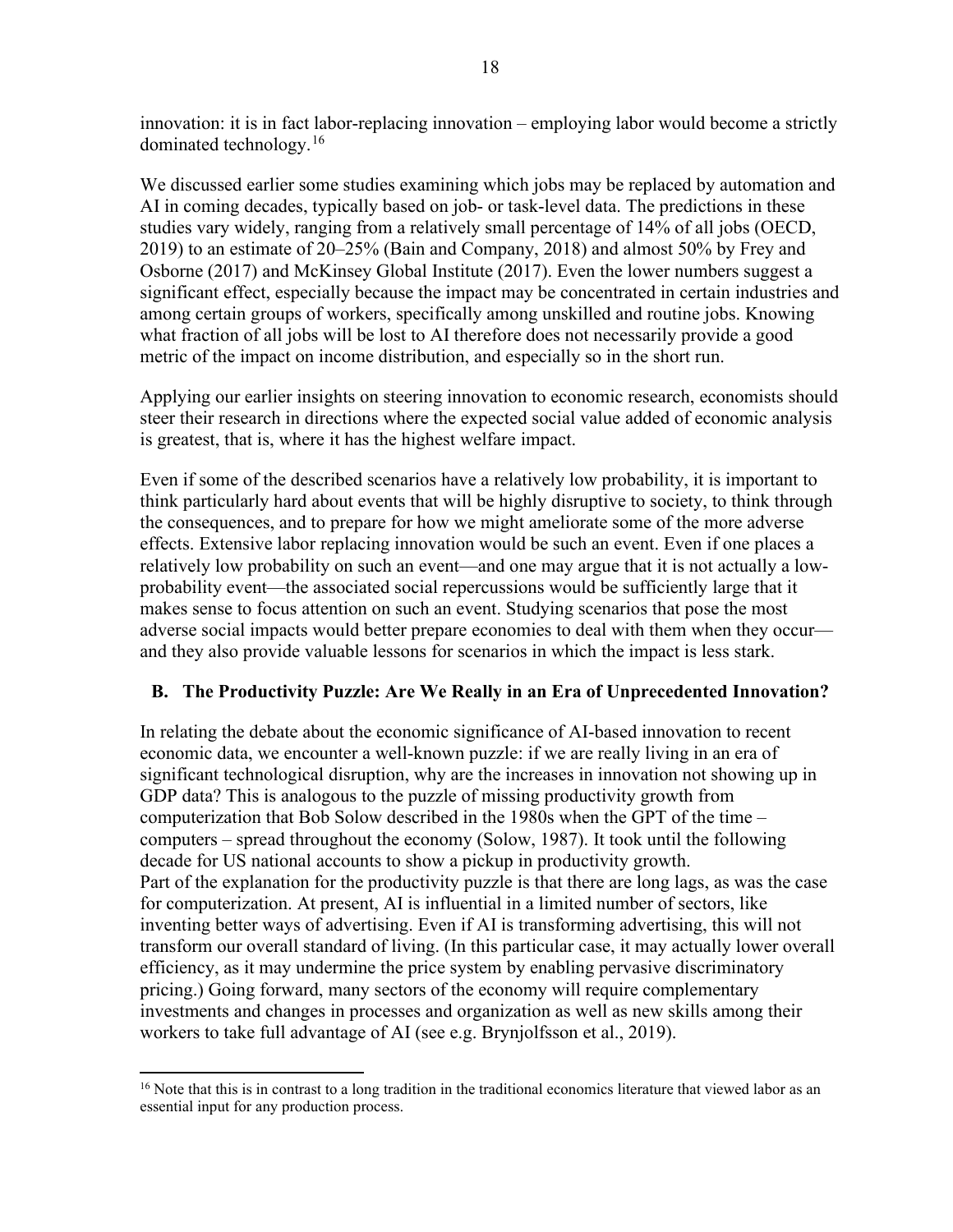innovation: it is in fact labor-replacing innovation – employing labor would become a strictly dominated technology.<sup>[16](#page-17-1)</sup>

We discussed earlier some studies examining which jobs may be replaced by automation and AI in coming decades, typically based on job- or task-level data. The predictions in these studies vary widely, ranging from a relatively small percentage of 14% of all jobs (OECD, 2019) to an estimate of 20–25% (Bain and Company, 2018) and almost 50% by Frey and Osborne (2017) and McKinsey Global Institute (2017). Even the lower numbers suggest a significant effect, especially because the impact may be concentrated in certain industries and among certain groups of workers, specifically among unskilled and routine jobs. Knowing what fraction of all jobs will be lost to AI therefore does not necessarily provide a good metric of the impact on income distribution, and especially so in the short run.

Applying our earlier insights on steering innovation to economic research, economists should steer their research in directions where the expected social value added of economic analysis is greatest, that is, where it has the highest welfare impact.

Even if some of the described scenarios have a relatively low probability, it is important to think particularly hard about events that will be highly disruptive to society, to think through the consequences, and to prepare for how we might ameliorate some of the more adverse effects. Extensive labor replacing innovation would be such an event. Even if one places a relatively low probability on such an event—and one may argue that it is not actually a lowprobability event—the associated social repercussions would be sufficiently large that it makes sense to focus attention on such an event. Studying scenarios that pose the most adverse social impacts would better prepare economies to deal with them when they occur and they also provide valuable lessons for scenarios in which the impact is less stark.

## <span id="page-17-0"></span>**B. The Productivity Puzzle: Are We Really in an Era of Unprecedented Innovation?**

In relating the debate about the economic significance of AI-based innovation to recent economic data, we encounter a well-known puzzle: if we are really living in an era of significant technological disruption, why are the increases in innovation not showing up in GDP data? This is analogous to the puzzle of missing productivity growth from computerization that Bob Solow described in the 1980s when the GPT of the time – computers – spread throughout the economy (Solow, 1987). It took until the following decade for US national accounts to show a pickup in productivity growth. Part of the explanation for the productivity puzzle is that there are long lags, as was the case for computerization. At present, AI is influential in a limited number of sectors, like inventing better ways of advertising. Even if AI is transforming advertising, this will not transform our overall standard of living. (In this particular case, it may actually lower overall efficiency, as it may undermine the price system by enabling pervasive discriminatory pricing.) Going forward, many sectors of the economy will require complementary investments and changes in processes and organization as well as new skills among their workers to take full advantage of AI (see e.g. Brynjolfsson et al., 2019).

<span id="page-17-1"></span> $16$  Note that this is in contrast to a long tradition in the traditional economics literature that viewed labor as an essential input for any production process.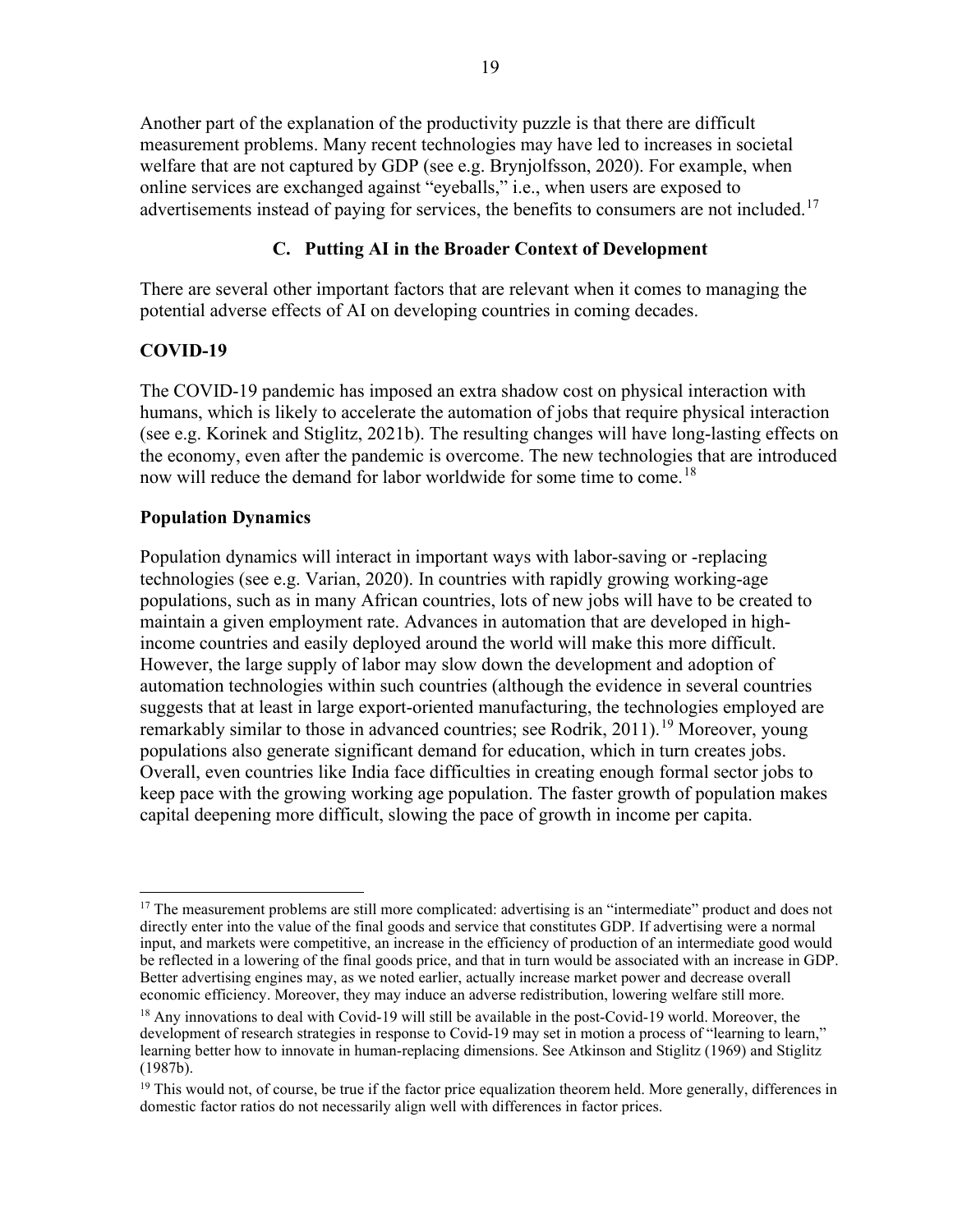Another part of the explanation of the productivity puzzle is that there are difficult measurement problems. Many recent technologies may have led to increases in societal welfare that are not captured by GDP (see e.g. Brynjolfsson, 2020). For example, when online services are exchanged against "eyeballs," i.e., when users are exposed to advertisements instead of paying for services, the benefits to consumers are not included.<sup>[17](#page-18-1)</sup>

#### **C. Putting AI in the Broader Context of Development**

<span id="page-18-0"></span>There are several other important factors that are relevant when it comes to managing the potential adverse effects of AI on developing countries in coming decades.

#### **COVID-19**

The COVID-19 pandemic has imposed an extra shadow cost on physical interaction with humans, which is likely to accelerate the automation of jobs that require physical interaction (see e.g. Korinek and Stiglitz, 2021b). The resulting changes will have long-lasting effects on the economy, even after the pandemic is overcome. The new technologies that are introduced now will reduce the demand for labor worldwide for some time to come.<sup>[18](#page-18-2)</sup>

#### **Population Dynamics**

Population dynamics will interact in important ways with labor-saving or -replacing technologies (see e.g. Varian, 2020). In countries with rapidly growing working-age populations, such as in many African countries, lots of new jobs will have to be created to maintain a given employment rate. Advances in automation that are developed in highincome countries and easily deployed around the world will make this more difficult. However, the large supply of labor may slow down the development and adoption of automation technologies within such countries (although the evidence in several countries suggests that at least in large export-oriented manufacturing, the technologies employed are remarkably similar to those in advanced countries; see Rodrik,  $2011$ ).<sup>[19](#page-18-3)</sup> Moreover, young populations also generate significant demand for education, which in turn creates jobs. Overall, even countries like India face difficulties in creating enough formal sector jobs to keep pace with the growing working age population. The faster growth of population makes capital deepening more difficult, slowing the pace of growth in income per capita.

<span id="page-18-1"></span> $17$  The measurement problems are still more complicated: advertising is an "intermediate" product and does not directly enter into the value of the final goods and service that constitutes GDP. If advertising were a normal input, and markets were competitive, an increase in the efficiency of production of an intermediate good would be reflected in a lowering of the final goods price, and that in turn would be associated with an increase in GDP. Better advertising engines may, as we noted earlier, actually increase market power and decrease overall economic efficiency. Moreover, they may induce an adverse redistribution, lowering welfare still more.

<span id="page-18-2"></span><sup>&</sup>lt;sup>18</sup> Any innovations to deal with Covid-19 will still be available in the post-Covid-19 world. Moreover, the development of research strategies in response to Covid-19 may set in motion a process of "learning to learn," learning better how to innovate in human-replacing dimensions. See Atkinson and Stiglitz (1969) and Stiglitz (1987b).

<span id="page-18-3"></span> $19$  This would not, of course, be true if the factor price equalization theorem held. More generally, differences in domestic factor ratios do not necessarily align well with differences in factor prices.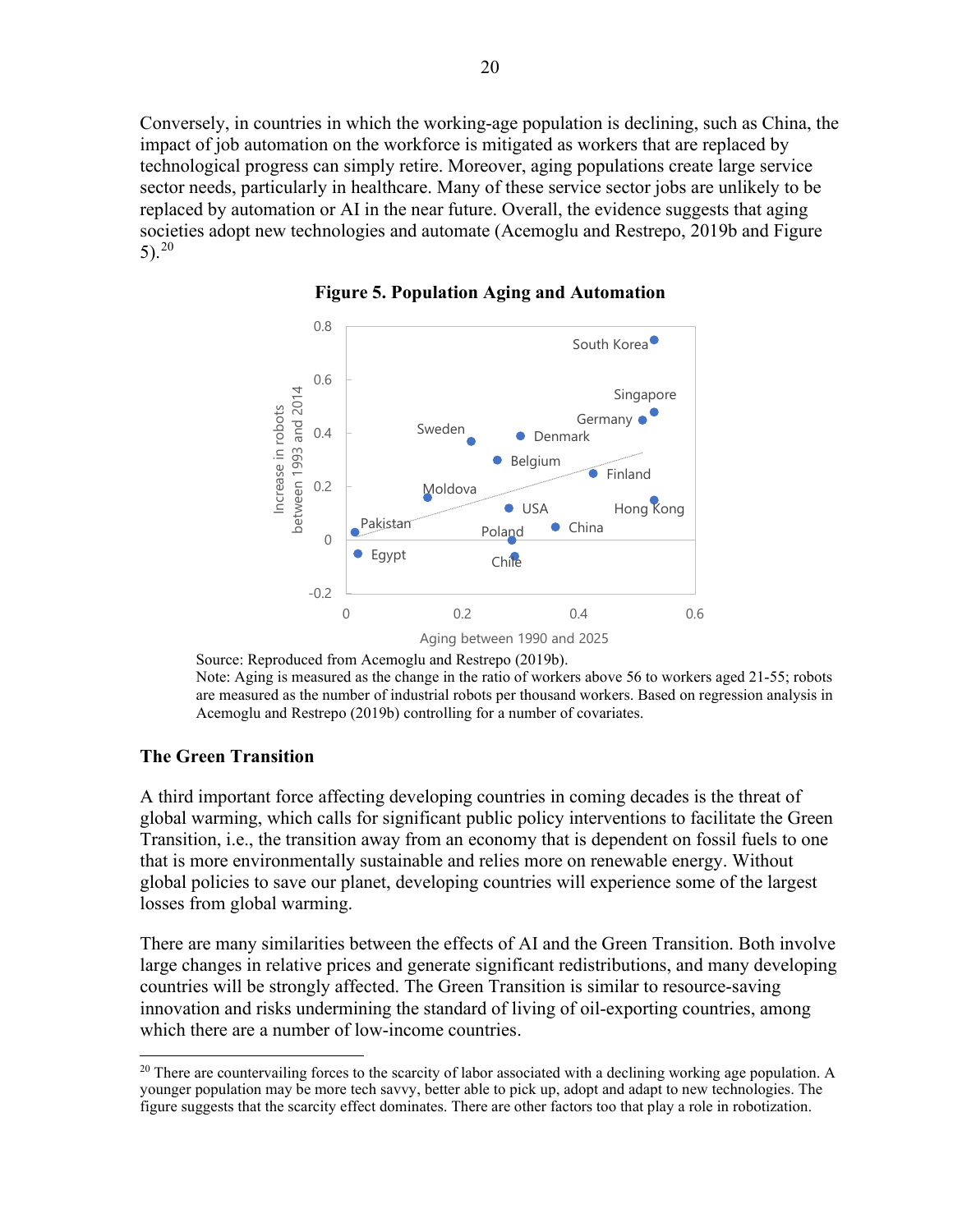Conversely, in countries in which the working-age population is declining, such as China, the impact of job automation on the workforce is mitigated as workers that are replaced by technological progress can simply retire. Moreover, aging populations create large service sector needs, particularly in healthcare. Many of these service sector jobs are unlikely to be replaced by automation or AI in the near future. Overall, the evidence suggests that aging societies adopt new technologies and automate (Acemoglu and Restrepo, 2019b and Figure  $5)$ <sup>[20](#page-19-0)</sup>



#### **Figure 5. Population Aging and Automation**

Source: Reproduced from Acemoglu and Restrepo (2019b). Note: Aging is measured as the change in the ratio of workers above 56 to workers aged 21-55; robots are measured as the number of industrial robots per thousand workers. Based on regression analysis in Acemoglu and Restrepo (2019b) controlling for a number of covariates.

#### **The Green Transition**

A third important force affecting developing countries in coming decades is the threat of global warming, which calls for significant public policy interventions to facilitate the Green Transition, i.e., the transition away from an economy that is dependent on fossil fuels to one that is more environmentally sustainable and relies more on renewable energy. Without global policies to save our planet, developing countries will experience some of the largest losses from global warming.

There are many similarities between the effects of AI and the Green Transition. Both involve large changes in relative prices and generate significant redistributions, and many developing countries will be strongly affected. The Green Transition is similar to resource-saving innovation and risks undermining the standard of living of oil-exporting countries, among which there are a number of low-income countries.

<span id="page-19-0"></span> $20$  There are countervailing forces to the scarcity of labor associated with a declining working age population. A younger population may be more tech savvy, better able to pick up, adopt and adapt to new technologies. The figure suggests that the scarcity effect dominates. There are other factors too that play a role in robotization.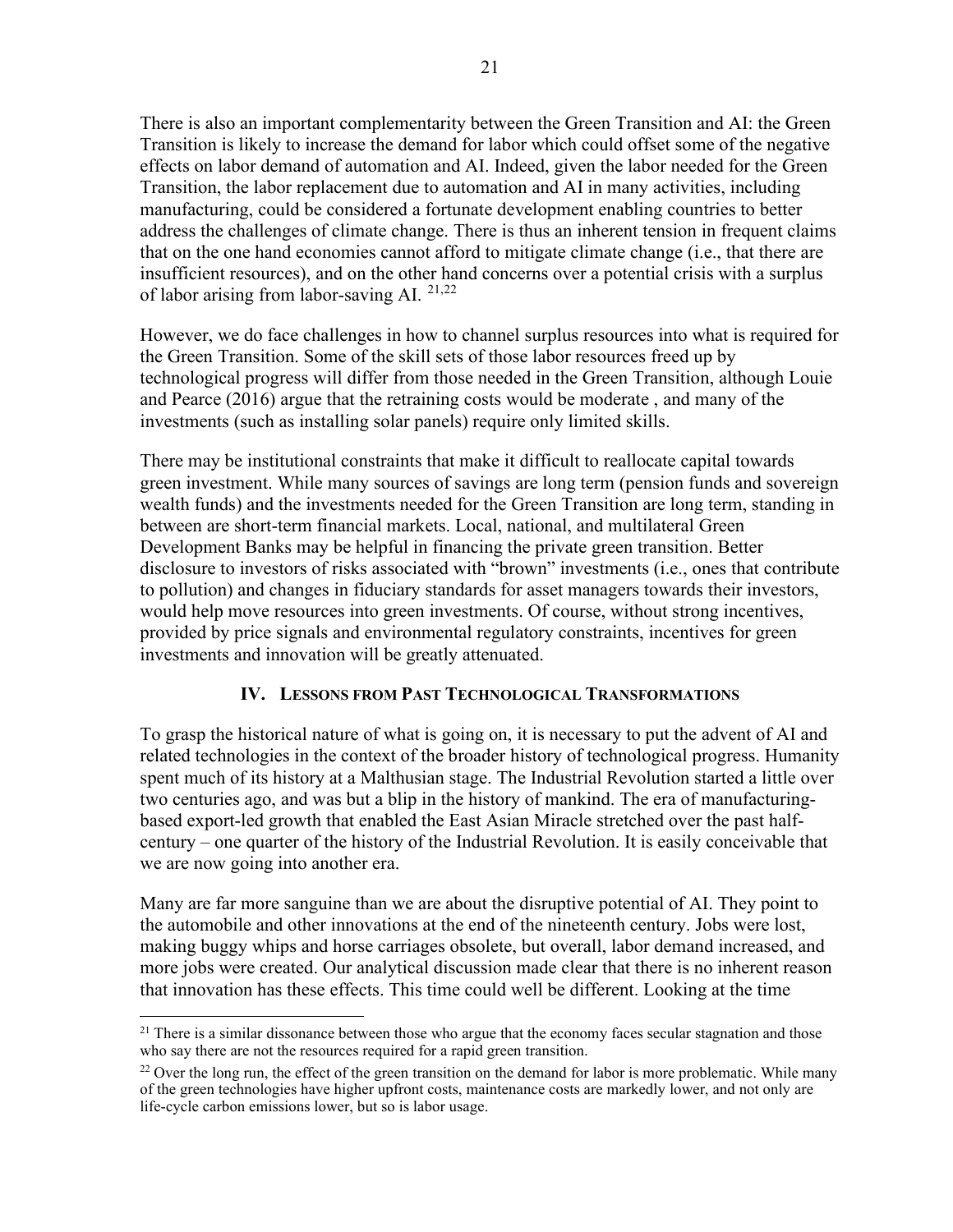There is also an important complementarity between the Green Transition and AI: the Green Transition is likely to increase the demand for labor which could offset some of the negative effects on labor demand of automation and AI. Indeed, given the labor needed for the Green Transition, the labor replacement due to automation and AI in many activities, including manufacturing, could be considered a fortunate development enabling countries to better address the challenges of climate change. There is thus an inherent tension in frequent claims that on the one hand economies cannot afford to mitigate climate change (i.e., that there are insufficient resources), and on the other hand concerns over a potential crisis with a surplus of labor arising from labor-saving AI. [21](#page-20-1)[,22](#page-20-2)

However, we do face challenges in how to channel surplus resources into what is required for the Green Transition. Some of the skill sets of those labor resources freed up by technological progress will differ from those needed in the Green Transition, although Louie and Pearce (2016) argue that the retraining costs would be moderate , and many of the investments (such as installing solar panels) require only limited skills.

There may be institutional constraints that make it difficult to reallocate capital towards green investment. While many sources of savings are long term (pension funds and sovereign wealth funds) and the investments needed for the Green Transition are long term, standing in between are short-term financial markets. Local, national, and multilateral Green Development Banks may be helpful in financing the private green transition. Better disclosure to investors of risks associated with "brown" investments (i.e., ones that contribute to pollution) and changes in fiduciary standards for asset managers towards their investors, would help move resources into green investments. Of course, without strong incentives, provided by price signals and environmental regulatory constraints, incentives for green investments and innovation will be greatly attenuated.

## **IV. LESSONS FROM PAST TECHNOLOGICAL TRANSFORMATIONS**

<span id="page-20-0"></span>To grasp the historical nature of what is going on, it is necessary to put the advent of AI and related technologies in the context of the broader history of technological progress. Humanity spent much of its history at a Malthusian stage. The Industrial Revolution started a little over two centuries ago, and was but a blip in the history of mankind. The era of manufacturingbased export-led growth that enabled the East Asian Miracle stretched over the past halfcentury – one quarter of the history of the Industrial Revolution. It is easily conceivable that we are now going into another era.

Many are far more sanguine than we are about the disruptive potential of AI. They point to the automobile and other innovations at the end of the nineteenth century. Jobs were lost, making buggy whips and horse carriages obsolete, but overall, labor demand increased, and more jobs were created. Our analytical discussion made clear that there is no inherent reason that innovation has these effects. This time could well be different. Looking at the time

<span id="page-20-1"></span><sup>&</sup>lt;sup>21</sup> There is a similar dissonance between those who argue that the economy faces secular stagnation and those who say there are not the resources required for a rapid green transition.

<span id="page-20-2"></span><sup>&</sup>lt;sup>22</sup> Over the long run, the effect of the green transition on the demand for labor is more problematic. While many of the green technologies have higher upfront costs, maintenance costs are markedly lower, and not only are life-cycle carbon emissions lower, but so is labor usage.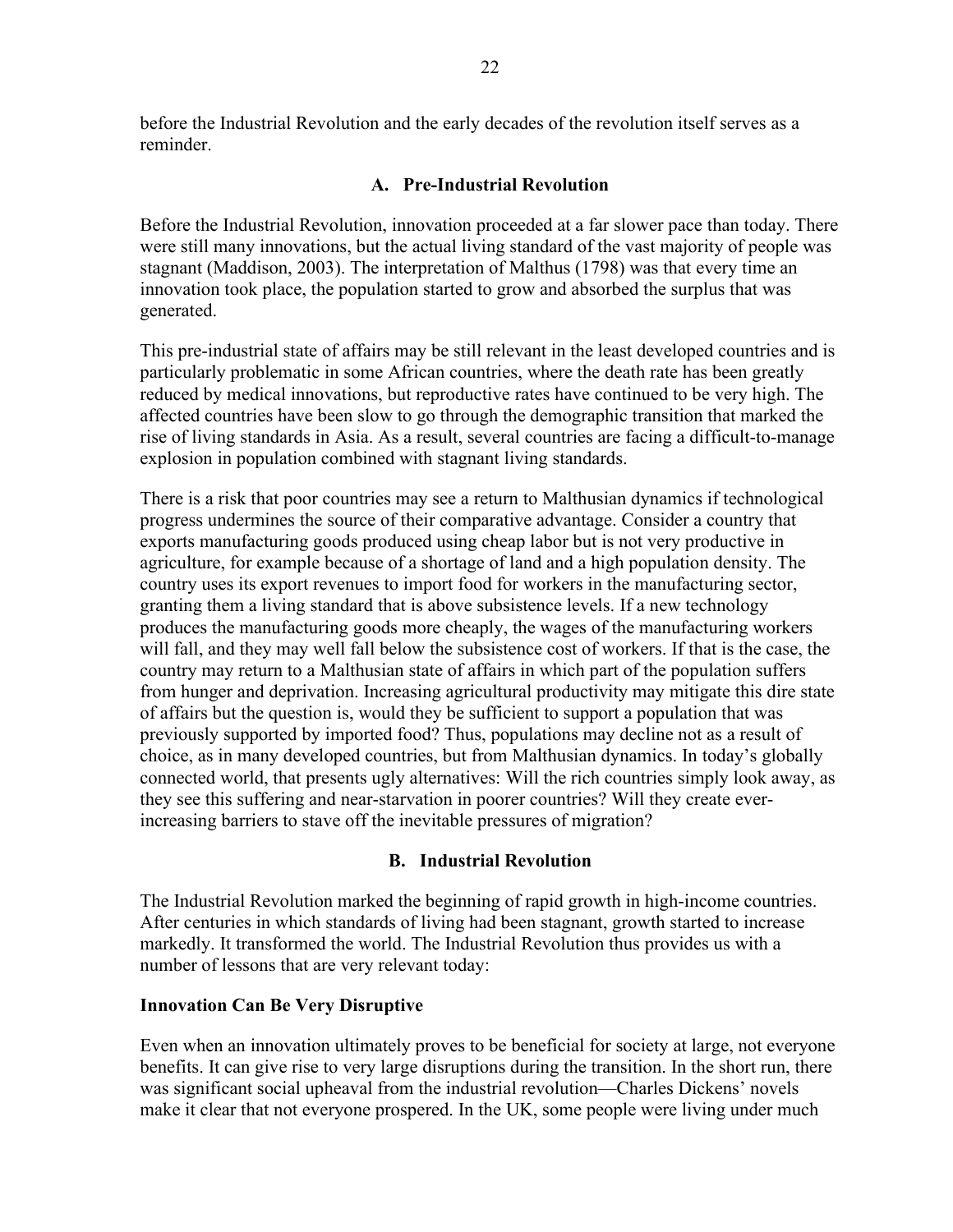before the Industrial Revolution and the early decades of the revolution itself serves as a reminder.

## **A. Pre-Industrial Revolution**

<span id="page-21-0"></span>Before the Industrial Revolution, innovation proceeded at a far slower pace than today. There were still many innovations, but the actual living standard of the vast majority of people was stagnant (Maddison, 2003). The interpretation of Malthus (1798) was that every time an innovation took place, the population started to grow and absorbed the surplus that was generated.

This pre-industrial state of affairs may be still relevant in the least developed countries and is particularly problematic in some African countries, where the death rate has been greatly reduced by medical innovations, but reproductive rates have continued to be very high. The affected countries have been slow to go through the demographic transition that marked the rise of living standards in Asia. As a result, several countries are facing a difficult-to-manage explosion in population combined with stagnant living standards.

There is a risk that poor countries may see a return to Malthusian dynamics if technological progress undermines the source of their comparative advantage. Consider a country that exports manufacturing goods produced using cheap labor but is not very productive in agriculture, for example because of a shortage of land and a high population density. The country uses its export revenues to import food for workers in the manufacturing sector, granting them a living standard that is above subsistence levels. If a new technology produces the manufacturing goods more cheaply, the wages of the manufacturing workers will fall, and they may well fall below the subsistence cost of workers. If that is the case, the country may return to a Malthusian state of affairs in which part of the population suffers from hunger and deprivation. Increasing agricultural productivity may mitigate this dire state of affairs but the question is, would they be sufficient to support a population that was previously supported by imported food? Thus, populations may decline not as a result of choice, as in many developed countries, but from Malthusian dynamics. In today's globally connected world, that presents ugly alternatives: Will the rich countries simply look away, as they see this suffering and near-starvation in poorer countries? Will they create everincreasing barriers to stave off the inevitable pressures of migration?

## **B. Industrial Revolution**

<span id="page-21-1"></span>The Industrial Revolution marked the beginning of rapid growth in high-income countries. After centuries in which standards of living had been stagnant, growth started to increase markedly. It transformed the world. The Industrial Revolution thus provides us with a number of lessons that are very relevant today:

## **Innovation Can Be Very Disruptive**

Even when an innovation ultimately proves to be beneficial for society at large, not everyone benefits. It can give rise to very large disruptions during the transition. In the short run, there was significant social upheaval from the industrial revolution—Charles Dickens' novels make it clear that not everyone prospered. In the UK, some people were living under much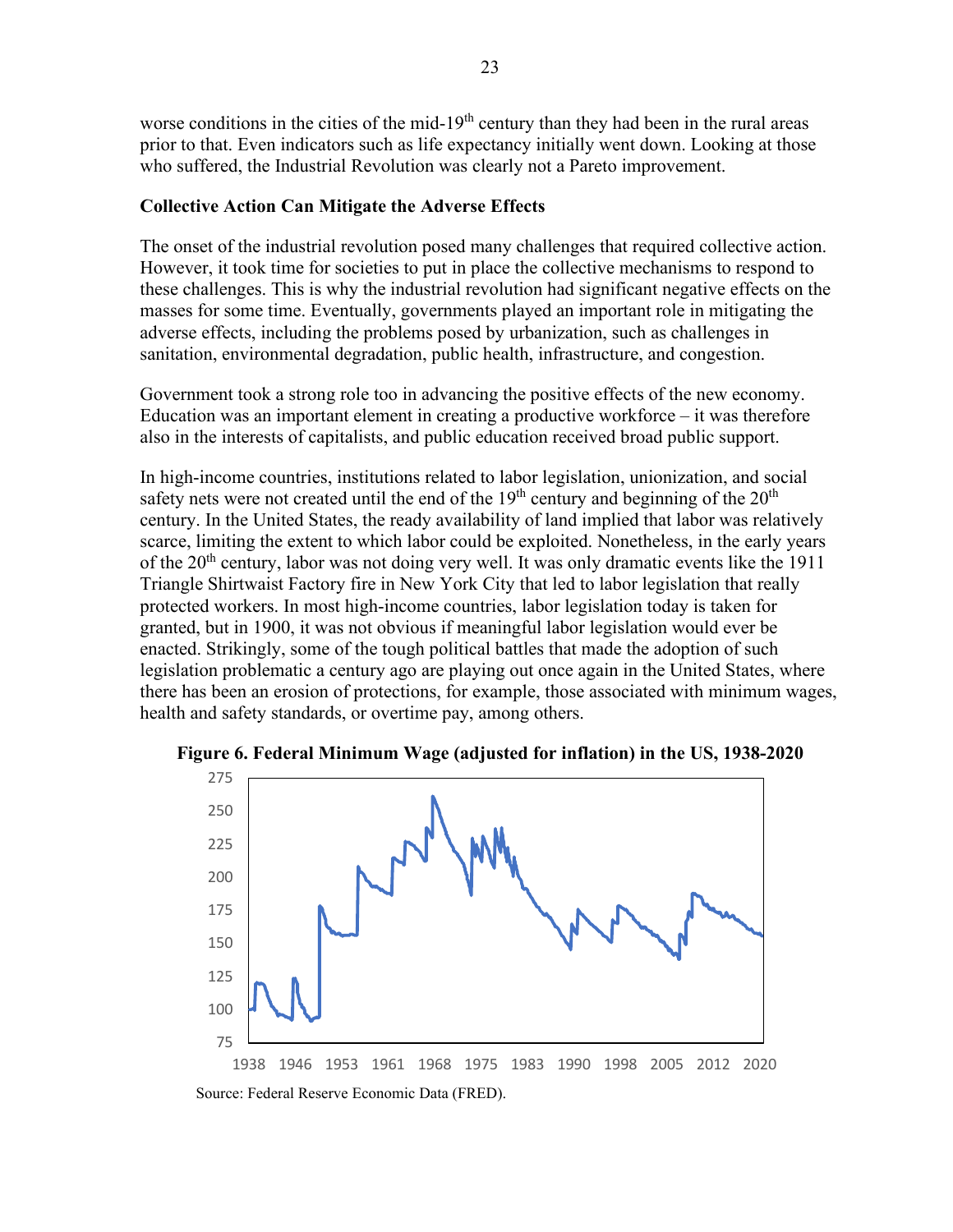worse conditions in the cities of the mid-19<sup>th</sup> century than they had been in the rural areas prior to that. Even indicators such as life expectancy initially went down. Looking at those who suffered, the Industrial Revolution was clearly not a Pareto improvement.

#### **Collective Action Can Mitigate the Adverse Effects**

The onset of the industrial revolution posed many challenges that required collective action. However, it took time for societies to put in place the collective mechanisms to respond to these challenges. This is why the industrial revolution had significant negative effects on the masses for some time. Eventually, governments played an important role in mitigating the adverse effects, including the problems posed by urbanization, such as challenges in sanitation, environmental degradation, public health, infrastructure, and congestion.

Government took a strong role too in advancing the positive effects of the new economy. Education was an important element in creating a productive workforce – it was therefore also in the interests of capitalists, and public education received broad public support.

In high-income countries, institutions related to labor legislation, unionization, and social safety nets were not created until the end of the  $19<sup>th</sup>$  century and beginning of the  $20<sup>th</sup>$ century. In the United States, the ready availability of land implied that labor was relatively scarce, limiting the extent to which labor could be exploited. Nonetheless, in the early years of the  $20<sup>th</sup>$  century, labor was not doing very well. It was only dramatic events like the 1911 Triangle Shirtwaist Factory fire in New York City that led to labor legislation that really protected workers. In most high-income countries, labor legislation today is taken for granted, but in 1900, it was not obvious if meaningful labor legislation would ever be enacted. Strikingly, some of the tough political battles that made the adoption of such legislation problematic a century ago are playing out once again in the United States, where there has been an erosion of protections, for example, those associated with minimum wages, health and safety standards, or overtime pay, among others. 



**Figure 6. Federal Minimum Wage (adjusted for inflation) in the US, 1938-2020**

Source: Federal Reserve Economic Data (FRED).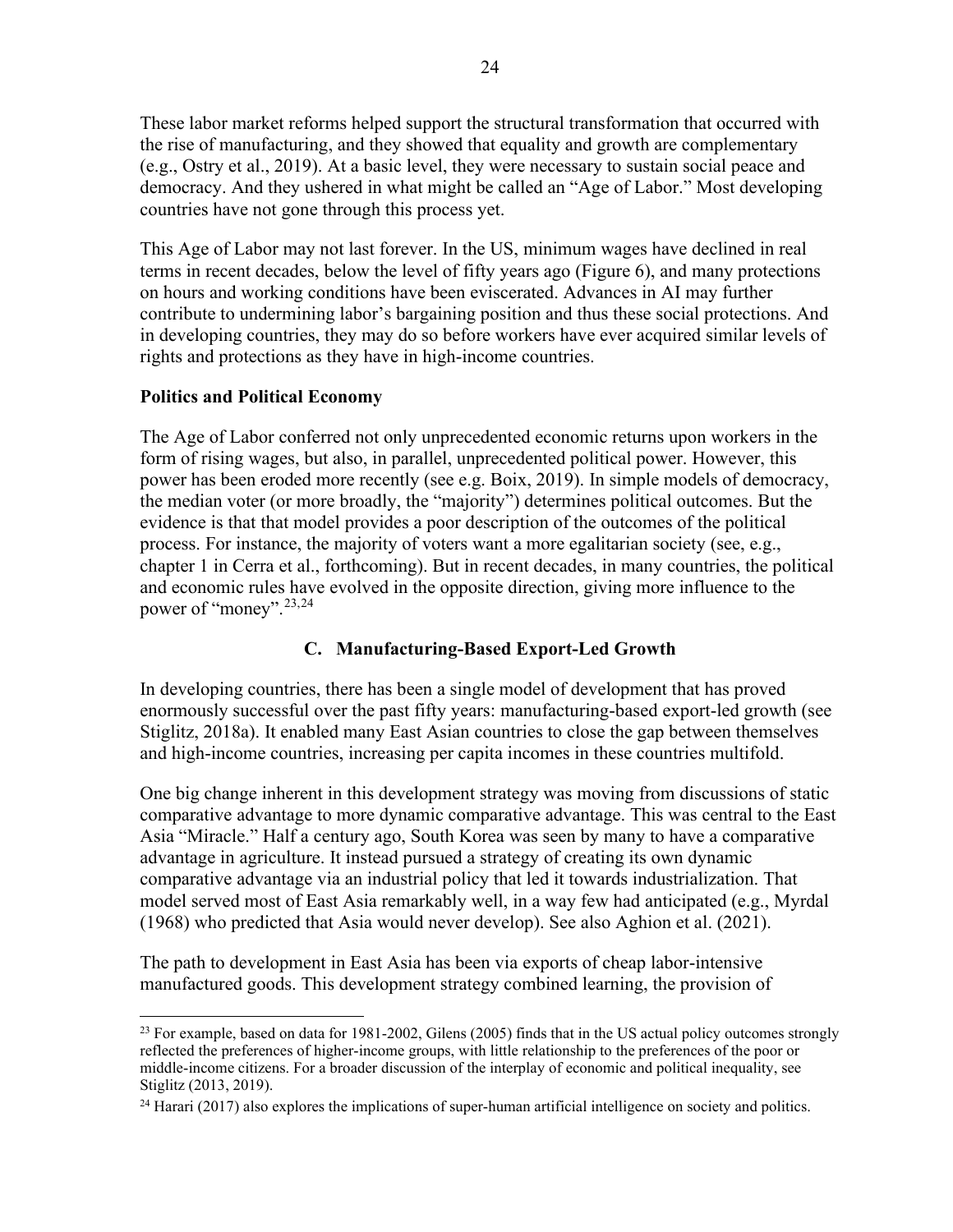These labor market reforms helped support the structural transformation that occurred with the rise of manufacturing, and they showed that equality and growth are complementary (e.g., Ostry et al., 2019). At a basic level, they were necessary to sustain social peace and democracy. And they ushered in what might be called an "Age of Labor." Most developing countries have not gone through this process yet.

This Age of Labor may not last forever. In the US, minimum wages have declined in real terms in recent decades, below the level of fifty years ago (Figure 6), and many protections on hours and working conditions have been eviscerated. Advances in AI may further contribute to undermining labor's bargaining position and thus these social protections. And in developing countries, they may do so before workers have ever acquired similar levels of rights and protections as they have in high-income countries.

#### **Politics and Political Economy**

The Age of Labor conferred not only unprecedented economic returns upon workers in the form of rising wages, but also, in parallel, unprecedented political power. However, this power has been eroded more recently (see e.g. Boix, 2019). In simple models of democracy, the median voter (or more broadly, the "majority") determines political outcomes. But the evidence is that that model provides a poor description of the outcomes of the political process. For instance, the majority of voters want a more egalitarian society (see, e.g., chapter 1 in Cerra et al., forthcoming). But in recent decades, in many countries, the political and economic rules have evolved in the opposite direction, giving more influence to the power of "money".<sup>[23,](#page-23-1)[24](#page-23-2)</sup>

#### **C. Manufacturing-Based Export-Led Growth**

<span id="page-23-0"></span>In developing countries, there has been a single model of development that has proved enormously successful over the past fifty years: manufacturing-based export-led growth (see Stiglitz, 2018a). It enabled many East Asian countries to close the gap between themselves and high-income countries, increasing per capita incomes in these countries multifold.

One big change inherent in this development strategy was moving from discussions of static comparative advantage to more dynamic comparative advantage. This was central to the East Asia "Miracle." Half a century ago, South Korea was seen by many to have a comparative advantage in agriculture. It instead pursued a strategy of creating its own dynamic comparative advantage via an industrial policy that led it towards industrialization. That model served most of East Asia remarkably well, in a way few had anticipated (e.g., Myrdal (1968) who predicted that Asia would never develop). See also Aghion et al. (2021).

The path to development in East Asia has been via exports of cheap labor-intensive manufactured goods. This development strategy combined learning, the provision of

<span id="page-23-1"></span> $^{23}$  For example, based on data for 1981-2002, Gilens (2005) finds that in the US actual policy outcomes strongly reflected the preferences of higher-income groups, with little relationship to the preferences of the poor or middle-income citizens. For a broader discussion of the interplay of economic and political inequality, see Stiglitz (2013, 2019).

<span id="page-23-2"></span><sup>&</sup>lt;sup>24</sup> Harari (2017) also explores the implications of super-human artificial intelligence on society and politics.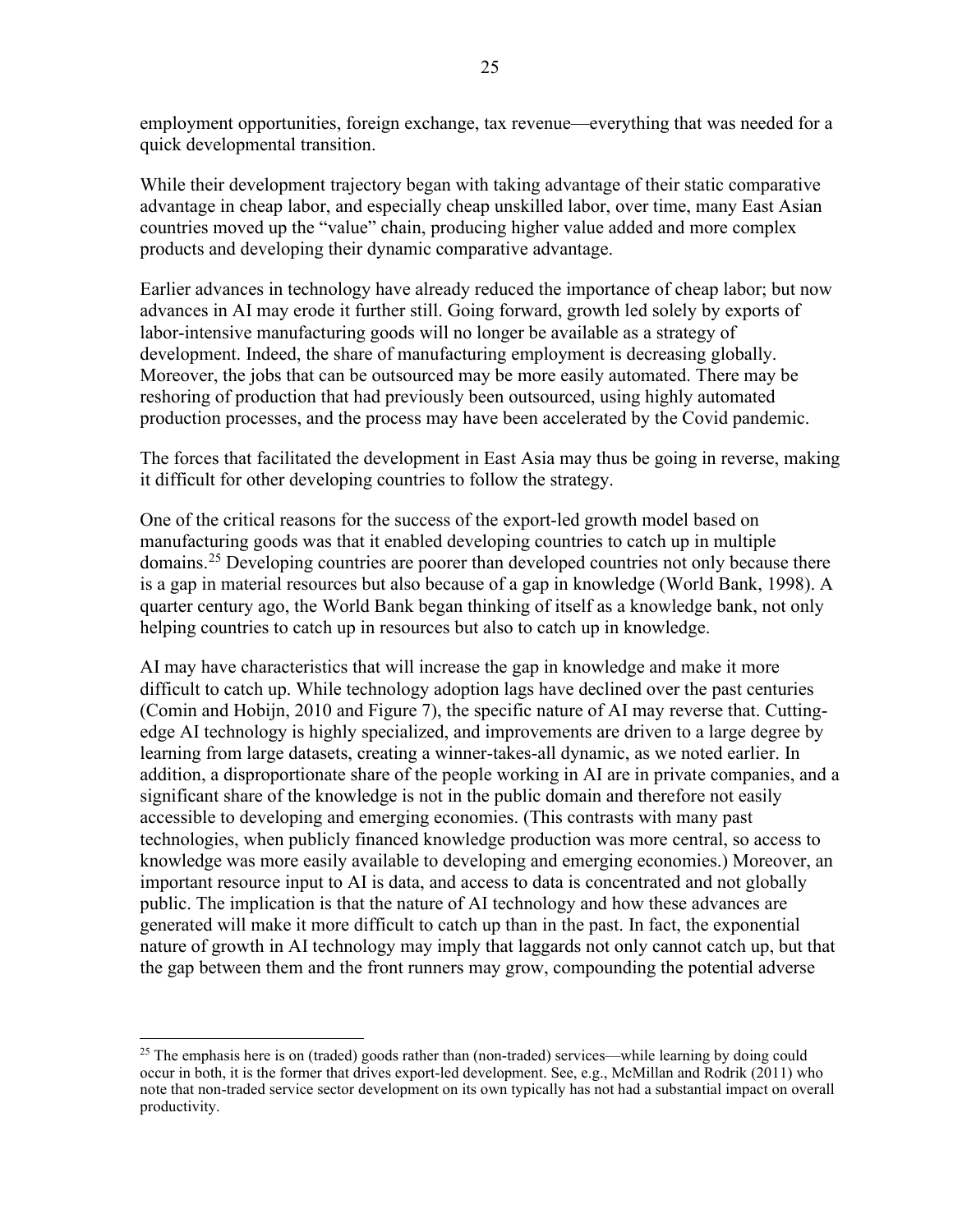employment opportunities, foreign exchange, tax revenue—everything that was needed for a quick developmental transition.

While their development trajectory began with taking advantage of their static comparative advantage in cheap labor, and especially cheap unskilled labor, over time, many East Asian countries moved up the "value" chain, producing higher value added and more complex products and developing their dynamic comparative advantage.

Earlier advances in technology have already reduced the importance of cheap labor; but now advances in AI may erode it further still. Going forward, growth led solely by exports of labor-intensive manufacturing goods will no longer be available as a strategy of development. Indeed, the share of manufacturing employment is decreasing globally. Moreover, the jobs that can be outsourced may be more easily automated. There may be reshoring of production that had previously been outsourced, using highly automated production processes, and the process may have been accelerated by the Covid pandemic.

The forces that facilitated the development in East Asia may thus be going in reverse, making it difficult for other developing countries to follow the strategy.

One of the critical reasons for the success of the export-led growth model based on manufacturing goods was that it enabled developing countries to catch up in multiple domains.<sup>[25](#page-24-0)</sup> Developing countries are poorer than developed countries not only because there is a gap in material resources but also because of a gap in knowledge (World Bank, 1998). A quarter century ago, the World Bank began thinking of itself as a knowledge bank, not only helping countries to catch up in resources but also to catch up in knowledge.

AI may have characteristics that will increase the gap in knowledge and make it more difficult to catch up. While technology adoption lags have declined over the past centuries (Comin and Hobijn, 2010 and Figure 7), the specific nature of AI may reverse that. Cuttingedge AI technology is highly specialized, and improvements are driven to a large degree by learning from large datasets, creating a winner-takes-all dynamic, as we noted earlier. In addition, a disproportionate share of the people working in AI are in private companies, and a significant share of the knowledge is not in the public domain and therefore not easily accessible to developing and emerging economies. (This contrasts with many past technologies, when publicly financed knowledge production was more central, so access to knowledge was more easily available to developing and emerging economies.) Moreover, an important resource input to AI is data, and access to data is concentrated and not globally public. The implication is that the nature of AI technology and how these advances are generated will make it more difficult to catch up than in the past. In fact, the exponential nature of growth in AI technology may imply that laggards not only cannot catch up, but that the gap between them and the front runners may grow, compounding the potential adverse

<span id="page-24-0"></span><sup>&</sup>lt;sup>25</sup> The emphasis here is on (traded) goods rather than (non-traded) services—while learning by doing could occur in both, it is the former that drives export-led development. See, e.g., McMillan and Rodrik (2011) who note that non-traded service sector development on its own typically has not had a substantial impact on overall productivity.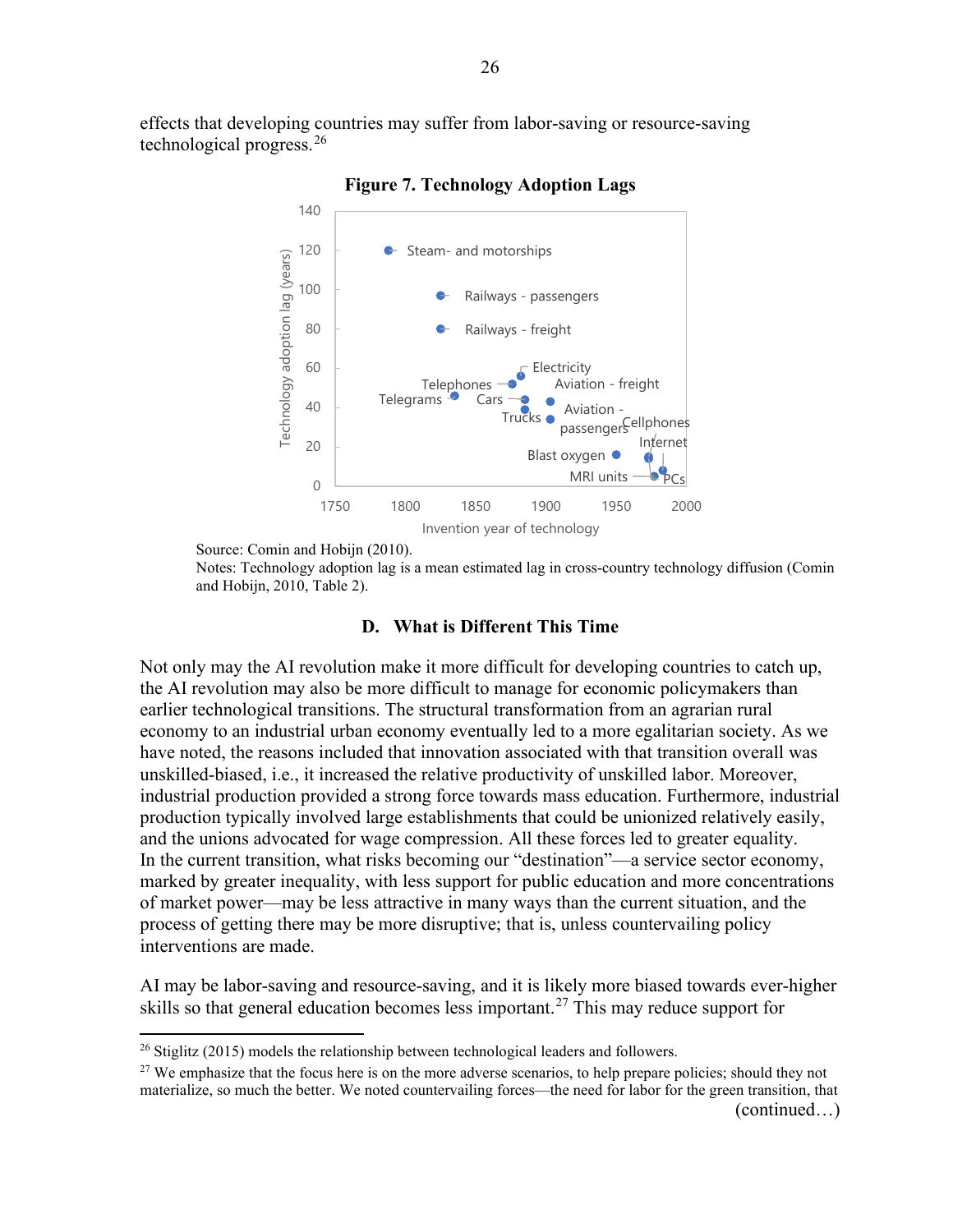effects that developing countries may suffer from labor-saving or resource-saving technological progress.[26](#page-25-1)



**Figure 7. Technology Adoption Lags**

Source: Comin and Hobijn (2010).

Notes: Technology adoption lag is a mean estimated lag in cross-country technology diffusion (Comin and Hobijn, 2010, Table 2).

#### **D. What is Different This Time**

<span id="page-25-0"></span>Not only may the AI revolution make it more difficult for developing countries to catch up, the AI revolution may also be more difficult to manage for economic policymakers than earlier technological transitions. The structural transformation from an agrarian rural economy to an industrial urban economy eventually led to a more egalitarian society. As we have noted, the reasons included that innovation associated with that transition overall was unskilled-biased, i.e., it increased the relative productivity of unskilled labor. Moreover, industrial production provided a strong force towards mass education. Furthermore, industrial production typically involved large establishments that could be unionized relatively easily, and the unions advocated for wage compression. All these forces led to greater equality. In the current transition, what risks becoming our "destination"—a service sector economy, marked by greater inequality, with less support for public education and more concentrations of market power—may be less attractive in many ways than the current situation, and the process of getting there may be more disruptive; that is, unless countervailing policy interventions are made.

AI may be labor-saving and resource-saving, and it is likely more biased towards ever-higher skills so that general education becomes less important.<sup>[27](#page-25-2)</sup> This may reduce support for

<span id="page-25-1"></span> $^{26}$  Stiglitz (2015) models the relationship between technological leaders and followers.

<span id="page-25-2"></span><sup>&</sup>lt;sup>27</sup> We emphasize that the focus here is on the more adverse scenarios, to help prepare policies; should they not materialize, so much the better. We noted countervailing forces—the need for labor for the green transition, that (continued…)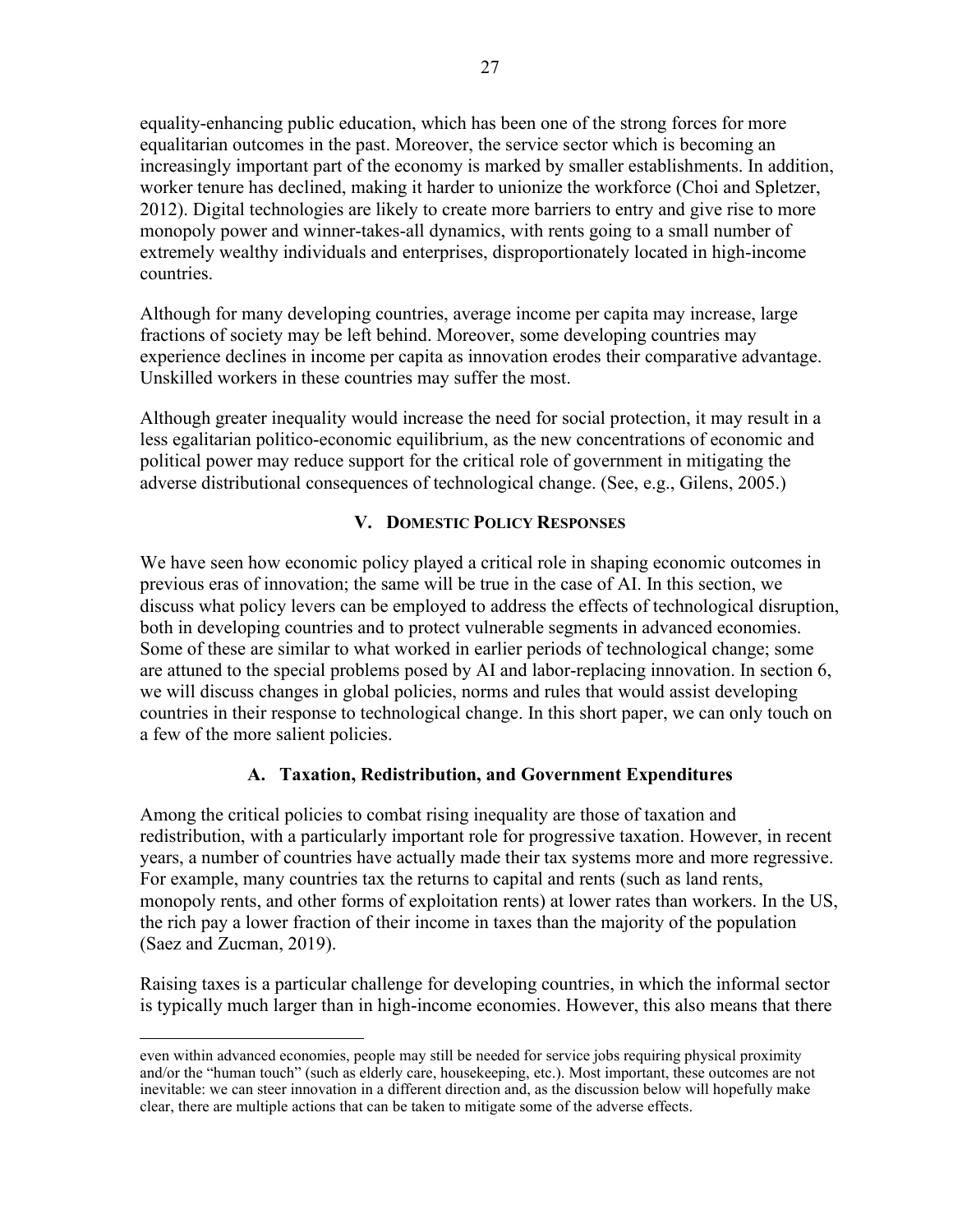equality-enhancing public education, which has been one of the strong forces for more equalitarian outcomes in the past. Moreover, the service sector which is becoming an increasingly important part of the economy is marked by smaller establishments. In addition, worker tenure has declined, making it harder to unionize the workforce (Choi and Spletzer, 2012). Digital technologies are likely to create more barriers to entry and give rise to more monopoly power and winner-takes-all dynamics, with rents going to a small number of extremely wealthy individuals and enterprises, disproportionately located in high-income countries.

Although for many developing countries, average income per capita may increase, large fractions of society may be left behind. Moreover, some developing countries may experience declines in income per capita as innovation erodes their comparative advantage. Unskilled workers in these countries may suffer the most.

Although greater inequality would increase the need for social protection, it may result in a less egalitarian politico-economic equilibrium, as the new concentrations of economic and political power may reduce support for the critical role of government in mitigating the adverse distributional consequences of technological change. (See, e.g., Gilens, 2005.)

#### **V. DOMESTIC POLICY RESPONSES**

<span id="page-26-0"></span>We have seen how economic policy played a critical role in shaping economic outcomes in previous eras of innovation; the same will be true in the case of AI. In this section, we discuss what policy levers can be employed to address the effects of technological disruption, both in developing countries and to protect vulnerable segments in advanced economies. Some of these are similar to what worked in earlier periods of technological change; some are attuned to the special problems posed by AI and labor-replacing innovation. In section 6, we will discuss changes in global policies, norms and rules that would assist developing countries in their response to technological change. In this short paper, we can only touch on a few of the more salient policies.

## **A. Taxation, Redistribution, and Government Expenditures**

<span id="page-26-1"></span>Among the critical policies to combat rising inequality are those of taxation and redistribution, with a particularly important role for progressive taxation. However, in recent years, a number of countries have actually made their tax systems more and more regressive. For example, many countries tax the returns to capital and rents (such as land rents, monopoly rents, and other forms of exploitation rents) at lower rates than workers. In the US, the rich pay a lower fraction of their income in taxes than the majority of the population (Saez and Zucman, 2019).

Raising taxes is a particular challenge for developing countries, in which the informal sector is typically much larger than in high-income economies. However, this also means that there

even within advanced economies, people may still be needed for service jobs requiring physical proximity and/or the "human touch" (such as elderly care, housekeeping, etc.). Most important, these outcomes are not inevitable: we can steer innovation in a different direction and, as the discussion below will hopefully make clear, there are multiple actions that can be taken to mitigate some of the adverse effects.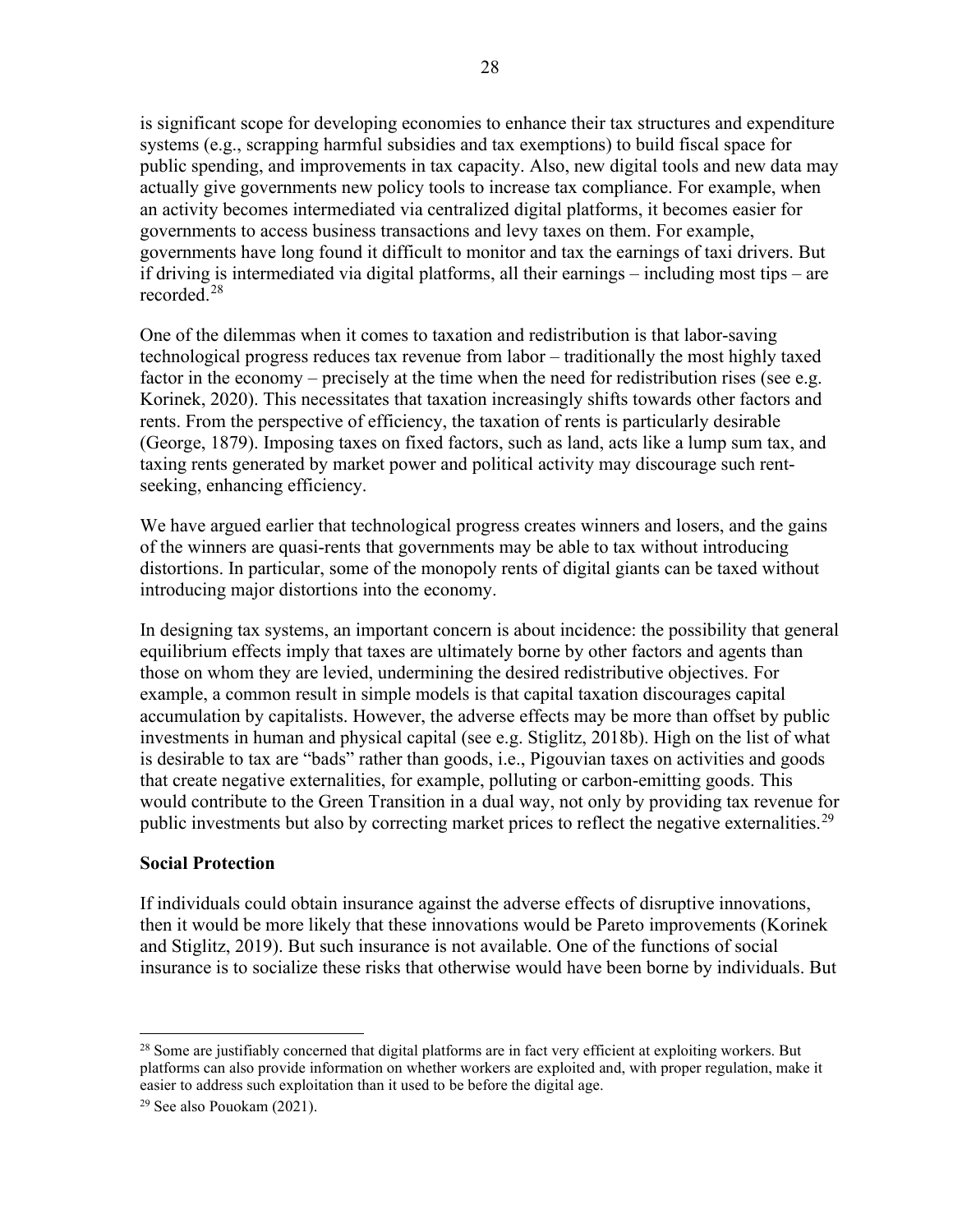is significant scope for developing economies to enhance their tax structures and expenditure systems (e.g., scrapping harmful subsidies and tax exemptions) to build fiscal space for public spending, and improvements in tax capacity. Also, new digital tools and new data may actually give governments new policy tools to increase tax compliance. For example, when an activity becomes intermediated via centralized digital platforms, it becomes easier for governments to access business transactions and levy taxes on them. For example, governments have long found it difficult to monitor and tax the earnings of taxi drivers. But if driving is intermediated via digital platforms, all their earnings – including most tips – are recorded.[28](#page-27-0)

One of the dilemmas when it comes to taxation and redistribution is that labor-saving technological progress reduces tax revenue from labor – traditionally the most highly taxed factor in the economy – precisely at the time when the need for redistribution rises (see e.g. Korinek, 2020). This necessitates that taxation increasingly shifts towards other factors and rents. From the perspective of efficiency, the taxation of rents is particularly desirable (George, 1879). Imposing taxes on fixed factors, such as land, acts like a lump sum tax, and taxing rents generated by market power and political activity may discourage such rentseeking, enhancing efficiency.

We have argued earlier that technological progress creates winners and losers, and the gains of the winners are quasi-rents that governments may be able to tax without introducing distortions. In particular, some of the monopoly rents of digital giants can be taxed without introducing major distortions into the economy.

In designing tax systems, an important concern is about incidence: the possibility that general equilibrium effects imply that taxes are ultimately borne by other factors and agents than those on whom they are levied, undermining the desired redistributive objectives. For example, a common result in simple models is that capital taxation discourages capital accumulation by capitalists. However, the adverse effects may be more than offset by public investments in human and physical capital (see e.g. Stiglitz, 2018b). High on the list of what is desirable to tax are "bads" rather than goods, i.e., Pigouvian taxes on activities and goods that create negative externalities, for example, polluting or carbon-emitting goods. This would contribute to the Green Transition in a dual way, not only by providing tax revenue for public investments but also by correcting market prices to reflect the negative externalities.<sup>[29](#page-27-1)</sup>

#### **Social Protection**

If individuals could obtain insurance against the adverse effects of disruptive innovations, then it would be more likely that these innovations would be Pareto improvements (Korinek and Stiglitz, 2019). But such insurance is not available. One of the functions of social insurance is to socialize these risks that otherwise would have been borne by individuals. But

<span id="page-27-0"></span> $^{28}$  Some are justifiably concerned that digital platforms are in fact very efficient at exploiting workers. But platforms can also provide information on whether workers are exploited and, with proper regulation, make it easier to address such exploitation than it used to be before the digital age.

<span id="page-27-1"></span> $29$  See also Pouokam (2021).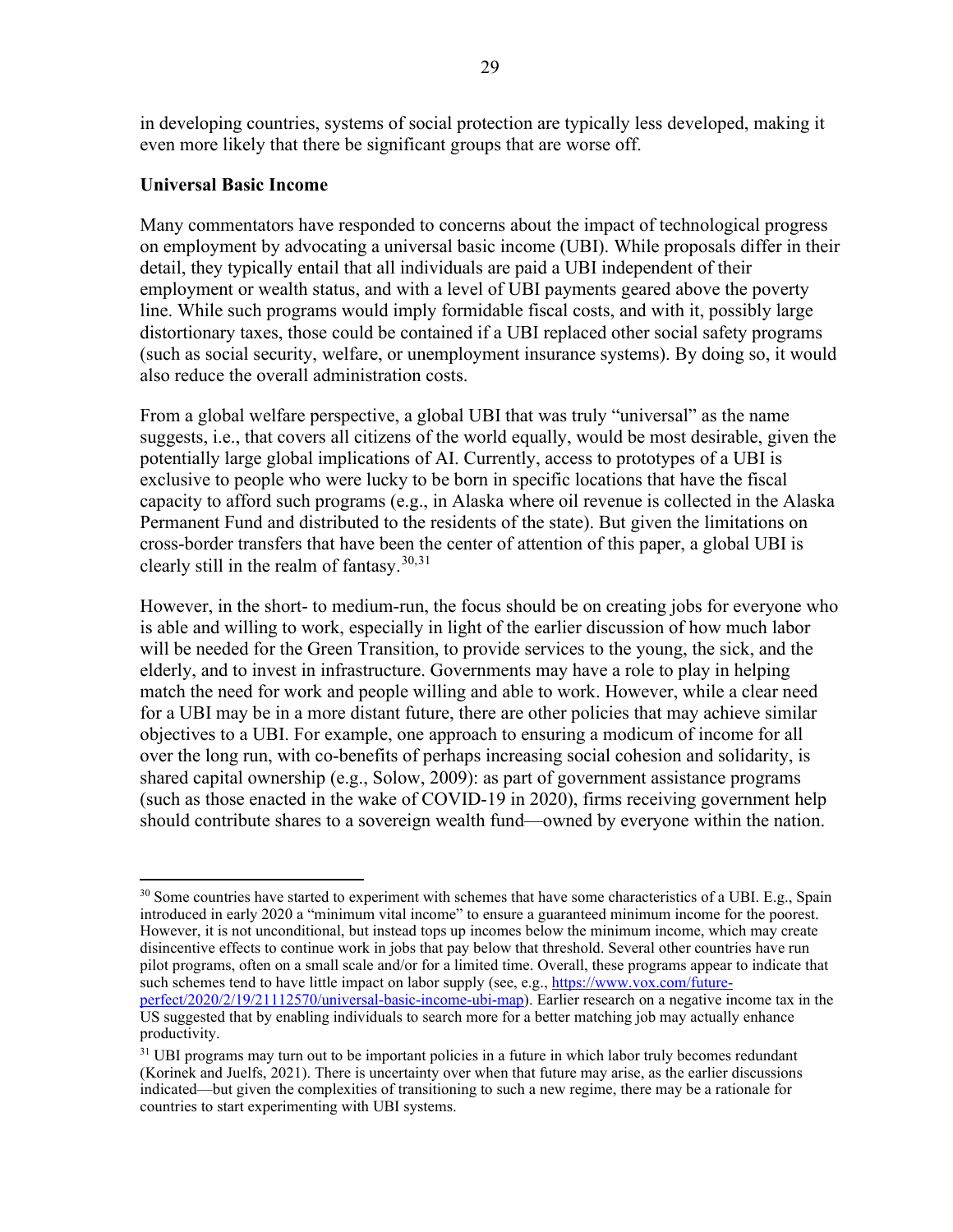in developing countries, systems of social protection are typically less developed, making it even more likely that there be significant groups that are worse off.

#### **Universal Basic Income**

Many commentators have responded to concerns about the impact of technological progress on employment by advocating a universal basic income (UBI). While proposals differ in their detail, they typically entail that all individuals are paid a UBI independent of their employment or wealth status, and with a level of UBI payments geared above the poverty line. While such programs would imply formidable fiscal costs, and with it, possibly large distortionary taxes, those could be contained if a UBI replaced other social safety programs (such as social security, welfare, or unemployment insurance systems). By doing so, it would also reduce the overall administration costs.

From a global welfare perspective, a global UBI that was truly "universal" as the name suggests, i.e., that covers all citizens of the world equally, would be most desirable, given the potentially large global implications of AI. Currently, access to prototypes of a UBI is exclusive to people who were lucky to be born in specific locations that have the fiscal capacity to afford such programs (e.g., in Alaska where oil revenue is collected in the Alaska Permanent Fund and distributed to the residents of the state). But given the limitations on cross-border transfers that have been the center of attention of this paper, a global UBI is clearly still in the realm of fantasy.  $30,31$  $30,31$  $30,31$ 

However, in the short- to medium-run, the focus should be on creating jobs for everyone who is able and willing to work, especially in light of the earlier discussion of how much labor will be needed for the Green Transition, to provide services to the young, the sick, and the elderly, and to invest in infrastructure. Governments may have a role to play in helping match the need for work and people willing and able to work. However, while a clear need for a UBI may be in a more distant future, there are other policies that may achieve similar objectives to a UBI. For example, one approach to ensuring a modicum of income for all over the long run, with co-benefits of perhaps increasing social cohesion and solidarity, is shared capital ownership (e.g., Solow, 2009): as part of government assistance programs (such as those enacted in the wake of COVID-19 in 2020), firms receiving government help should contribute shares to a sovereign wealth fund—owned by everyone within the nation.

<span id="page-28-0"></span> $30$  Some countries have started to experiment with schemes that have some characteristics of a UBI. E.g., Spain introduced in early 2020 a "minimum vital income" to ensure a guaranteed minimum income for the poorest. However, it is not unconditional, but instead tops up incomes below the minimum income, which may create disincentive effects to continue work in jobs that pay below that threshold. Several other countries have run pilot programs, often on a small scale and/or for a limited time. Overall, these programs appear to indicate that such schemes tend to have little impact on labor supply (see, e.g.[, https://www.vox.com/future-](https://www.vox.com/future-perfect/2020/2/19/21112570/universal-basic-income-ubi-map)

[perfect/2020/2/19/21112570/universal-basic-income-ubi-map\)](https://www.vox.com/future-perfect/2020/2/19/21112570/universal-basic-income-ubi-map). Earlier research on a negative income tax in the US suggested that by enabling individuals to search more for a better matching job may actually enhance productivity.

<span id="page-28-1"></span><sup>&</sup>lt;sup>31</sup> UBI programs may turn out to be important policies in a future in which labor truly becomes redundant (Korinek and Juelfs, 2021). There is uncertainty over when that future may arise, as the earlier discussions indicated—but given the complexities of transitioning to such a new regime, there may be a rationale for countries to start experimenting with UBI systems.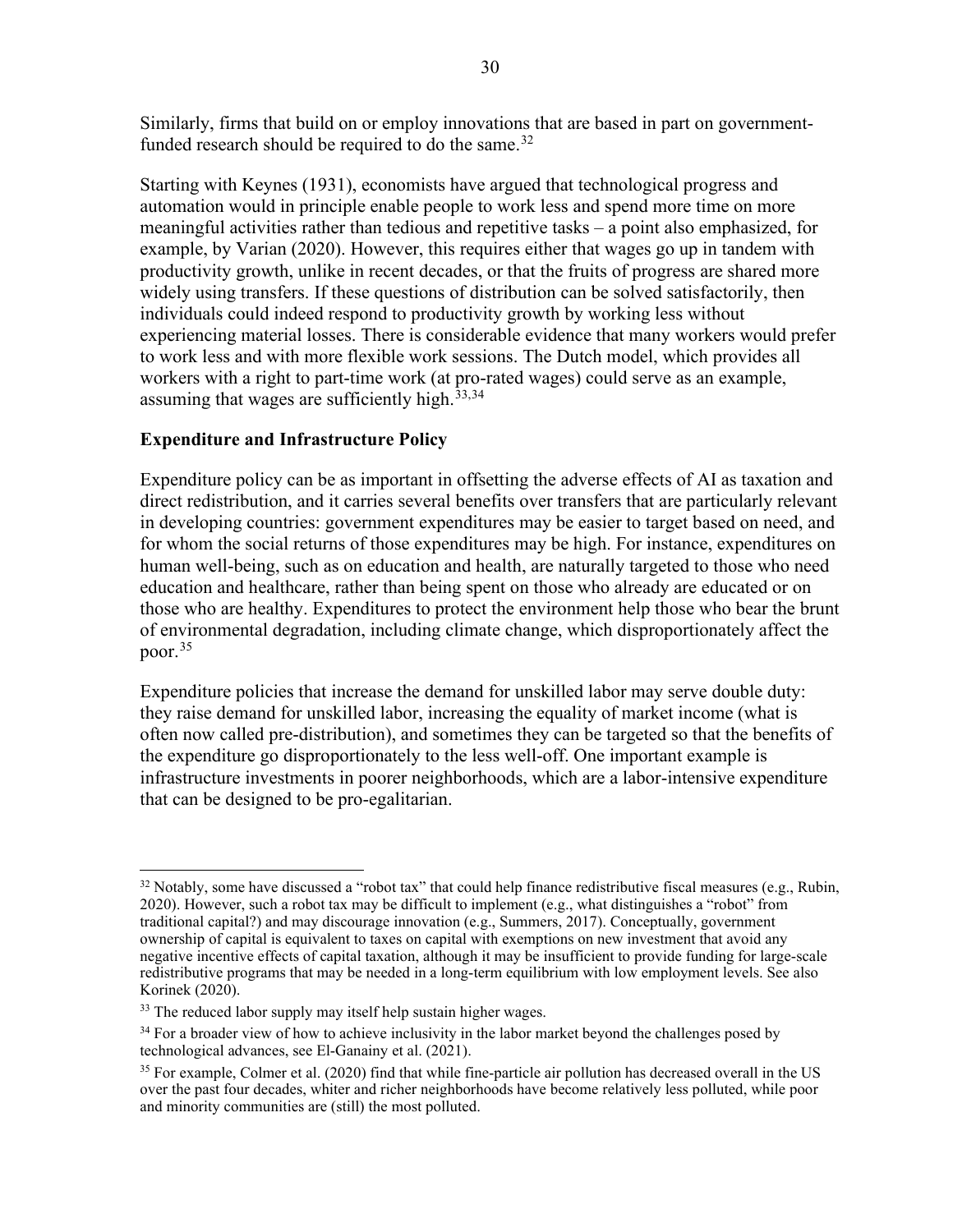Similarly, firms that build on or employ innovations that are based in part on governmentfunded research should be required to do the same.<sup>32</sup>

Starting with Keynes (1931), economists have argued that technological progress and automation would in principle enable people to work less and spend more time on more meaningful activities rather than tedious and repetitive tasks – a point also emphasized, for example, by Varian (2020). However, this requires either that wages go up in tandem with productivity growth, unlike in recent decades, or that the fruits of progress are shared more widely using transfers. If these questions of distribution can be solved satisfactorily, then individuals could indeed respond to productivity growth by working less without experiencing material losses. There is considerable evidence that many workers would prefer to work less and with more flexible work sessions. The Dutch model, which provides all workers with a right to part-time work (at pro-rated wages) could serve as an example, assuming that wages are sufficiently high.<sup>[33,](#page-29-1)[34](#page-29-2)</sup>

## **Expenditure and Infrastructure Policy**

Expenditure policy can be as important in offsetting the adverse effects of AI as taxation and direct redistribution, and it carries several benefits over transfers that are particularly relevant in developing countries: government expenditures may be easier to target based on need, and for whom the social returns of those expenditures may be high. For instance, expenditures on human well-being, such as on education and health, are naturally targeted to those who need education and healthcare, rather than being spent on those who already are educated or on those who are healthy. Expenditures to protect the environment help those who bear the brunt of environmental degradation, including climate change, which disproportionately affect the poor. $35$ 

Expenditure policies that increase the demand for unskilled labor may serve double duty: they raise demand for unskilled labor, increasing the equality of market income (what is often now called pre-distribution), and sometimes they can be targeted so that the benefits of the expenditure go disproportionately to the less well-off. One important example is infrastructure investments in poorer neighborhoods, which are a labor-intensive expenditure that can be designed to be pro-egalitarian.

<span id="page-29-0"></span> $32$  Notably, some have discussed a "robot tax" that could help finance redistributive fiscal measures (e.g., Rubin, 2020). However, such a robot tax may be difficult to implement (e.g., what distinguishes a "robot" from traditional capital?) and may discourage innovation (e.g., Summers, 2017). Conceptually, government ownership of capital is equivalent to taxes on capital with exemptions on new investment that avoid any negative incentive effects of capital taxation, although it may be insufficient to provide funding for large-scale redistributive programs that may be needed in a long-term equilibrium with low employment levels. See also Korinek (2020).

<span id="page-29-1"></span> $33$  The reduced labor supply may itself help sustain higher wages.

<span id="page-29-2"></span> $34$  For a broader view of how to achieve inclusivity in the labor market beyond the challenges posed by technological advances, see El-Ganainy et al. (2021).

<span id="page-29-3"></span><sup>&</sup>lt;sup>35</sup> For example, Colmer et al. (2020) find that while fine-particle air pollution has decreased overall in the US over the past four decades, whiter and richer neighborhoods have become relatively less polluted, while poor and minority communities are (still) the most polluted.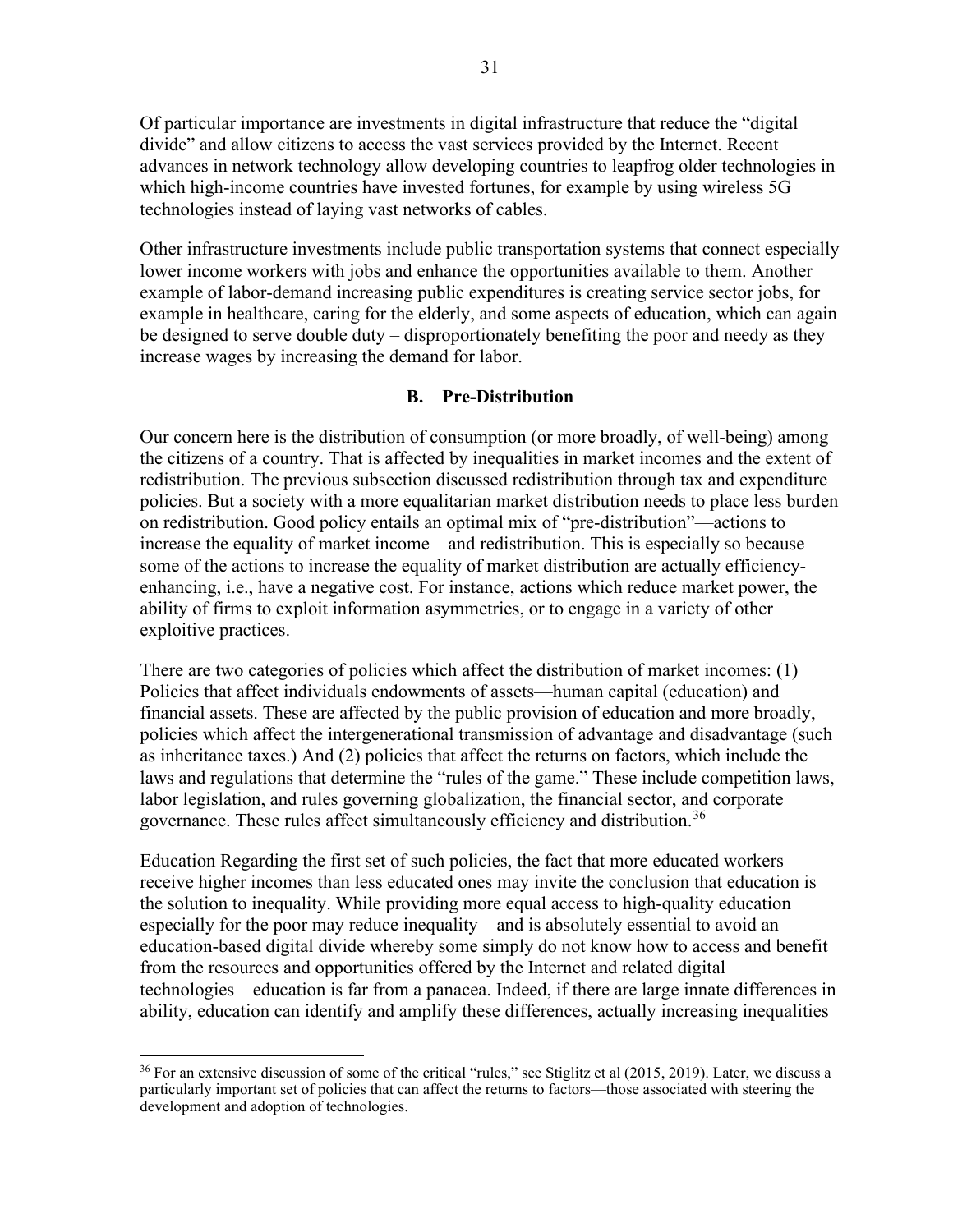Of particular importance are investments in digital infrastructure that reduce the "digital divide" and allow citizens to access the vast services provided by the Internet. Recent advances in network technology allow developing countries to leapfrog older technologies in which high-income countries have invested fortunes, for example by using wireless 5G technologies instead of laying vast networks of cables.

Other infrastructure investments include public transportation systems that connect especially lower income workers with jobs and enhance the opportunities available to them. Another example of labor-demand increasing public expenditures is creating service sector jobs, for example in healthcare, caring for the elderly, and some aspects of education, which can again be designed to serve double duty – disproportionately benefiting the poor and needy as they increase wages by increasing the demand for labor.

#### <span id="page-30-0"></span>**B. Pre-Distribution**

Our concern here is the distribution of consumption (or more broadly, of well-being) among the citizens of a country. That is affected by inequalities in market incomes and the extent of redistribution. The previous subsection discussed redistribution through tax and expenditure policies. But a society with a more equalitarian market distribution needs to place less burden on redistribution. Good policy entails an optimal mix of "pre-distribution"—actions to increase the equality of market income—and redistribution. This is especially so because some of the actions to increase the equality of market distribution are actually efficiencyenhancing, i.e., have a negative cost. For instance, actions which reduce market power, the ability of firms to exploit information asymmetries, or to engage in a variety of other exploitive practices.

There are two categories of policies which affect the distribution of market incomes: (1) Policies that affect individuals endowments of assets—human capital (education) and financial assets. These are affected by the public provision of education and more broadly, policies which affect the intergenerational transmission of advantage and disadvantage (such as inheritance taxes.) And (2) policies that affect the returns on factors, which include the laws and regulations that determine the "rules of the game." These include competition laws, labor legislation, and rules governing globalization, the financial sector, and corporate governance. These rules affect simultaneously efficiency and distribution.<sup>36</sup>

Education Regarding the first set of such policies, the fact that more educated workers receive higher incomes than less educated ones may invite the conclusion that education is the solution to inequality. While providing more equal access to high-quality education especially for the poor may reduce inequality—and is absolutely essential to avoid an education-based digital divide whereby some simply do not know how to access and benefit from the resources and opportunities offered by the Internet and related digital technologies—education is far from a panacea. Indeed, if there are large innate differences in ability, education can identify and amplify these differences, actually increasing inequalities

<span id="page-30-1"></span><sup>&</sup>lt;sup>36</sup> For an extensive discussion of some of the critical "rules," see Stiglitz et al (2015, 2019). Later, we discuss a particularly important set of policies that can affect the returns to factors—those associated with steering the development and adoption of technologies.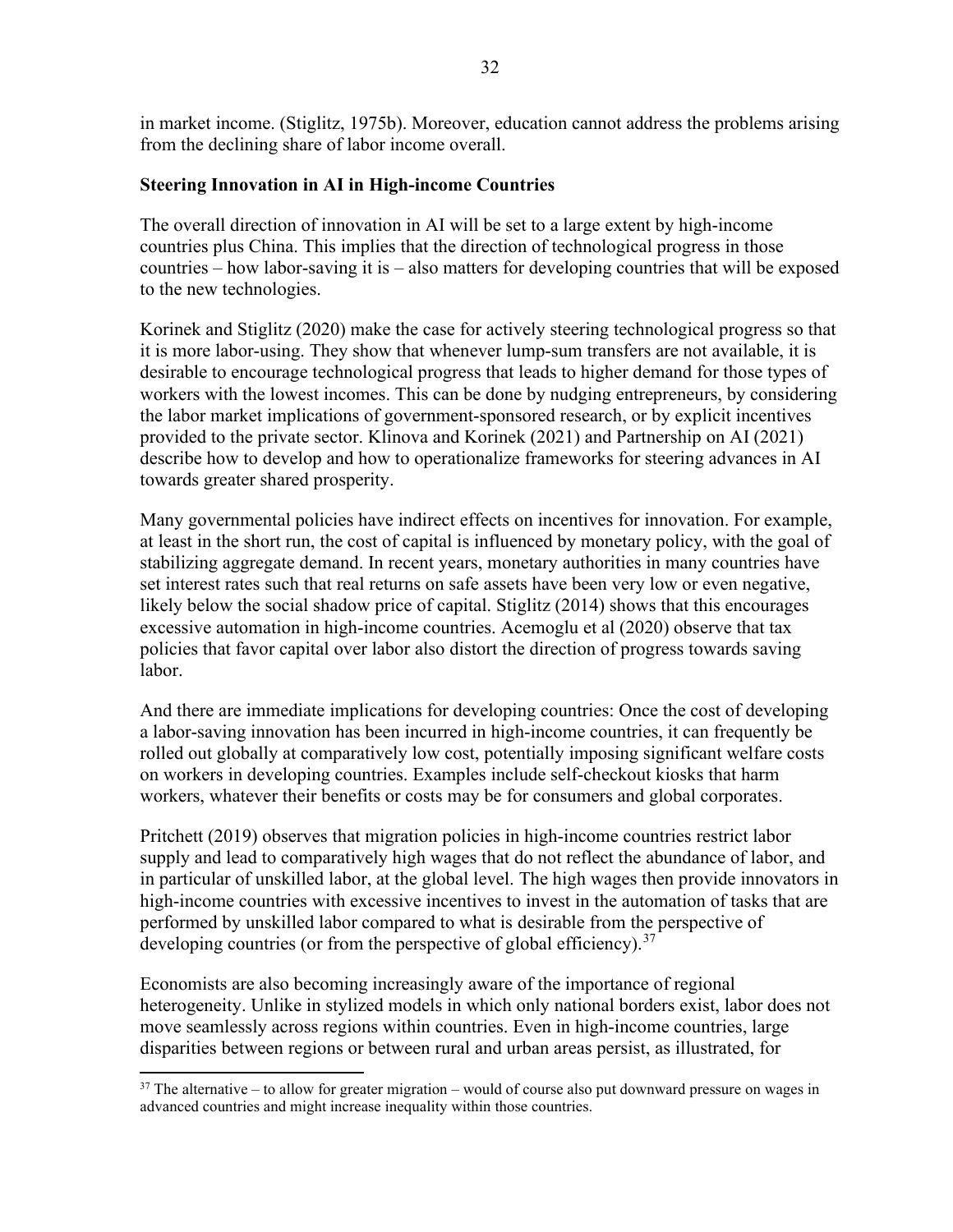in market income. (Stiglitz, 1975b). Moreover, education cannot address the problems arising from the declining share of labor income overall.

#### **Steering Innovation in AI in High-income Countries**

The overall direction of innovation in AI will be set to a large extent by high-income countries plus China. This implies that the direction of technological progress in those countries – how labor-saving it is – also matters for developing countries that will be exposed to the new technologies.

Korinek and Stiglitz (2020) make the case for actively steering technological progress so that it is more labor-using. They show that whenever lump-sum transfers are not available, it is desirable to encourage technological progress that leads to higher demand for those types of workers with the lowest incomes. This can be done by nudging entrepreneurs, by considering the labor market implications of government-sponsored research, or by explicit incentives provided to the private sector. Klinova and Korinek (2021) and Partnership on AI (2021) describe how to develop and how to operationalize frameworks for steering advances in AI towards greater shared prosperity.

Many governmental policies have indirect effects on incentives for innovation. For example, at least in the short run, the cost of capital is influenced by monetary policy, with the goal of stabilizing aggregate demand. In recent years, monetary authorities in many countries have set interest rates such that real returns on safe assets have been very low or even negative, likely below the social shadow price of capital. Stiglitz (2014) shows that this encourages excessive automation in high-income countries. Acemoglu et al (2020) observe that tax policies that favor capital over labor also distort the direction of progress towards saving labor.

And there are immediate implications for developing countries: Once the cost of developing a labor-saving innovation has been incurred in high-income countries, it can frequently be rolled out globally at comparatively low cost, potentially imposing significant welfare costs on workers in developing countries. Examples include self-checkout kiosks that harm workers, whatever their benefits or costs may be for consumers and global corporates.

Pritchett (2019) observes that migration policies in high-income countries restrict labor supply and lead to comparatively high wages that do not reflect the abundance of labor, and in particular of unskilled labor, at the global level. The high wages then provide innovators in high-income countries with excessive incentives to invest in the automation of tasks that are performed by unskilled labor compared to what is desirable from the perspective of developing countries (or from the perspective of global efficiency).<sup>[37](#page-31-0)</sup>

Economists are also becoming increasingly aware of the importance of regional heterogeneity. Unlike in stylized models in which only national borders exist, labor does not move seamlessly across regions within countries. Even in high-income countries, large disparities between regions or between rural and urban areas persist, as illustrated, for

<span id="page-31-0"></span> $37$  The alternative – to allow for greater migration – would of course also put downward pressure on wages in advanced countries and might increase inequality within those countries.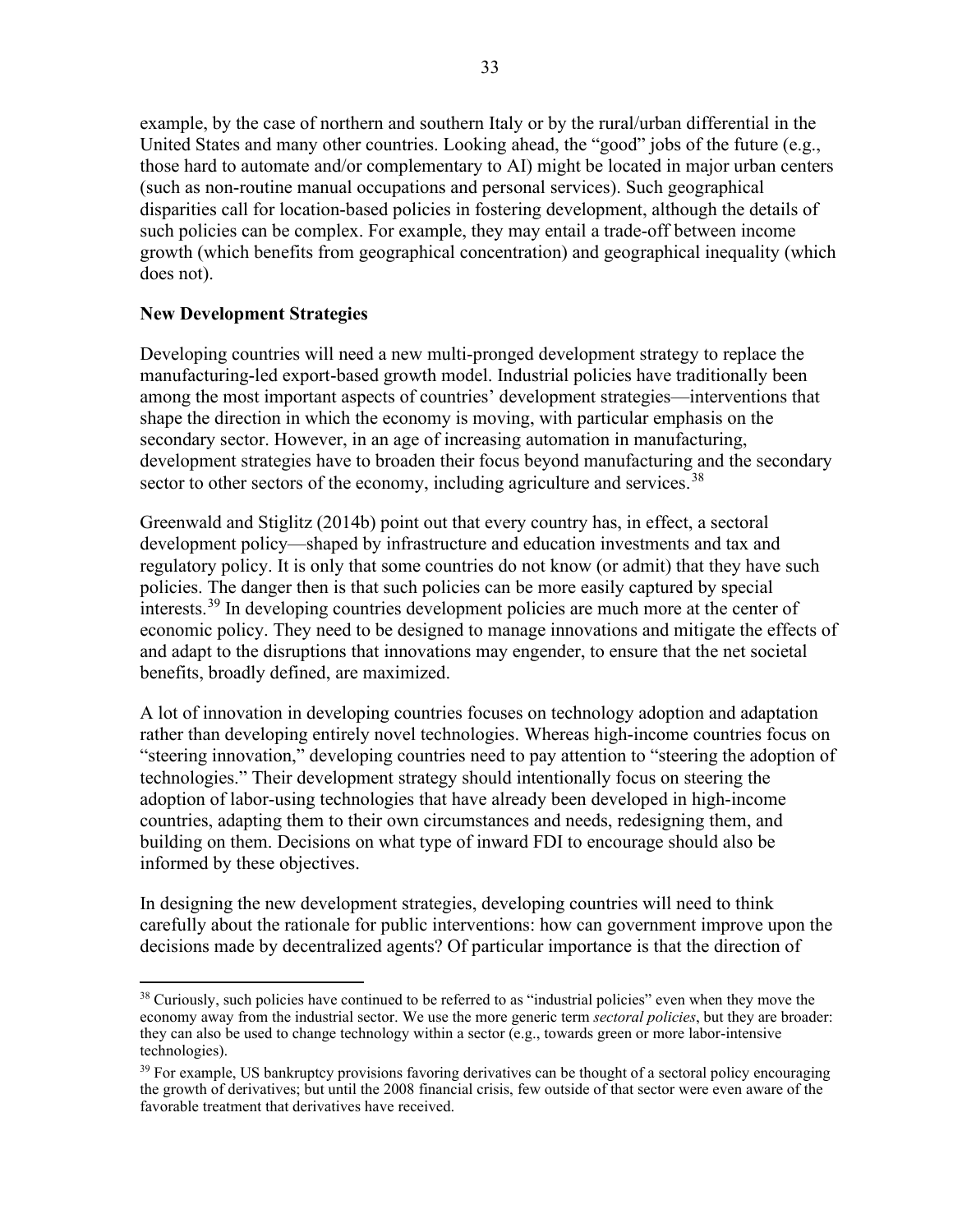example, by the case of northern and southern Italy or by the rural/urban differential in the United States and many other countries. Looking ahead, the "good" jobs of the future (e.g., those hard to automate and/or complementary to AI) might be located in major urban centers (such as non-routine manual occupations and personal services). Such geographical disparities call for location-based policies in fostering development, although the details of such policies can be complex. For example, they may entail a trade-off between income growth (which benefits from geographical concentration) and geographical inequality (which does not).

#### **New Development Strategies**

Developing countries will need a new multi-pronged development strategy to replace the manufacturing-led export-based growth model. Industrial policies have traditionally been among the most important aspects of countries' development strategies—interventions that shape the direction in which the economy is moving, with particular emphasis on the secondary sector. However, in an age of increasing automation in manufacturing, development strategies have to broaden their focus beyond manufacturing and the secondary sector to other sectors of the economy, including agriculture and services.<sup>[38](#page-32-0)</sup>

Greenwald and Stiglitz (2014b) point out that every country has, in effect, a sectoral development policy—shaped by infrastructure and education investments and tax and regulatory policy. It is only that some countries do not know (or admit) that they have such policies. The danger then is that such policies can be more easily captured by special interests.<sup>[39](#page-32-1)</sup> In developing countries development policies are much more at the center of economic policy. They need to be designed to manage innovations and mitigate the effects of and adapt to the disruptions that innovations may engender, to ensure that the net societal benefits, broadly defined, are maximized.

A lot of innovation in developing countries focuses on technology adoption and adaptation rather than developing entirely novel technologies. Whereas high-income countries focus on "steering innovation," developing countries need to pay attention to "steering the adoption of technologies." Their development strategy should intentionally focus on steering the adoption of labor-using technologies that have already been developed in high-income countries, adapting them to their own circumstances and needs, redesigning them, and building on them. Decisions on what type of inward FDI to encourage should also be informed by these objectives.

In designing the new development strategies, developing countries will need to think carefully about the rationale for public interventions: how can government improve upon the decisions made by decentralized agents? Of particular importance is that the direction of

<span id="page-32-0"></span><sup>&</sup>lt;sup>38</sup> Curiously, such policies have continued to be referred to as "industrial policies" even when they move the economy away from the industrial sector. We use the more generic term *sectoral policies*, but they are broader: they can also be used to change technology within a sector (e.g., towards green or more labor-intensive technologies).

<span id="page-32-1"></span> $39$  For example, US bankruptcy provisions favoring derivatives can be thought of a sectoral policy encouraging the growth of derivatives; but until the 2008 financial crisis, few outside of that sector were even aware of the favorable treatment that derivatives have received.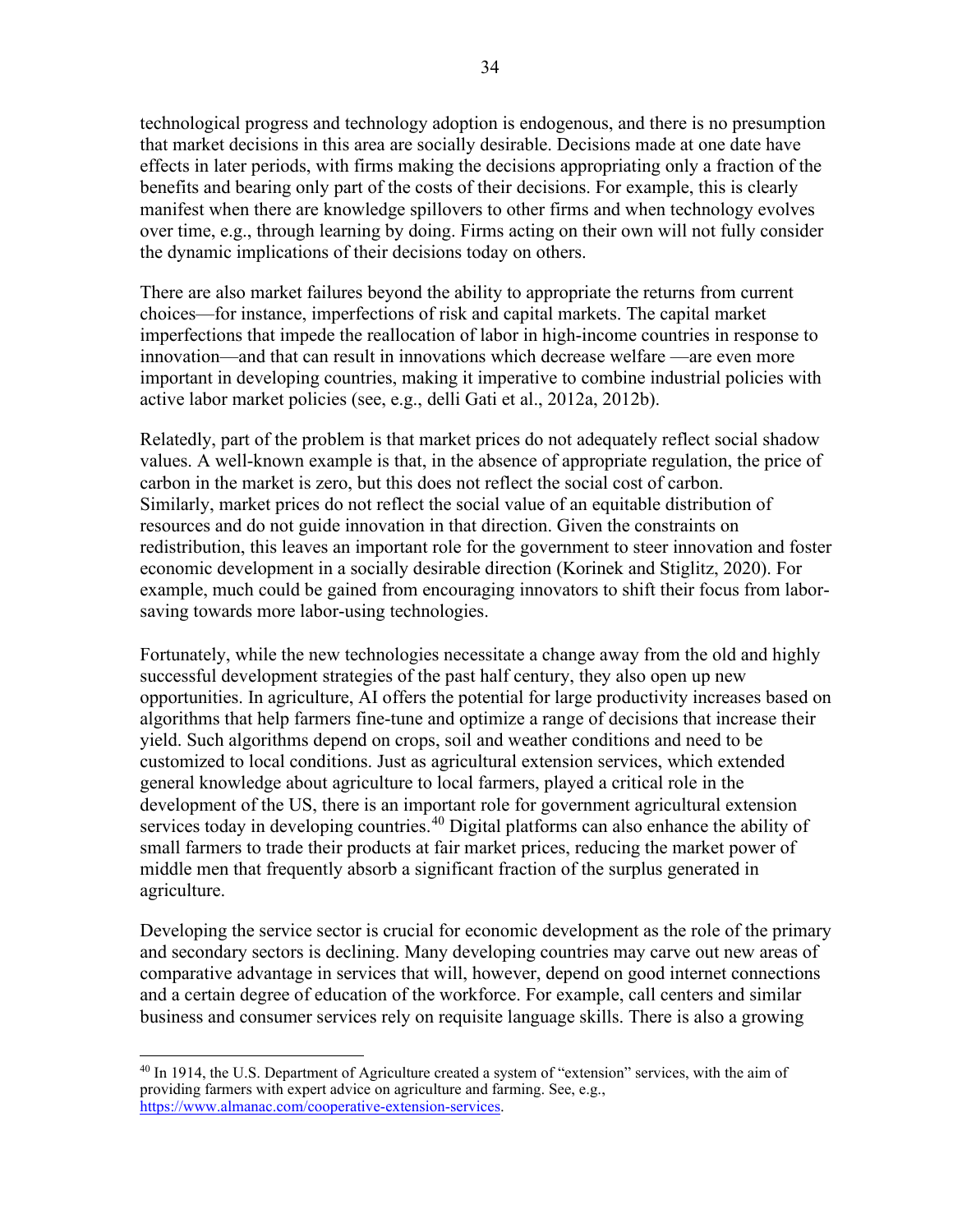technological progress and technology adoption is endogenous, and there is no presumption that market decisions in this area are socially desirable. Decisions made at one date have effects in later periods, with firms making the decisions appropriating only a fraction of the benefits and bearing only part of the costs of their decisions. For example, this is clearly manifest when there are knowledge spillovers to other firms and when technology evolves over time, e.g., through learning by doing. Firms acting on their own will not fully consider the dynamic implications of their decisions today on others.

There are also market failures beyond the ability to appropriate the returns from current choices—for instance, imperfections of risk and capital markets. The capital market imperfections that impede the reallocation of labor in high-income countries in response to innovation—and that can result in innovations which decrease welfare —are even more important in developing countries, making it imperative to combine industrial policies with active labor market policies (see, e.g., delli Gati et al., 2012a, 2012b).

Relatedly, part of the problem is that market prices do not adequately reflect social shadow values. A well-known example is that, in the absence of appropriate regulation, the price of carbon in the market is zero, but this does not reflect the social cost of carbon. Similarly, market prices do not reflect the social value of an equitable distribution of resources and do not guide innovation in that direction. Given the constraints on redistribution, this leaves an important role for the government to steer innovation and foster economic development in a socially desirable direction (Korinek and Stiglitz, 2020). For example, much could be gained from encouraging innovators to shift their focus from laborsaving towards more labor-using technologies.

Fortunately, while the new technologies necessitate a change away from the old and highly successful development strategies of the past half century, they also open up new opportunities. In agriculture, AI offers the potential for large productivity increases based on algorithms that help farmers fine-tune and optimize a range of decisions that increase their yield. Such algorithms depend on crops, soil and weather conditions and need to be customized to local conditions. Just as agricultural extension services, which extended general knowledge about agriculture to local farmers, played a critical role in the development of the US, there is an important role for government agricultural extension services today in developing countries.<sup>[40](#page-33-0)</sup> Digital platforms can also enhance the ability of small farmers to trade their products at fair market prices, reducing the market power of middle men that frequently absorb a significant fraction of the surplus generated in agriculture.

Developing the service sector is crucial for economic development as the role of the primary and secondary sectors is declining. Many developing countries may carve out new areas of comparative advantage in services that will, however, depend on good internet connections and a certain degree of education of the workforce. For example, call centers and similar business and consumer services rely on requisite language skills. There is also a growing

<span id="page-33-0"></span> $40$  In 1914, the U.S. Department of Agriculture created a system of "extension" services, with the aim of providing farmers with expert advice on agriculture and farming. See, e.g., [https://www.almanac.com/cooperative-extension-services.](https://www.almanac.com/cooperative-extension-services)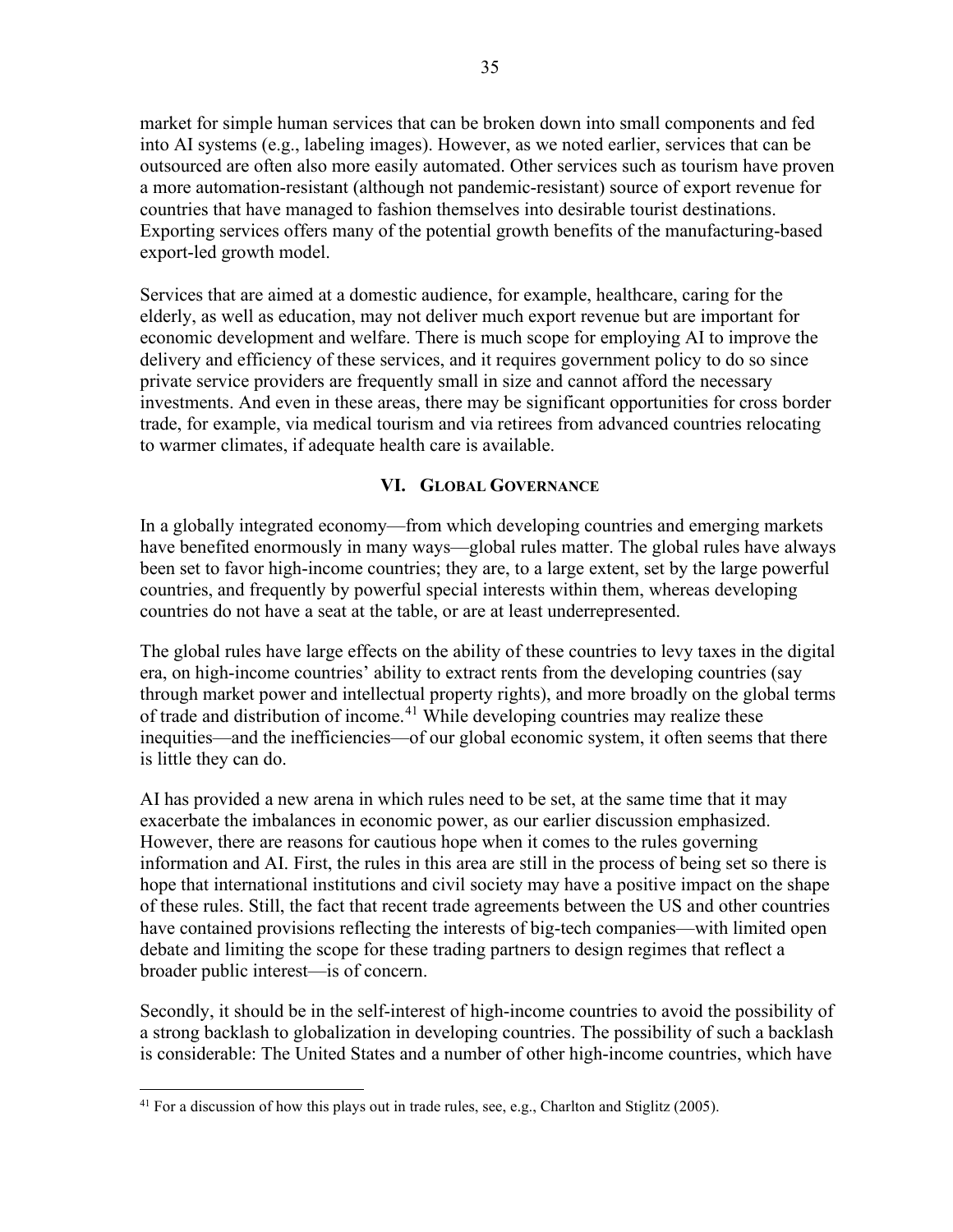market for simple human services that can be broken down into small components and fed into AI systems (e.g., labeling images). However, as we noted earlier, services that can be outsourced are often also more easily automated. Other services such as tourism have proven a more automation-resistant (although not pandemic-resistant) source of export revenue for countries that have managed to fashion themselves into desirable tourist destinations. Exporting services offers many of the potential growth benefits of the manufacturing-based export-led growth model.

Services that are aimed at a domestic audience, for example, healthcare, caring for the elderly, as well as education, may not deliver much export revenue but are important for economic development and welfare. There is much scope for employing AI to improve the delivery and efficiency of these services, and it requires government policy to do so since private service providers are frequently small in size and cannot afford the necessary investments. And even in these areas, there may be significant opportunities for cross border trade, for example, via medical tourism and via retirees from advanced countries relocating to warmer climates, if adequate health care is available.

#### **VI. GLOBAL GOVERNANCE**

<span id="page-34-0"></span>In a globally integrated economy—from which developing countries and emerging markets have benefited enormously in many ways—global rules matter. The global rules have always been set to favor high-income countries; they are, to a large extent, set by the large powerful countries, and frequently by powerful special interests within them, whereas developing countries do not have a seat at the table, or are at least underrepresented.

The global rules have large effects on the ability of these countries to levy taxes in the digital era, on high-income countries' ability to extract rents from the developing countries (say through market power and intellectual property rights), and more broadly on the global terms of trade and distribution of income.[41](#page-34-1) While developing countries may realize these inequities—and the inefficiencies—of our global economic system, it often seems that there is little they can do.

AI has provided a new arena in which rules need to be set, at the same time that it may exacerbate the imbalances in economic power, as our earlier discussion emphasized. However, there are reasons for cautious hope when it comes to the rules governing information and AI. First, the rules in this area are still in the process of being set so there is hope that international institutions and civil society may have a positive impact on the shape of these rules. Still, the fact that recent trade agreements between the US and other countries have contained provisions reflecting the interests of big-tech companies—with limited open debate and limiting the scope for these trading partners to design regimes that reflect a broader public interest—is of concern.

Secondly, it should be in the self-interest of high-income countries to avoid the possibility of a strong backlash to globalization in developing countries. The possibility of such a backlash is considerable: The United States and a number of other high-income countries, which have

<span id="page-34-1"></span> $41$  For a discussion of how this plays out in trade rules, see, e.g., Charlton and Stiglitz (2005).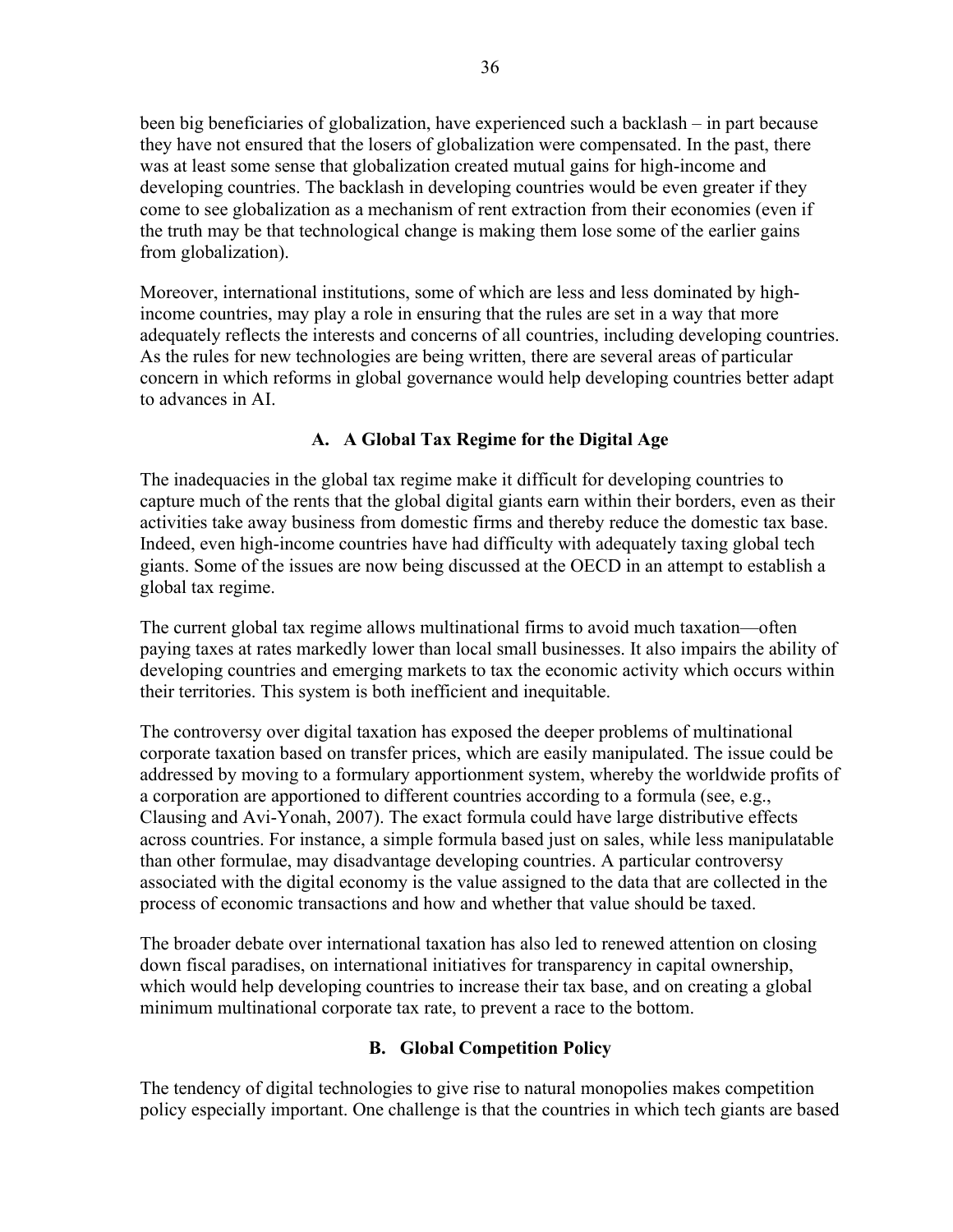been big beneficiaries of globalization, have experienced such a backlash – in part because they have not ensured that the losers of globalization were compensated. In the past, there was at least some sense that globalization created mutual gains for high-income and developing countries. The backlash in developing countries would be even greater if they come to see globalization as a mechanism of rent extraction from their economies (even if the truth may be that technological change is making them lose some of the earlier gains from globalization).

Moreover, international institutions, some of which are less and less dominated by highincome countries, may play a role in ensuring that the rules are set in a way that more adequately reflects the interests and concerns of all countries, including developing countries. As the rules for new technologies are being written, there are several areas of particular concern in which reforms in global governance would help developing countries better adapt to advances in AI.

## **A. A Global Tax Regime for the Digital Age**

<span id="page-35-0"></span>The inadequacies in the global tax regime make it difficult for developing countries to capture much of the rents that the global digital giants earn within their borders, even as their activities take away business from domestic firms and thereby reduce the domestic tax base. Indeed, even high-income countries have had difficulty with adequately taxing global tech giants. Some of the issues are now being discussed at the OECD in an attempt to establish a global tax regime.

The current global tax regime allows multinational firms to avoid much taxation—often paying taxes at rates markedly lower than local small businesses. It also impairs the ability of developing countries and emerging markets to tax the economic activity which occurs within their territories. This system is both inefficient and inequitable.

The controversy over digital taxation has exposed the deeper problems of multinational corporate taxation based on transfer prices, which are easily manipulated. The issue could be addressed by moving to a formulary apportionment system, whereby the worldwide profits of a corporation are apportioned to different countries according to a formula (see, e.g., Clausing and Avi-Yonah, 2007). The exact formula could have large distributive effects across countries. For instance, a simple formula based just on sales, while less manipulatable than other formulae, may disadvantage developing countries. A particular controversy associated with the digital economy is the value assigned to the data that are collected in the process of economic transactions and how and whether that value should be taxed.

The broader debate over international taxation has also led to renewed attention on closing down fiscal paradises, on international initiatives for transparency in capital ownership, which would help developing countries to increase their tax base, and on creating a global minimum multinational corporate tax rate, to prevent a race to the bottom.

## **B. Global Competition Policy**

<span id="page-35-1"></span>The tendency of digital technologies to give rise to natural monopolies makes competition policy especially important. One challenge is that the countries in which tech giants are based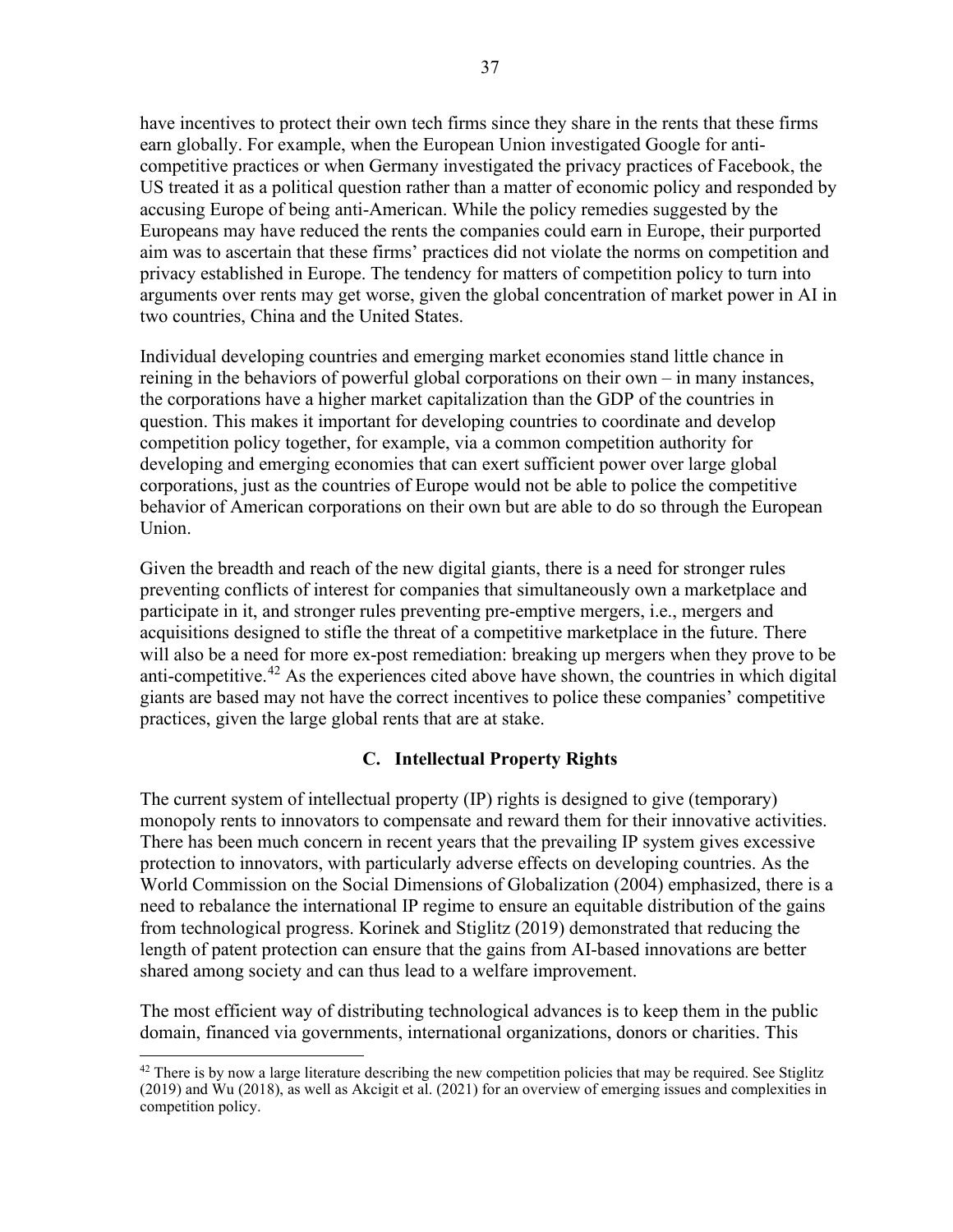have incentives to protect their own tech firms since they share in the rents that these firms earn globally. For example, when the European Union investigated Google for anticompetitive practices or when Germany investigated the privacy practices of Facebook, the US treated it as a political question rather than a matter of economic policy and responded by accusing Europe of being anti-American. While the policy remedies suggested by the Europeans may have reduced the rents the companies could earn in Europe, their purported aim was to ascertain that these firms' practices did not violate the norms on competition and privacy established in Europe. The tendency for matters of competition policy to turn into arguments over rents may get worse, given the global concentration of market power in AI in two countries, China and the United States.

Individual developing countries and emerging market economies stand little chance in reining in the behaviors of powerful global corporations on their own – in many instances, the corporations have a higher market capitalization than the GDP of the countries in question. This makes it important for developing countries to coordinate and develop competition policy together, for example, via a common competition authority for developing and emerging economies that can exert sufficient power over large global corporations, just as the countries of Europe would not be able to police the competitive behavior of American corporations on their own but are able to do so through the European Union.

Given the breadth and reach of the new digital giants, there is a need for stronger rules preventing conflicts of interest for companies that simultaneously own a marketplace and participate in it, and stronger rules preventing pre-emptive mergers, i.e., mergers and acquisitions designed to stifle the threat of a competitive marketplace in the future. There will also be a need for more ex-post remediation: breaking up mergers when they prove to be anti-competitive.<sup>[42](#page-36-1)</sup> As the experiences cited above have shown, the countries in which digital giants are based may not have the correct incentives to police these companies' competitive practices, given the large global rents that are at stake.

#### **C. Intellectual Property Rights**

<span id="page-36-0"></span>The current system of intellectual property (IP) rights is designed to give (temporary) monopoly rents to innovators to compensate and reward them for their innovative activities. There has been much concern in recent years that the prevailing IP system gives excessive protection to innovators, with particularly adverse effects on developing countries. As the World Commission on the Social Dimensions of Globalization (2004) emphasized, there is a need to rebalance the international IP regime to ensure an equitable distribution of the gains from technological progress. Korinek and Stiglitz (2019) demonstrated that reducing the length of patent protection can ensure that the gains from AI-based innovations are better shared among society and can thus lead to a welfare improvement.

The most efficient way of distributing technological advances is to keep them in the public domain, financed via governments, international organizations, donors or charities. This

<span id="page-36-1"></span> $42$  There is by now a large literature describing the new competition policies that may be required. See Stiglitz (2019) and Wu (2018), as well as Akcigit et al. (2021) for an overview of emerging issues and complexities in competition policy.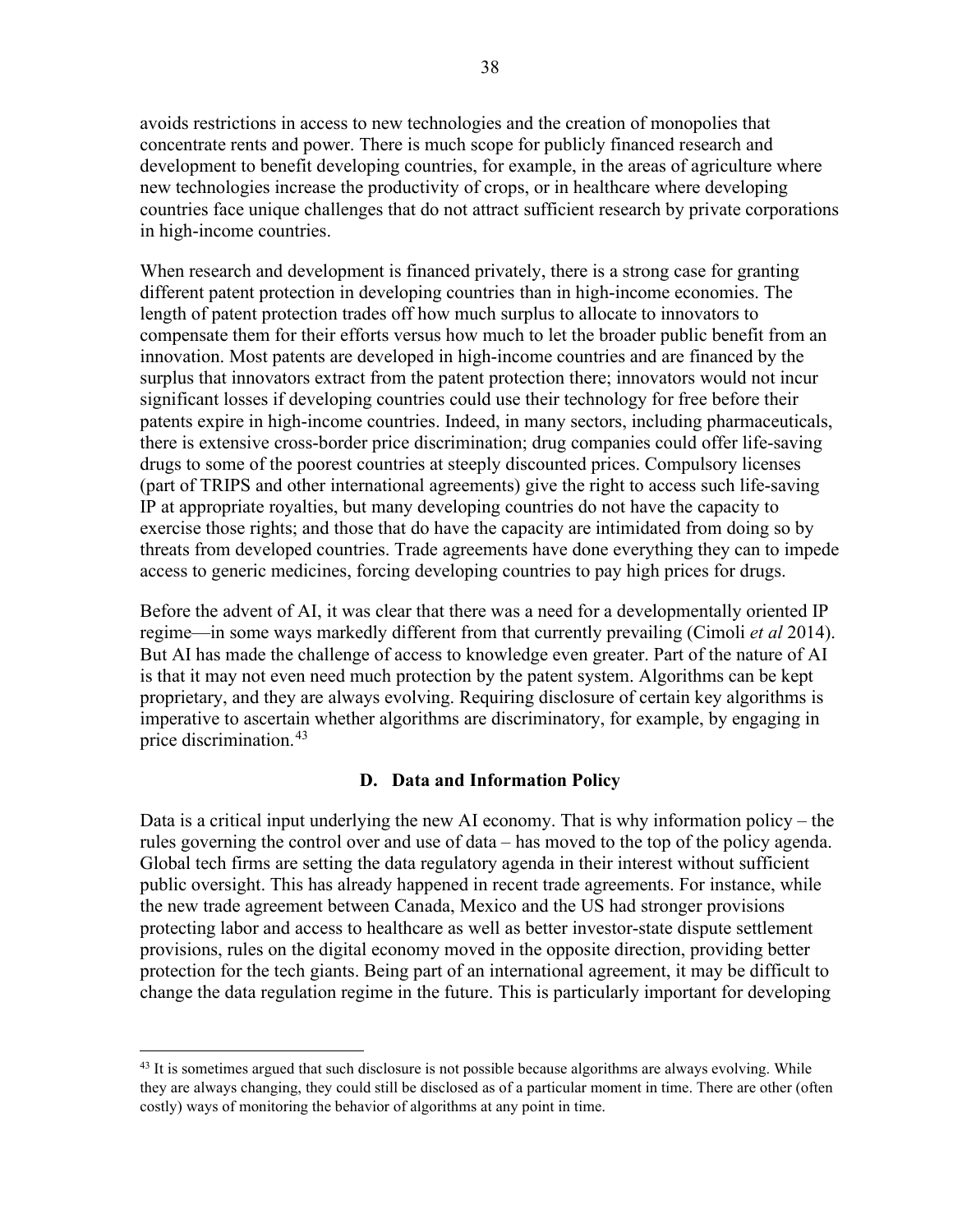avoids restrictions in access to new technologies and the creation of monopolies that concentrate rents and power. There is much scope for publicly financed research and development to benefit developing countries, for example, in the areas of agriculture where new technologies increase the productivity of crops, or in healthcare where developing countries face unique challenges that do not attract sufficient research by private corporations in high-income countries.

When research and development is financed privately, there is a strong case for granting different patent protection in developing countries than in high-income economies. The length of patent protection trades off how much surplus to allocate to innovators to compensate them for their efforts versus how much to let the broader public benefit from an innovation. Most patents are developed in high-income countries and are financed by the surplus that innovators extract from the patent protection there; innovators would not incur significant losses if developing countries could use their technology for free before their patents expire in high-income countries. Indeed, in many sectors, including pharmaceuticals, there is extensive cross-border price discrimination; drug companies could offer life-saving drugs to some of the poorest countries at steeply discounted prices. Compulsory licenses (part of TRIPS and other international agreements) give the right to access such life-saving IP at appropriate royalties, but many developing countries do not have the capacity to exercise those rights; and those that do have the capacity are intimidated from doing so by threats from developed countries. Trade agreements have done everything they can to impede access to generic medicines, forcing developing countries to pay high prices for drugs.

Before the advent of AI, it was clear that there was a need for a developmentally oriented IP regime—in some ways markedly different from that currently prevailing (Cimoli *et al* 2014). But AI has made the challenge of access to knowledge even greater. Part of the nature of AI is that it may not even need much protection by the patent system. Algorithms can be kept proprietary, and they are always evolving. Requiring disclosure of certain key algorithms is imperative to ascertain whether algorithms are discriminatory, for example, by engaging in price discrimination.<sup>[43](#page-37-1)</sup>

#### **D. Data and Information Policy**

<span id="page-37-0"></span>Data is a critical input underlying the new AI economy. That is why information policy – the rules governing the control over and use of data – has moved to the top of the policy agenda. Global tech firms are setting the data regulatory agenda in their interest without sufficient public oversight. This has already happened in recent trade agreements. For instance, while the new trade agreement between Canada, Mexico and the US had stronger provisions protecting labor and access to healthcare as well as better investor-state dispute settlement provisions, rules on the digital economy moved in the opposite direction, providing better protection for the tech giants. Being part of an international agreement, it may be difficult to change the data regulation regime in the future. This is particularly important for developing

<span id="page-37-1"></span><sup>&</sup>lt;sup>43</sup> It is sometimes argued that such disclosure is not possible because algorithms are always evolving. While they are always changing, they could still be disclosed as of a particular moment in time. There are other (often costly) ways of monitoring the behavior of algorithms at any point in time.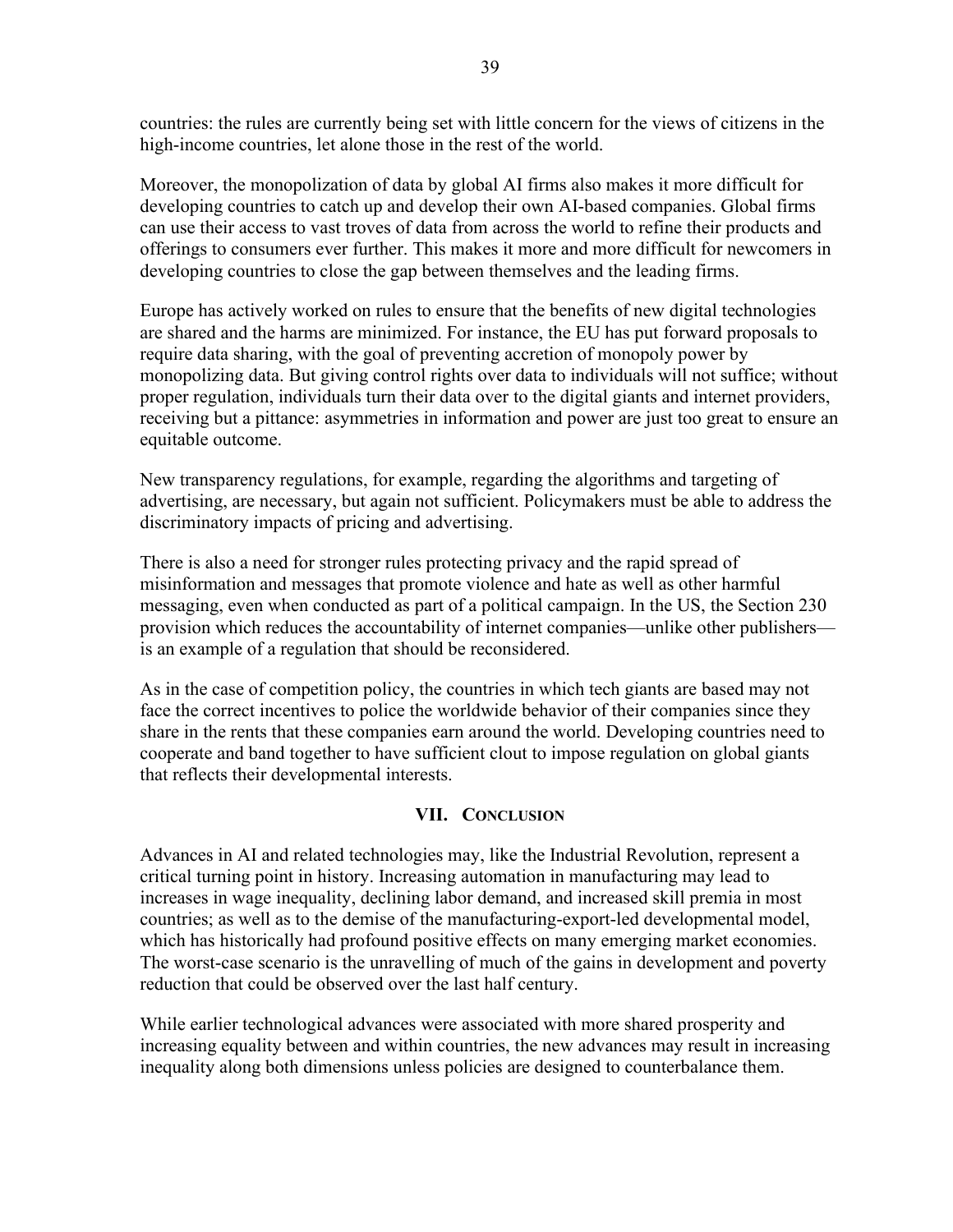countries: the rules are currently being set with little concern for the views of citizens in the high-income countries, let alone those in the rest of the world.

Moreover, the monopolization of data by global AI firms also makes it more difficult for developing countries to catch up and develop their own AI-based companies. Global firms can use their access to vast troves of data from across the world to refine their products and offerings to consumers ever further. This makes it more and more difficult for newcomers in developing countries to close the gap between themselves and the leading firms.

Europe has actively worked on rules to ensure that the benefits of new digital technologies are shared and the harms are minimized. For instance, the EU has put forward proposals to require data sharing, with the goal of preventing accretion of monopoly power by monopolizing data. But giving control rights over data to individuals will not suffice; without proper regulation, individuals turn their data over to the digital giants and internet providers, receiving but a pittance: asymmetries in information and power are just too great to ensure an equitable outcome.

New transparency regulations, for example, regarding the algorithms and targeting of advertising, are necessary, but again not sufficient. Policymakers must be able to address the discriminatory impacts of pricing and advertising.

There is also a need for stronger rules protecting privacy and the rapid spread of misinformation and messages that promote violence and hate as well as other harmful messaging, even when conducted as part of a political campaign. In the US, the Section 230 provision which reduces the accountability of internet companies—unlike other publishers is an example of a regulation that should be reconsidered.

As in the case of competition policy, the countries in which tech giants are based may not face the correct incentives to police the worldwide behavior of their companies since they share in the rents that these companies earn around the world. Developing countries need to cooperate and band together to have sufficient clout to impose regulation on global giants that reflects their developmental interests.

#### **VII. CONCLUSION**

<span id="page-38-0"></span>Advances in AI and related technologies may, like the Industrial Revolution, represent a critical turning point in history. Increasing automation in manufacturing may lead to increases in wage inequality, declining labor demand, and increased skill premia in most countries; as well as to the demise of the manufacturing-export-led developmental model, which has historically had profound positive effects on many emerging market economies. The worst-case scenario is the unravelling of much of the gains in development and poverty reduction that could be observed over the last half century.

While earlier technological advances were associated with more shared prosperity and increasing equality between and within countries, the new advances may result in increasing inequality along both dimensions unless policies are designed to counterbalance them.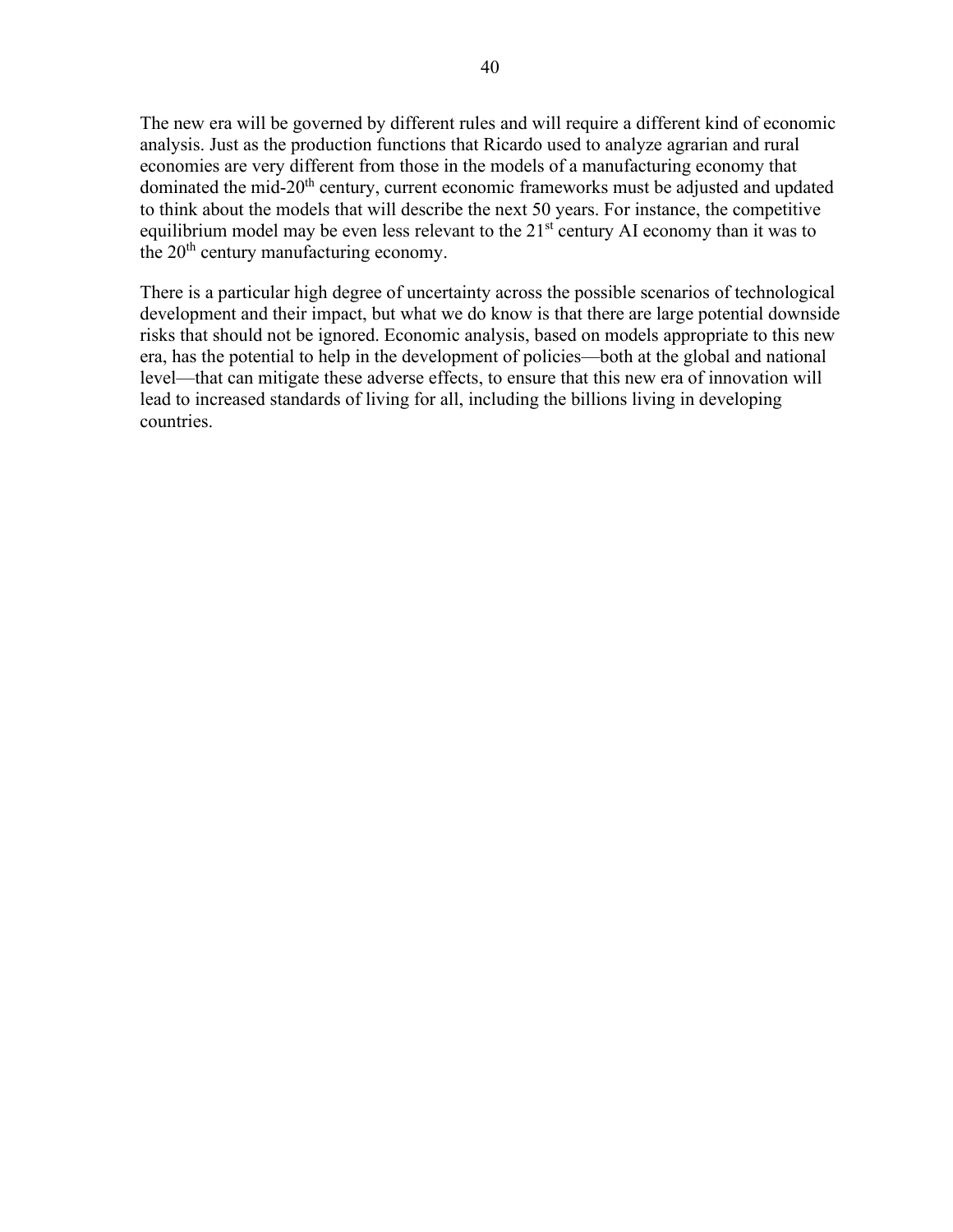The new era will be governed by different rules and will require a different kind of economic analysis. Just as the production functions that Ricardo used to analyze agrarian and rural economies are very different from those in the models of a manufacturing economy that dominated the mid-20<sup>th</sup> century, current economic frameworks must be adjusted and updated to think about the models that will describe the next 50 years. For instance, the competitive equilibrium model may be even less relevant to the  $21<sup>st</sup>$  century AI economy than it was to the  $20<sup>th</sup>$  century manufacturing economy.

There is a particular high degree of uncertainty across the possible scenarios of technological development and their impact, but what we do know is that there are large potential downside risks that should not be ignored. Economic analysis, based on models appropriate to this new era, has the potential to help in the development of policies—both at the global and national level—that can mitigate these adverse effects, to ensure that this new era of innovation will lead to increased standards of living for all, including the billions living in developing countries.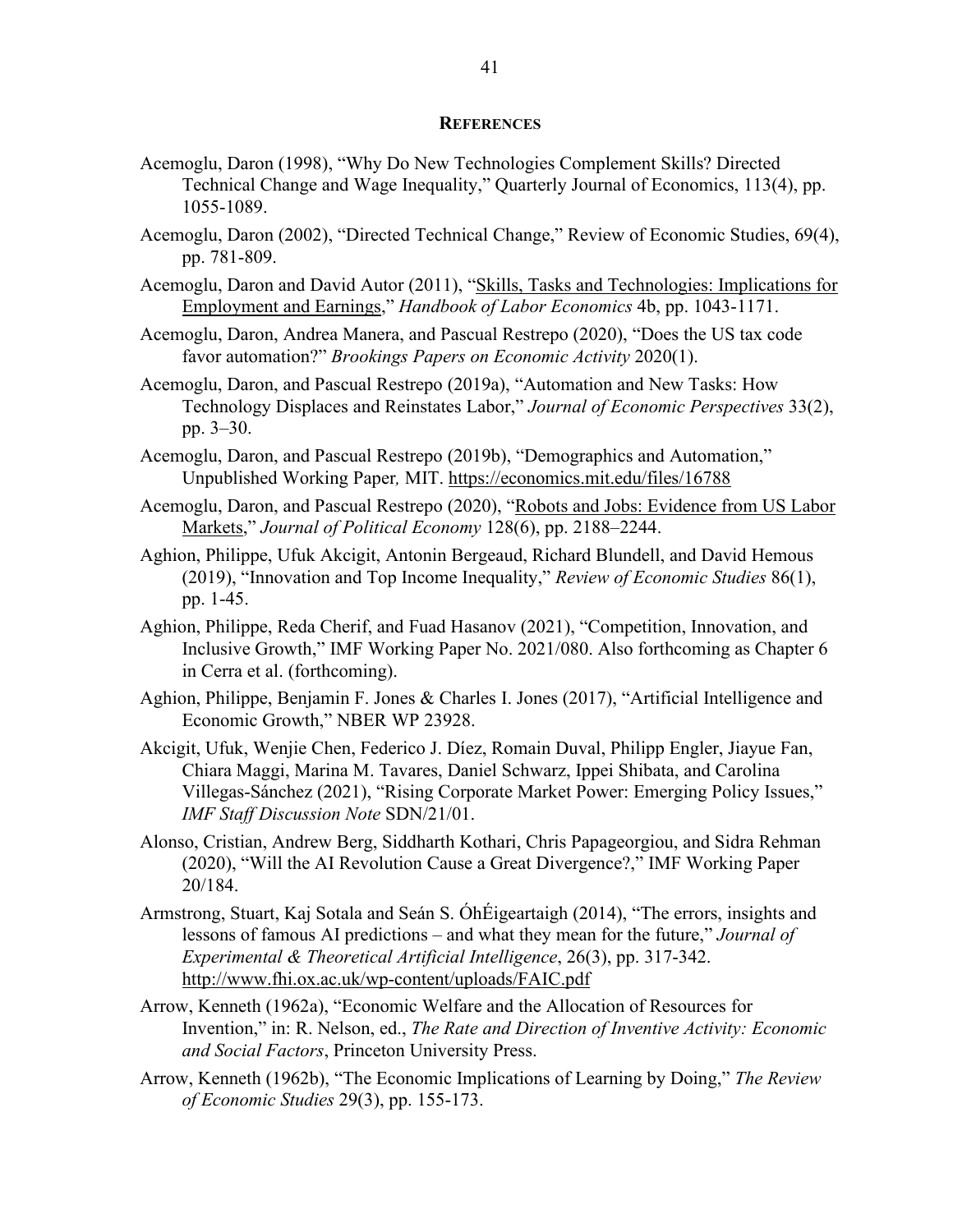#### **REFERENCES**

- <span id="page-40-0"></span>Acemoglu, Daron (1998), "Why Do New Technologies Complement Skills? Directed Technical Change and Wage Inequality," Quarterly Journal of Economics, 113(4), pp. 1055-1089.
- Acemoglu, Daron (2002), "Directed Technical Change," Review of Economic Studies, 69(4), pp. 781-809.
- Acemoglu, Daron and David Autor (2011), ["Skills, Tasks and Technologies: Implications for](https://economics.mit.edu/files/7006)  [Employment and](https://economics.mit.edu/files/7006) Earnings," *Handbook of Labor Economics* 4b, pp. 1043-1171.
- Acemoglu, Daron, Andrea Manera, and Pascual Restrepo (2020), "Does the US tax code favor automation?" *Brookings Papers on Economic Activity* 2020(1).
- Acemoglu, Daron, and Pascual Restrepo (2019a), "Automation and New Tasks: How Technology Displaces and Reinstates Labor," *Journal of Economic Perspectives* 33(2), pp. 3–30.
- Acemoglu, Daron, and Pascual Restrepo (2019b), "Demographics and Automation," Unpublished Working Paper*,* MIT.<https://economics.mit.edu/files/16788>
- Acemoglu, Daron, and Pascual Restrepo (2020), ["Robots and Jobs: Evidence from US Labor](https://economics.mit.edu/files/19696)  [Markets,](https://economics.mit.edu/files/19696)" *Journal of Political Economy* 128(6), pp. 2188–2244.
- Aghion, Philippe, Ufuk Akcigit, Antonin Bergeaud, Richard Blundell, and David Hemous (2019), "Innovation and Top Income Inequality," *Review of Economic Studies* 86(1), pp. 1-45.
- Aghion, Philippe, Reda Cherif, and Fuad Hasanov (2021), "Competition, Innovation, and Inclusive Growth," IMF Working Paper No. 2021/080. Also forthcoming as Chapter 6 in Cerra et al. (forthcoming).
- Aghion, Philippe, Benjamin F. Jones & Charles I. Jones (2017), "Artificial Intelligence and Economic Growth," NBER WP 23928.
- Akcigit, Ufuk, Wenjie Chen, Federico J. Díez, Romain Duval, Philipp Engler, Jiayue Fan, Chiara Maggi, Marina M. Tavares, Daniel Schwarz, Ippei Shibata, and Carolina Villegas-Sánchez (2021), "Rising Corporate Market Power: Emerging Policy Issues," *IMF Staff Discussion Note* SDN/21/01.
- Alonso, Cristian, Andrew Berg, Siddharth Kothari, Chris Papageorgiou, and Sidra Rehman (2020), "Will the AI Revolution Cause a Great Divergence?," IMF Working Paper 20/184.
- Armstrong, Stuart, Kaj Sotala and Seán S. ÓhÉigeartaigh (2014), "The errors, insights and lessons of famous AI predictions – and what they mean for the future," *Journal of Experimental & Theoretical Artificial Intelligence*, 26(3), pp. 317-342. <http://www.fhi.ox.ac.uk/wp-content/uploads/FAIC.pdf>
- Arrow, Kenneth (1962a), "Economic Welfare and the Allocation of Resources for Invention," in: R. Nelson, ed., *The Rate and Direction of Inventive Activity: Economic and Social Factors*, Princeton University Press.
- Arrow, Kenneth (1962b), "The Economic Implications of Learning by Doing," *The Review of Economic Studies* 29(3), pp. 155-173.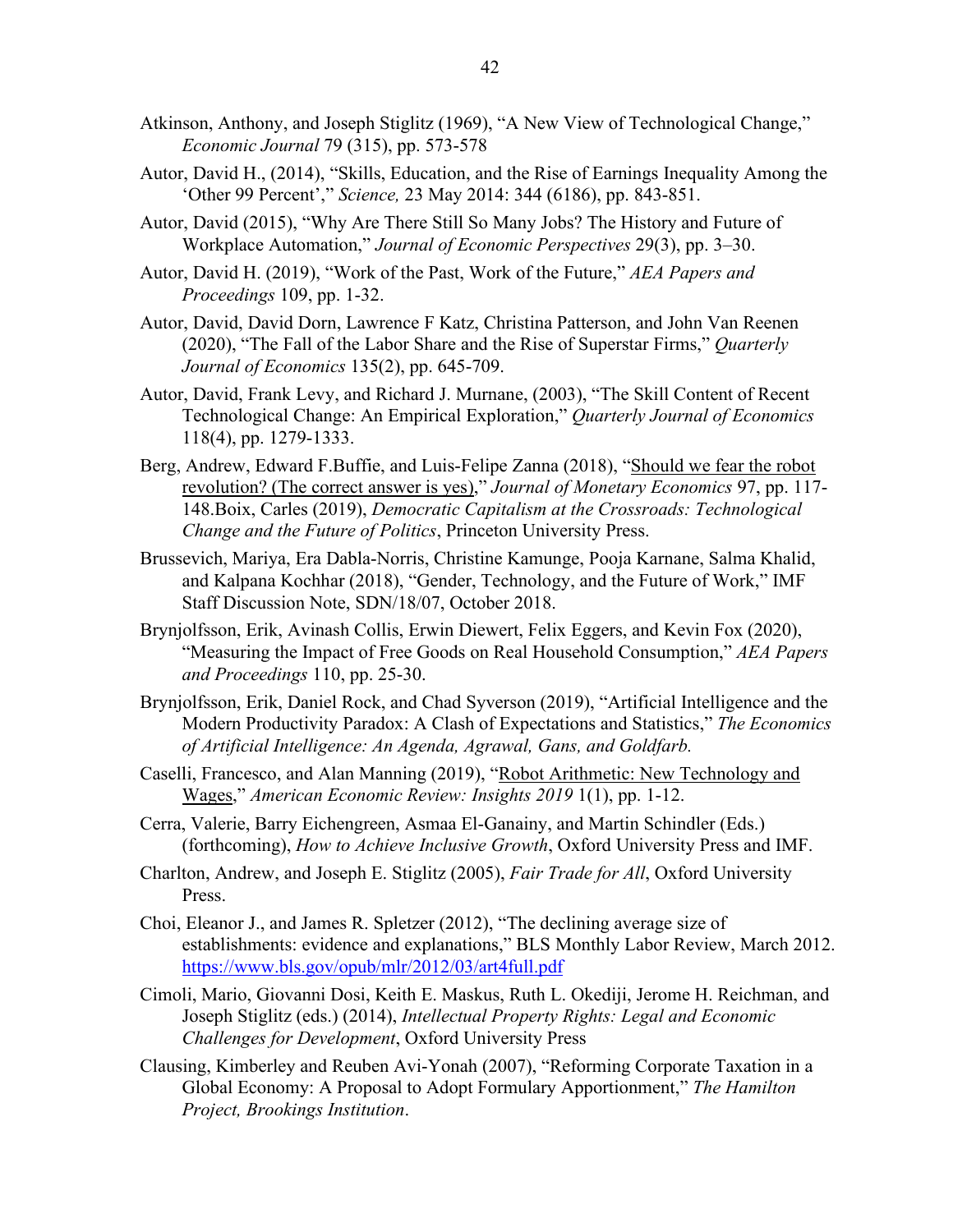- Atkinson, Anthony, and Joseph Stiglitz (1969), "A New View of Technological Change," *Economic Journal* 79 (315), pp. 573-578
- Autor, David H., (2014), "Skills, Education, and the Rise of Earnings Inequality Among the 'Other 99 Percent'," *Science,* 23 May 2014: 344 (6186), pp. 843-851.
- Autor, David (2015), ["Why Are There Still So Many Jobs? The History and Future of](https://economics.mit.edu/files/11563)  [Workplace Automation,](https://economics.mit.edu/files/11563)" *Journal of Economic Perspectives* 29(3), pp. 3–30.
- Autor, David H. (2019), "Work of the Past, Work of the Future," *AEA Papers and Proceedings* 109, pp. 1-32.
- Autor, David, David Dorn, Lawrence F Katz, Christina Patterson, and John Van Reenen (2020), "The Fall of the Labor Share and the Rise of Superstar Firms," *Quarterly Journal of Economics* 135(2), pp. 645-709.
- Autor, David, Frank Levy, and Richard J. Murnane, (2003), "The Skill Content of Recent Technological Change: An Empirical Exploration," *Quarterly Journal of Economics* 118(4), pp. 1279-1333.
- Berg, Andrew, Edward F.Buffie, and Luis-Felipe Zanna (2018), ["Should we fear the robot](https://doi.org/10.1016/j.jmoneco.2018.05.014)  [revolution? \(The correct answer is yes\),](https://doi.org/10.1016/j.jmoneco.2018.05.014)" *Journal of Monetary Economics* 97, pp. 117- 148.Boix, Carles (2019), *Democratic Capitalism at the Crossroads: Technological Change and the Future of Politics*, Princeton University Press.
- Brussevich, Mariya, Era Dabla-Norris, Christine Kamunge, Pooja Karnane, Salma Khalid, and Kalpana Kochhar (2018), "Gender, Technology, and the Future of Work," IMF Staff Discussion Note, SDN/18/07, October 2018.
- Brynjolfsson, Erik, Avinash Collis, Erwin Diewert, Felix Eggers, and Kevin Fox (2020), "Measuring the Impact of Free Goods on Real Household Consumption," *AEA Papers and Proceedings* 110, pp. 25-30.
- Brynjolfsson, Erik, Daniel Rock, and Chad Syverson (2019), "Artificial Intelligence and the Modern Productivity Paradox: A Clash of Expectations and Statistics," *The Economics of Artificial Intelligence: An Agenda, Agrawal, Gans, and Goldfarb.*
- Caselli, Francesco, and Alan Manning (2019), ["Robot Arithmetic: New Technology and](https://pubs.aeaweb.org/doi/pdfplus/10.1257/aeri.20170036)  [Wages,](https://pubs.aeaweb.org/doi/pdfplus/10.1257/aeri.20170036)" *American Economic Review: Insights 2019* 1(1), pp. 1-12.
- Cerra, Valerie, Barry Eichengreen, Asmaa El-Ganainy, and Martin Schindler (Eds.) (forthcoming), *How to Achieve Inclusive Growth*, Oxford University Press and IMF.
- Charlton, Andrew, and Joseph E. Stiglitz (2005), *Fair Trade for All*, Oxford University Press.
- Choi, Eleanor J., and James R. Spletzer (2012), "The declining average size of establishments: evidence and explanations," BLS Monthly Labor Review, March 2012. <https://www.bls.gov/opub/mlr/2012/03/art4full.pdf>
- Cimoli, Mario, Giovanni Dosi, Keith E. Maskus, Ruth L. Okediji, Jerome H. Reichman, and Joseph Stiglitz (eds.) (2014), *Intellectual Property Rights: Legal and Economic Challenges for Development*, Oxford University Press
- Clausing, Kimberley and Reuben Avi-Yonah (2007), "Reforming Corporate Taxation in a Global Economy: A Proposal to Adopt Formulary Apportionment," *The Hamilton Project, Brookings Institution*.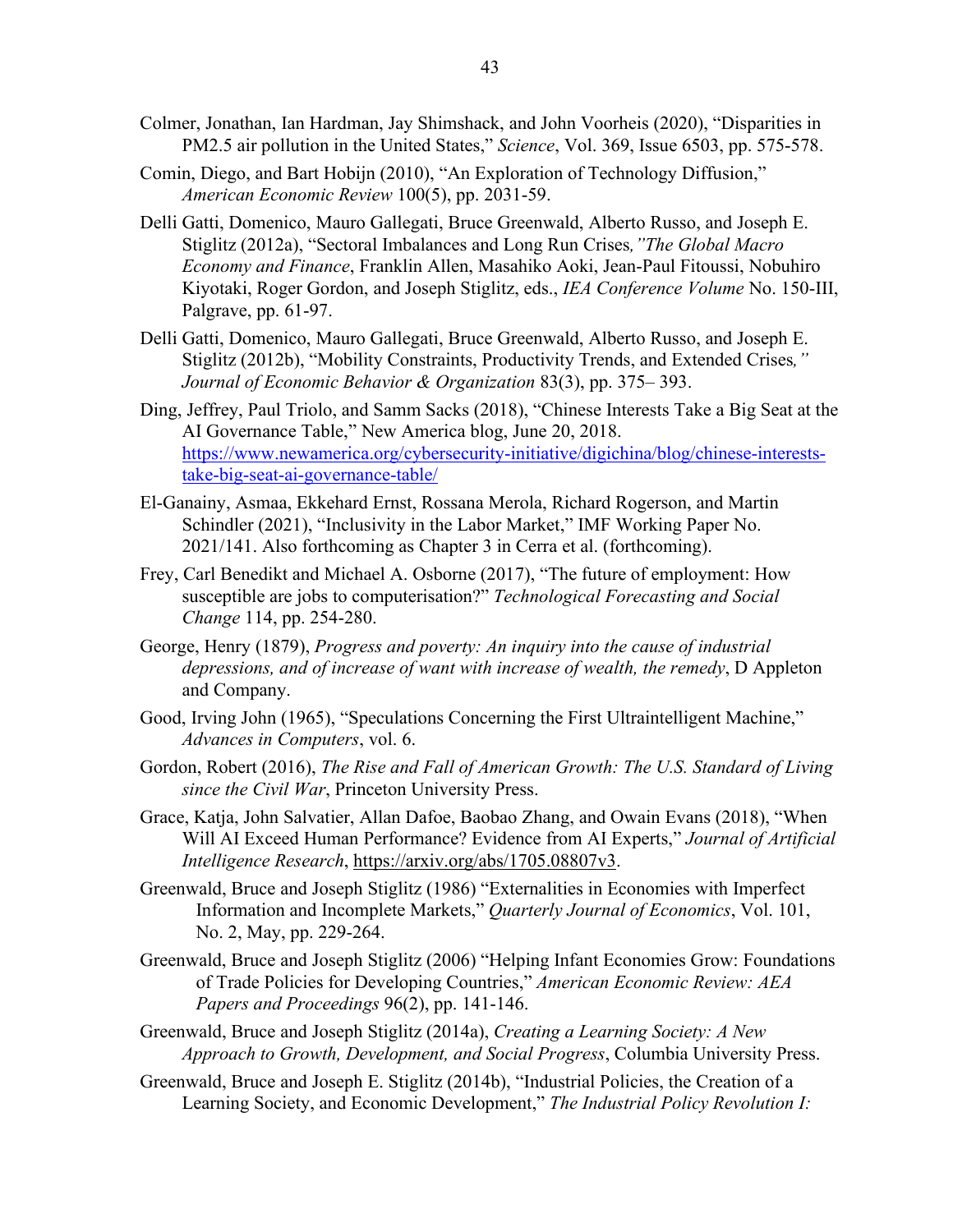- Colmer, Jonathan, Ian Hardman, Jay Shimshack, and John Voorheis (2020), "Disparities in PM2.5 air pollution in the United States," *Science*, Vol. 369, Issue 6503, pp. 575-578.
- Comin, Diego, and Bart Hobijn (2010), "An Exploration of Technology Diffusion," *American Economic Review* 100(5), pp. 2031-59.
- Delli Gatti, Domenico, Mauro Gallegati, Bruce Greenwald, Alberto Russo, and Joseph E. Stiglitz (2012a), "Sectoral Imbalances and Long Run Crises*,"The Global Macro Economy and Finance*, Franklin Allen, Masahiko Aoki, Jean-Paul Fitoussi, Nobuhiro Kiyotaki, Roger Gordon, and Joseph Stiglitz, eds., *IEA Conference Volume* No. 150-III, Palgrave, pp. 61-97.
- Delli Gatti, Domenico, Mauro Gallegati, Bruce Greenwald, Alberto Russo, and Joseph E. Stiglitz (2012b), "Mobility Constraints, Productivity Trends, and Extended Crises*," Journal of Economic Behavior & Organization* 83(3), pp. 375– 393.
- Ding, Jeffrey, Paul Triolo, and Samm Sacks (2018), "Chinese Interests Take a Big Seat at the AI Governance Table," New America blog, June 20, 2018. [https://www.newamerica.org/cybersecurity-initiative/digichina/blog/chinese-interests](https://www.newamerica.org/cybersecurity-initiative/digichina/blog/chinese-interests-take-big-seat-ai-governance-table/)[take-big-seat-ai-governance-table/](https://www.newamerica.org/cybersecurity-initiative/digichina/blog/chinese-interests-take-big-seat-ai-governance-table/)
- El-Ganainy, Asmaa, Ekkehard Ernst, Rossana Merola, Richard Rogerson, and Martin Schindler (2021), "Inclusivity in the Labor Market," IMF Working Paper No. 2021/141. Also forthcoming as Chapter 3 in Cerra et al. (forthcoming).
- Frey, Carl Benedikt and Michael A. Osborne (2017), "The future of employment: How susceptible are jobs to computerisation?" *Technological Forecasting and Social Change* 114, pp. 254-280.
- George, Henry (1879), *Progress and poverty: An inquiry into the cause of industrial depressions, and of increase of want with increase of wealth, the remedy*, D Appleton and Company.
- Good, Irving John (1965), "Speculations Concerning the First Ultraintelligent Machine," *Advances in Computers*, vol. 6.
- Gordon, Robert (2016), *The Rise and Fall of American Growth: The U.S. Standard of Living since the Civil War*, Princeton University Press.
- Grace, Katja, John Salvatier, Allan Dafoe, Baobao Zhang, and Owain Evans (2018), "When Will AI Exceed Human Performance? Evidence from AI Experts," *Journal of Artificial Intelligence Research*, [https://arxiv.org/abs/1705.08807v3.](https://arxiv.org/abs/1705.08807v3)
- Greenwald, Bruce and Joseph Stiglitz (1986) "Externalities in Economies with Imperfect Information and Incomplete Markets," *Quarterly Journal of Economics*, Vol. 101, No. 2, May, pp. 229-264.
- Greenwald, Bruce and Joseph Stiglitz (2006) "Helping Infant Economies Grow: Foundations of Trade Policies for Developing Countries," *American Economic Review: AEA Papers and Proceedings* 96(2), pp. 141-146.
- Greenwald, Bruce and Joseph Stiglitz (2014a), *Creating a Learning Society: A New Approach to Growth, Development, and Social Progress*, Columbia University Press.
- Greenwald, Bruce and Joseph E. Stiglitz (2014b), "Industrial Policies, the Creation of a Learning Society, and Economic Development," *The Industrial Policy Revolution I:*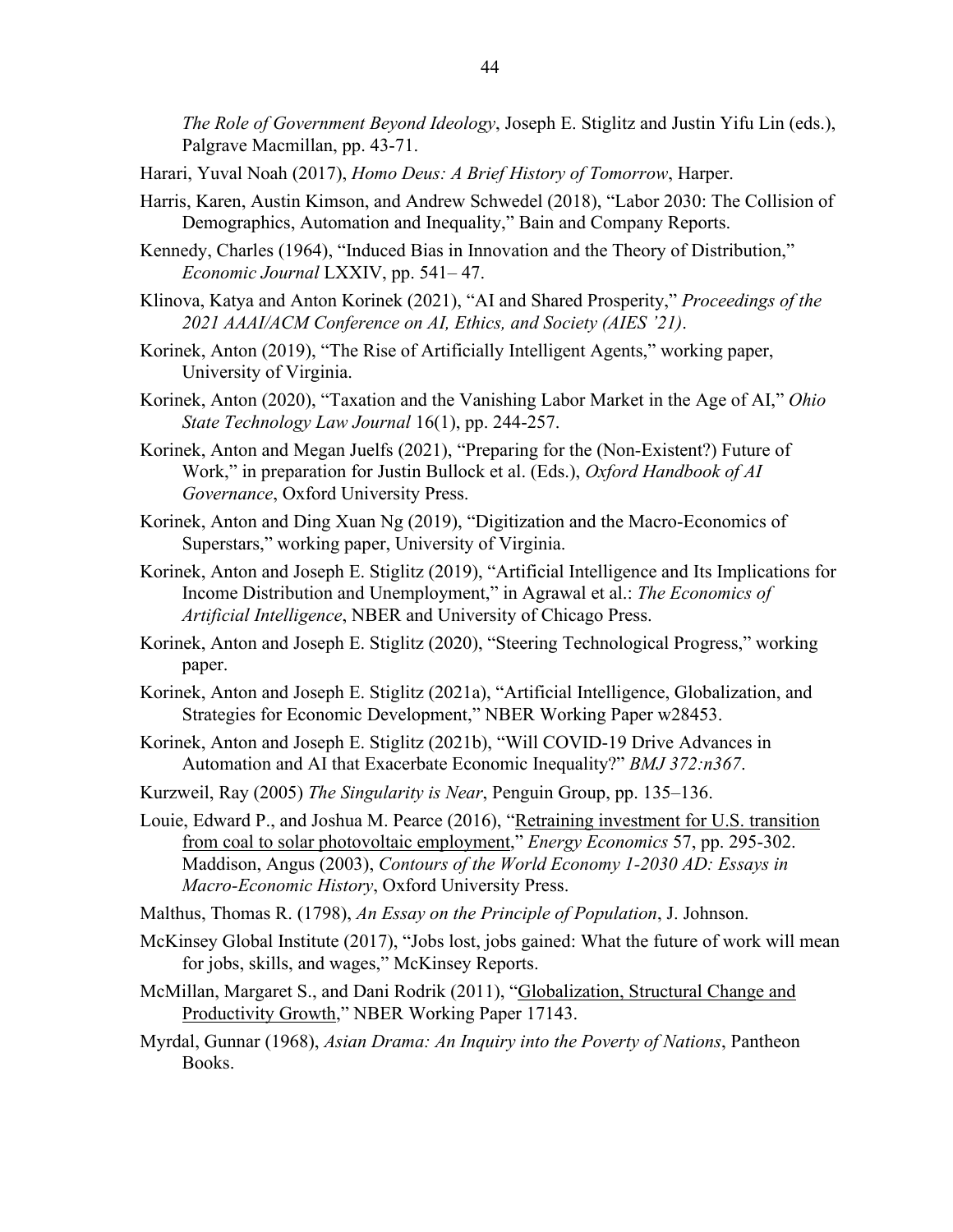*The Role of Government Beyond Ideology*, Joseph E. Stiglitz and Justin Yifu Lin (eds.), Palgrave Macmillan, pp. 43-71.

- Harari, Yuval Noah (2017), *Homo Deus: A Brief History of Tomorrow*, Harper.
- Harris, Karen, Austin Kimson, and Andrew Schwedel (2018), "Labor 2030: The Collision of Demographics, Automation and Inequality," Bain and Company Reports.
- Kennedy, Charles (1964), "Induced Bias in Innovation and the Theory of Distribution," *Economic Journal* LXXIV, pp. 541– 47.
- Klinova, Katya and Anton Korinek (2021), "AI and Shared Prosperity," *Proceedings of the 2021 AAAI/ACM Conference on AI, Ethics, and Society (AIES '21)*.
- Korinek, Anton (2019), "The Rise of Artificially Intelligent Agents," working paper, University of Virginia.
- Korinek, Anton (2020), "Taxation and the Vanishing Labor Market in the Age of AI," *Ohio State Technology Law Journal* 16(1), pp. 244-257.
- Korinek, Anton and Megan Juelfs (2021), "Preparing for the (Non-Existent?) Future of Work," in preparation for Justin Bullock et al. (Eds.), *Oxford Handbook of AI Governance*, Oxford University Press.
- Korinek, Anton and Ding Xuan Ng (2019), "Digitization and the Macro-Economics of Superstars," working paper, University of Virginia.
- Korinek, Anton and Joseph E. Stiglitz (2019), "Artificial Intelligence and Its Implications for Income Distribution and Unemployment," in Agrawal et al.: *The Economics of Artificial Intelligence*, NBER and University of Chicago Press.
- Korinek, Anton and Joseph E. Stiglitz (2020), "Steering Technological Progress," working paper.
- Korinek, Anton and Joseph E. Stiglitz (2021a), "Artificial Intelligence, Globalization, and Strategies for Economic Development," NBER Working Paper w28453.
- Korinek, Anton and Joseph E. Stiglitz (2021b), "Will COVID-19 Drive Advances in Automation and AI that Exacerbate Economic Inequality?" *BMJ 372:n367*.
- Kurzweil, Ray (2005) *The Singularity is Near*, Penguin Group, pp. 135–136.
- Louie, Edward P., and Joshua M. Pearce (2016), ["Retraining investment for U.S. transition](https://www.sciencedirect.com/science/article/pii/S0140988316301347)  [from coal to solar photovoltaic employment,](https://www.sciencedirect.com/science/article/pii/S0140988316301347)" *Energy Economics* 57, pp. 295-302. Maddison, Angus (2003), *Contours of the World Economy 1-2030 AD: Essays in Macro-Economic History*, Oxford University Press.
- Malthus, Thomas R. (1798), *An Essay on the Principle of Population*, J. Johnson.
- McKinsey Global Institute (2017), "Jobs lost, jobs gained: What the future of work will mean for jobs, skills, and wages," McKinsey Reports.
- McMillan, Margaret S., and Dani Rodrik (2011), ["Globalization, Structural Change and](https://www.nber.org/system/files/working_papers/w17143/w17143.pdf)  [Productivity Growth,](https://www.nber.org/system/files/working_papers/w17143/w17143.pdf)" NBER Working Paper 17143.
- Myrdal, Gunnar (1968), *Asian Drama: An Inquiry into the Poverty of Nations*, Pantheon Books.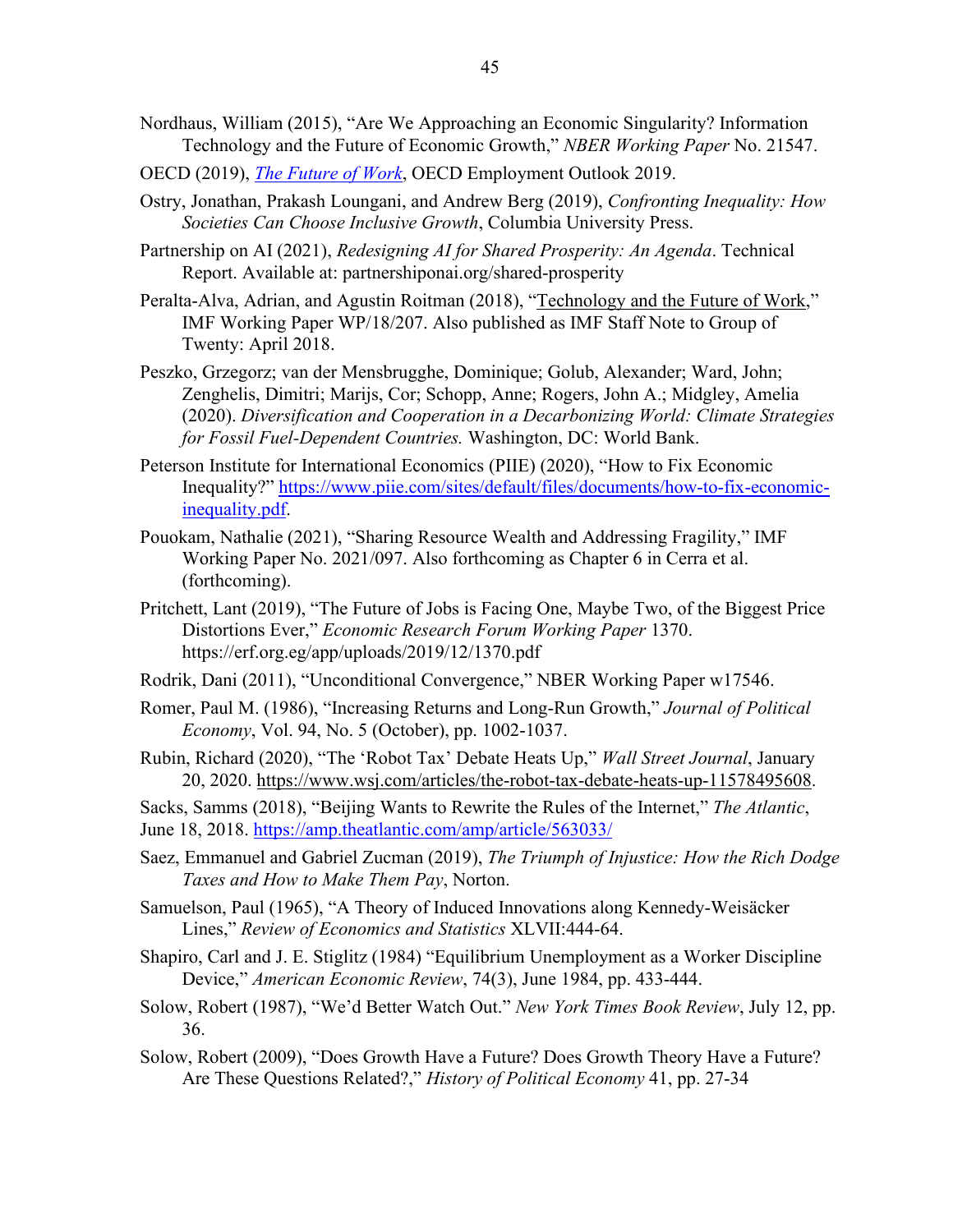- Nordhaus, William (2015), "Are We Approaching an Economic Singularity? Information Technology and the Future of Economic Growth," *NBER Working Paper* No. 21547.
- OECD (2019), *[The Future of Work](https://www.oecd-ilibrary.org/docserver/9ee00155-en.pdf)*, OECD Employment Outlook 2019.
- Ostry, Jonathan, Prakash Loungani, and Andrew Berg (2019), *Confronting Inequality: How Societies Can Choose Inclusive Growth*, Columbia University Press.
- Partnership on AI (2021), *Redesigning AI for Shared Prosperity: An Agenda*. Technical Report. Available at: partnershiponai.org/shared-prosperity
- Peralta-Alva, Adrian, and Agustin Roitman (2018), ["Technology and the Future of Work,](https://www.imf.org/-/media/Files/Publications/WP/2018/wp18207.ashx)" IMF Working Paper WP/18/207. Also published as IMF Staff Note to Group of Twenty: April 2018.
- Peszko, Grzegorz; van der Mensbrugghe, Dominique; Golub, Alexander; Ward, John; Zenghelis, Dimitri; Marijs, Cor; Schopp, Anne; Rogers, John A.; Midgley, Amelia (2020). *Diversification and Cooperation in a Decarbonizing World: Climate Strategies for Fossil Fuel-Dependent Countries.* Washington, DC: World Bank.
- Peterson Institute for International Economics (PIIE) (2020), "How to Fix Economic Inequality?" [https://www.piie.com/sites/default/files/documents/how-to-fix-economic](https://www.piie.com/sites/default/files/documents/how-to-fix-economic-inequality.pdf)[inequality.pdf.](https://www.piie.com/sites/default/files/documents/how-to-fix-economic-inequality.pdf)
- Pouokam, Nathalie (2021), "Sharing Resource Wealth and Addressing Fragility," IMF Working Paper No. 2021/097. Also forthcoming as Chapter 6 in Cerra et al. (forthcoming).
- Pritchett, Lant (2019), "The Future of Jobs is Facing One, Maybe Two, of the Biggest Price Distortions Ever," *Economic Research Forum Working Paper* 1370. https://erf.org.eg/app/uploads/2019/12/1370.pdf
- Rodrik, Dani (2011), "Unconditional Convergence," NBER Working Paper w17546.
- Romer, Paul M. (1986), "Increasing Returns and Long-Run Growth," *Journal of Political Economy*, Vol. 94, No. 5 (October), pp. 1002-1037.
- Rubin, Richard (2020), "The 'Robot Tax' Debate Heats Up," *Wall Street Journal*, January 20, 2020. [https://www.wsj.com/articles/the-robot-tax-debate-heats-up-11578495608.](https://www.wsj.com/articles/the-robot-tax-debate-heats-up-11578495608)
- Sacks, Samms (2018), "Beijing Wants to Rewrite the Rules of the Internet," *The Atlantic*, June 18, 2018.<https://amp.theatlantic.com/amp/article/563033/>
- Saez, Emmanuel and Gabriel Zucman (2019), *The Triumph of Injustice: How the Rich Dodge Taxes and How to Make Them Pay*, Norton.
- Samuelson, Paul (1965), "A Theory of Induced Innovations along Kennedy-Weisäcker Lines," *Review of Economics and Statistics* XLVII:444-64.
- Shapiro, Carl and J. E. Stiglitz (1984) "Equilibrium Unemployment as a Worker Discipline Device," *American Economic Review*, 74(3), June 1984, pp. 433-444.
- Solow, Robert (1987), "We'd Better Watch Out." *New York Times Book Review*, July 12, pp. 36.
- Solow, Robert (2009), "Does Growth Have a Future? Does Growth Theory Have a Future? Are These Questions Related?," *History of Political Economy* 41, pp. 27-34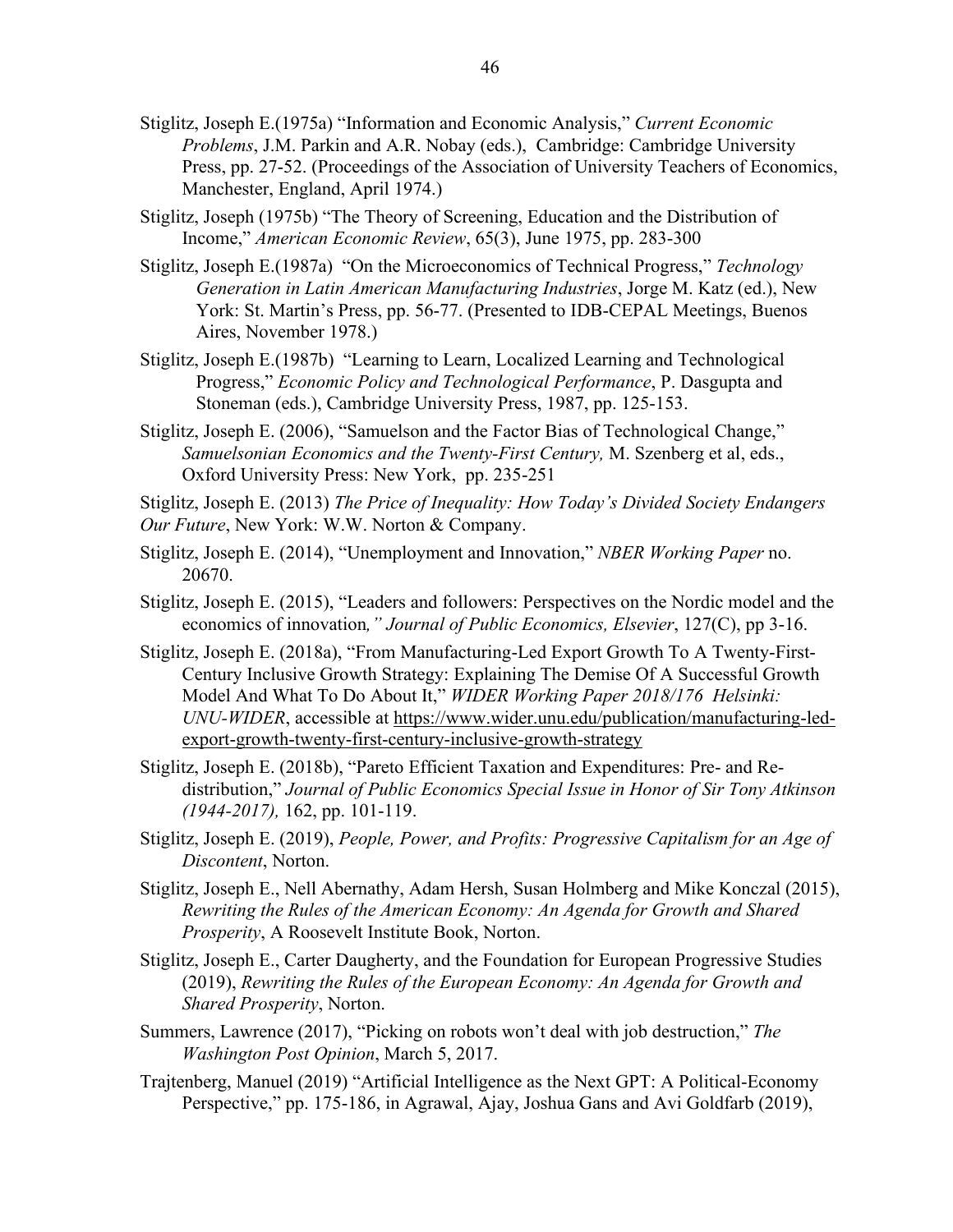- Stiglitz, Joseph E.(1975a) "Information and Economic Analysis," *Current Economic Problems*, J.M. Parkin and A.R. Nobay (eds.), Cambridge: Cambridge University Press, pp. 27-52. (Proceedings of the Association of University Teachers of Economics, Manchester, England, April 1974.)
- Stiglitz, Joseph (1975b) "The Theory of Screening, Education and the Distribution of Income," *American Economic Review*, 65(3), June 1975, pp. 283-300
- Stiglitz, Joseph E.(1987a) "On the Microeconomics of Technical Progress," *Technology Generation in Latin American Manufacturing Industries*, Jorge M. Katz (ed.), New York: St. Martin's Press, pp. 56-77. (Presented to IDB-CEPAL Meetings, Buenos Aires, November 1978.)
- Stiglitz, Joseph E.(1987b) "Learning to Learn, Localized Learning and Technological Progress," *Economic Policy and Technological Performance*, P. Dasgupta and Stoneman (eds.), Cambridge University Press, 1987, pp. 125-153.
- Stiglitz, Joseph E. (2006), "Samuelson and the Factor Bias of Technological Change," *Samuelsonian Economics and the Twenty-First Century,* M. Szenberg et al, eds., Oxford University Press: New York, pp. 235-251

Stiglitz, Joseph E. (2013) *The Price of Inequality: How Today's Divided Society Endangers Our Future*, New York: W.W. Norton & Company.

- Stiglitz, Joseph E. (2014), "Unemployment and Innovation," *NBER Working Paper* no. 20670.
- Stiglitz, Joseph E. (2015), "Leaders and followers: Perspectives on the Nordic model and the economics of innovation*," Journal of Public Economics, Elsevier*, 127(C), pp 3-16.
- Stiglitz, Joseph E. (2018a), "From Manufacturing-Led Export Growth To A Twenty-First-Century Inclusive Growth Strategy: Explaining The Demise Of A Successful Growth Model And What To Do About It," *WIDER Working Paper 2018/176 Helsinki: UNU-WIDER*, accessible at [https://www.wider.unu.edu/publication/manufacturing-led](https://www.wider.unu.edu/publication/manufacturing-led-export-growth-twenty-first-century-inclusive-growth-strategy)[export-growth-twenty-first-century-inclusive-growth-strategy](https://www.wider.unu.edu/publication/manufacturing-led-export-growth-twenty-first-century-inclusive-growth-strategy)
- Stiglitz, Joseph E. (2018b), "Pareto Efficient Taxation and Expenditures: Pre- and Redistribution," *Journal of Public Economics Special Issue in Honor of Sir Tony Atkinson (1944-2017),* 162, pp. 101-119.
- Stiglitz, Joseph E. (2019), *People, Power, and Profits: Progressive Capitalism for an Age of Discontent*, Norton.
- Stiglitz, Joseph E., Nell Abernathy, Adam Hersh, Susan Holmberg and Mike Konczal (2015), *Rewriting the Rules of the American Economy: An Agenda for Growth and Shared Prosperity*, A Roosevelt Institute Book, Norton.
- Stiglitz, Joseph E., Carter Daugherty, and the Foundation for European Progressive Studies (2019), *Rewriting the Rules of the European Economy: An Agenda for Growth and Shared Prosperity*, Norton.
- Summers, Lawrence (2017), "Picking on robots won't deal with job destruction," *The Washington Post Opinion*, March 5, 2017.
- Trajtenberg, Manuel (2019) "Artificial Intelligence as the Next GPT: A Political-Economy Perspective," pp. 175-186, in Agrawal, Ajay, Joshua Gans and Avi Goldfarb (2019),